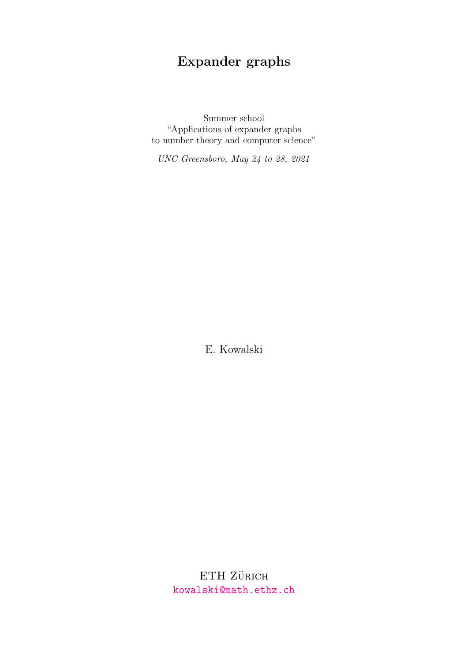# Expander graphs

Summer school "Applications of expander graphs to number theory and computer science"

UNC Greensboro, May 24 to 28, 2021

E. Kowalski

 $ETH$ Zürich <kowalski@math.ethz.ch>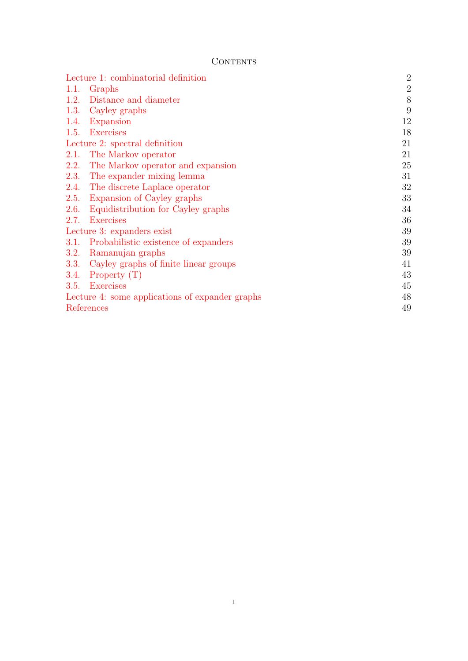# **CONTENTS**

| Lecture 1: combinatorial definition             | $\overline{2}$ |
|-------------------------------------------------|----------------|
| 1.1. Graphs                                     | $\overline{2}$ |
| Distance and diameter<br>1.2.                   | 8              |
| 1.3.<br>Cayley graphs                           | 9              |
| Expansion<br>1.4.                               | 12             |
| <b>Exercises</b><br>1.5.                        | 18             |
| Lecture 2: spectral definition                  | 21             |
| The Markov operator<br>2.1.                     | 21             |
| 2.2.<br>The Markov operator and expansion       | 25             |
| The expander mixing lemma<br><b>2.3.</b>        | 31             |
| 2.4.<br>The discrete Laplace operator           | 32             |
| Expansion of Cayley graphs<br>2.5.              | 33             |
| 2.6.<br>Equidistribution for Cayley graphs      | 34             |
| <b>Exercises</b><br>2.7.                        | 36             |
| Lecture 3: expanders exist                      | 39             |
| Probabilistic existence of expanders<br>3.1.    | 39             |
| Ramanujan graphs<br><b>3.2.</b>                 | 39             |
| Cayley graphs of finite linear groups<br>3.3.   | 41             |
| 3.4.<br>Property $(T)$                          | 43             |
| <b>Exercises</b><br>3.5.                        | 45             |
| Lecture 4: some applications of expander graphs | 48             |
| References                                      | 49             |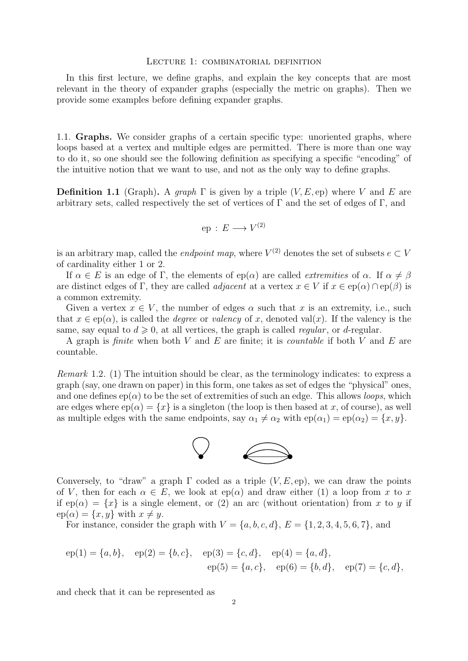#### <span id="page-2-0"></span>Lecture 1: combinatorial definition

In this first lecture, we define graphs, and explain the key concepts that are most relevant in the theory of expander graphs (especially the metric on graphs). Then we provide some examples before defining expander graphs.

<span id="page-2-1"></span>1.1. Graphs. We consider graphs of a certain specific type: unoriented graphs, where loops based at a vertex and multiple edges are permitted. There is more than one way to do it, so one should see the following definition as specifying a specific "encoding" of the intuitive notion that we want to use, and not as the only way to define graphs.

<span id="page-2-2"></span>**Definition 1.1** (Graph). A graph  $\Gamma$  is given by a triple  $(V, E, ep)$  where V and E are arbitrary sets, called respectively the set of vertices of  $\Gamma$  and the set of edges of  $\Gamma$ , and

$$
ep: E \longrightarrow V^{(2)}
$$

is an arbitrary map, called the *endpoint map*, where  $V^{(2)}$  denotes the set of subsets  $e \subset V$ of cardinality either 1 or 2.

If  $\alpha \in E$  is an edge of Γ, the elements of ep( $\alpha$ ) are called *extremities* of  $\alpha$ . If  $\alpha \neq \beta$ are distinct edges of Γ, they are called *adjacent* at a vertex  $x \in V$  if  $x \in \text{ep}(\alpha) \cap \text{ep}(\beta)$  is a common extremity.

Given a vertex  $x \in V$ , the number of edges  $\alpha$  such that x is an extremity, i.e., such that  $x \in \text{ep}(\alpha)$ , is called the *degree* or *valency* of x, denoted val(x). If the valency is the same, say equal to  $d \geq 0$ , at all vertices, the graph is called *regular*, or *d*-regular.

A graph is *finite* when both V and E are finite; it is *countable* if both V and E are countable.

Remark 1.2. (1) The intuition should be clear, as the terminology indicates: to express a graph (say, one drawn on paper) in this form, one takes as set of edges the "physical" ones, and one defines  $ep(\alpha)$  to be the set of extremities of such an edge. This allows *loops*, which are edges where  $ep(\alpha) = \{x\}$  is a singleton (the loop is then based at x, of course), as well as multiple edges with the same endpoints, say  $\alpha_1 \neq \alpha_2$  with  $ep(\alpha_1) = ep(\alpha_2) = \{x, y\}.$ 



Conversely, to "draw" a graph  $\Gamma$  coded as a triple  $(V, E, ep)$ , we can draw the points of V, then for each  $\alpha \in E$ , we look at  $ep(\alpha)$  and draw either (1) a loop from x to x if  $ep(\alpha) = \{x\}$  is a single element, or (2) an arc (without orientation) from x to y if  $ep(\alpha) = \{x, y\}$  with  $x \neq y$ .

For instance, consider the graph with  $V = \{a, b, c, d\}$ ,  $E = \{1, 2, 3, 4, 5, 6, 7\}$ , and

$$
ep(1) = \{a, b\}, \quad ep(2) = \{b, c\}, \quad ep(3) = \{c, d\}, \quad ep(4) = \{a, d\},
$$

$$
ep(5) = \{a, c\}, \quad ep(6) = \{b, d\}, \quad ep(7) = \{c, d\},
$$

and check that it can be represented as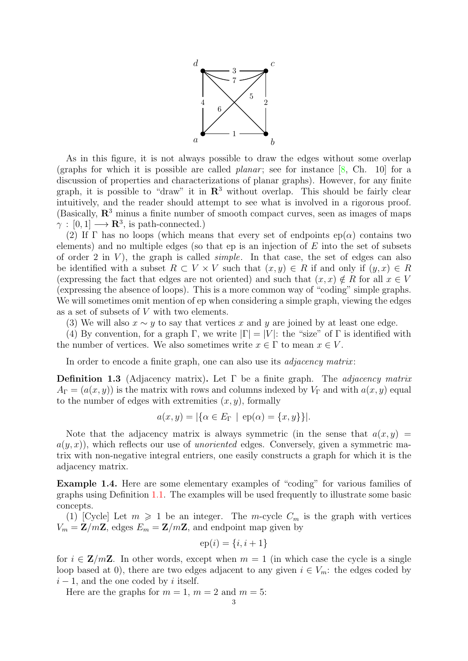

<span id="page-3-1"></span>As in this figure, it is not always possible to draw the edges without some overlap (graphs for which it is possible are called *planar*; see for instance  $[8, Ch. 10]$  for a discussion of properties and characterizations of planar graphs). However, for any finite graph, it is possible to "draw" it in  $\mathbb{R}^3$  without overlap. This should be fairly clear intuitively, and the reader should attempt to see what is involved in a rigorous proof. (Basically,  $\mathbb{R}^3$  minus a finite number of smooth compact curves, seen as images of maps  $\gamma : [0,1] \longrightarrow \mathbf{R}^3$ , is path-connected.)

(2) If  $\Gamma$  has no loops (which means that every set of endpoints ep( $\alpha$ ) contains two elements) and no multiple edges (so that  $ep$  is an injection of  $E$  into the set of subsets of order 2 in  $V$ ), the graph is called *simple*. In that case, the set of edges can also be identified with a subset  $R \subset V \times V$  such that  $(x, y) \in R$  if and only if  $(y, x) \in R$ (expressing the fact that edges are not oriented) and such that  $(x, x) \notin R$  for all  $x \in V$ (expressing the absence of loops). This is a more common way of "coding" simple graphs. We will sometimes omit mention of ep when considering a simple graph, viewing the edges as a set of subsets of V with two elements.

(3) We will also  $x \sim y$  to say that vertices x and y are joined by at least one edge.

(4) By convention, for a graph Γ, we write  $|\Gamma| = |V|$ : the "size" of Γ is identified with the number of vertices. We also sometimes write  $x \in \Gamma$  to mean  $x \in V$ .

In order to encode a finite graph, one can also use its *adjacency matrix*:

**Definition 1.3** (Adjacency matrix). Let  $\Gamma$  be a finite graph. The *adjacency matrix*  $A_{\Gamma} = (a(x, y))$  is the matrix with rows and columns indexed by  $V_{\Gamma}$  and with  $a(x, y)$  equal to the number of edges with extremities  $(x, y)$ , formally

$$
a(x, y) = |\{\alpha \in E_{\Gamma} \mid ep(\alpha) = \{x, y\}\}|.
$$

Note that the adjacency matrix is always symmetric (in the sense that  $a(x, y) =$  $a(y, x)$ , which reflects our use of *unoriented* edges. Conversely, given a symmetric matrix with non-negative integral entriers, one easily constructs a graph for which it is the adjacency matrix.

<span id="page-3-0"></span>Example 1.4. Here are some elementary examples of "coding" for various families of graphs using Definition [1.1.](#page-2-2) The examples will be used frequently to illustrate some basic concepts.

(1) [Cycle] Let  $m \geq 1$  be an integer. The *m*-cycle  $C_m$  is the graph with vertices  $V_m = \mathbf{Z}/m\mathbf{Z}$ , edges  $E_m = \mathbf{Z}/m\mathbf{Z}$ , and endpoint map given by

$$
ep(i) = \{i, i+1\}
$$

for  $i \in \mathbb{Z}/m\mathbb{Z}$ . In other words, except when  $m = 1$  (in which case the cycle is a single loop based at 0), there are two edges adjacent to any given  $i \in V_m$ : the edges coded by  $i - 1$ , and the one coded by i itself.

Here are the graphs for  $m = 1$ ,  $m = 2$  and  $m = 5$ :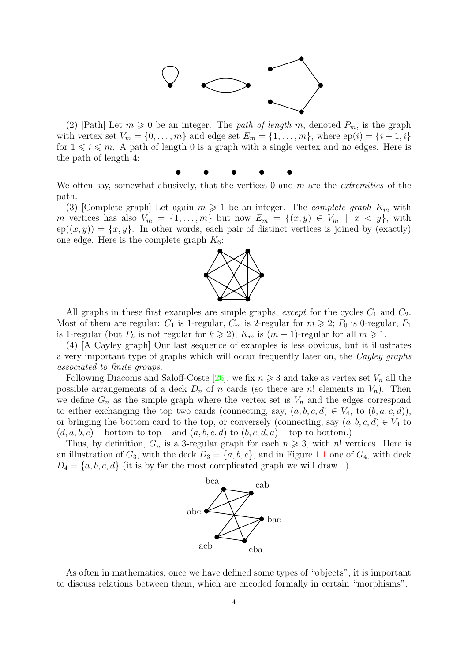

<span id="page-4-0"></span>(2) [Path] Let  $m \geq 0$  be an integer. The path of length m, denoted  $P_m$ , is the graph with vertex set  $V_m = \{0, \ldots, m\}$  and edge set  $E_m = \{1, \ldots, m\}$ , where  $ep(i) = \{i-1, i\}$ for  $1 \leq i \leq m$ . A path of length 0 is a graph with a single vertex and no edges. Here is the path of length 4:



We often say, somewhat abusively, that the vertices  $0$  and  $m$  are the *extremities* of the path.

(3) [Complete graph] Let again  $m \geq 1$  be an integer. The *complete graph*  $K_m$  with m vertices has also  $V_m = \{1, \ldots, m\}$  but now  $E_m = \{(x, y) \in V_m \mid x < y\}$ , with  $ep((x, y)) = \{x, y\}.$  In other words, each pair of distinct vertices is joined by (exactly) one edge. Here is the complete graph  $K_6$ :



All graphs in these first examples are simple graphs, *except* for the cycles  $C_1$  and  $C_2$ . Most of them are regular:  $C_1$  is 1-regular,  $C_m$  is 2-regular for  $m \geq 2$ ;  $P_0$  is 0-regular,  $P_1$ is 1-regular (but  $P_k$  is not regular for  $k \geq 2$ );  $K_m$  is  $(m-1)$ -regular for all  $m \geq 1$ .

(4) [A Cayley graph] Our last sequence of examples is less obvious, but it illustrates a very important type of graphs which will occur frequently later on, the Cayley graphs associated to finite groups.

Following Diaconis and Saloff-Coste [\[26\]](#page-49-2), we fix  $n \geq 3$  and take as vertex set  $V_n$  all the possible arrangements of a deck  $D_n$  of n cards (so there are n! elements in  $V_n$ ). Then we define  $G_n$  as the simple graph where the vertex set is  $V_n$  and the edges correspond to either exchanging the top two cards (connecting, say,  $(a, b, c, d) \in V_4$ , to  $(b, a, c, d)$ ), or bringing the bottom card to the top, or conversely (connecting, say  $(a, b, c, d) \in V_4$  to  $(d, a, b, c)$  – bottom to top – and  $(a, b, c, d)$  to  $(b, c, d, a)$  – top to bottom.)

Thus, by definition,  $G_n$  is a 3-regular graph for each  $n \geq 3$ , with n! vertices. Here is an illustration of  $G_3$ , with the deck  $D_3 = \{a, b, c\}$ , and in Figure [1.1](#page-5-0) one of  $G_4$ , with deck  $D_4 = \{a, b, c, d\}$  (it is by far the most complicated graph we will draw...).



As often in mathematics, once we have defined some types of "objects", it is important to discuss relations between them, which are encoded formally in certain "morphisms".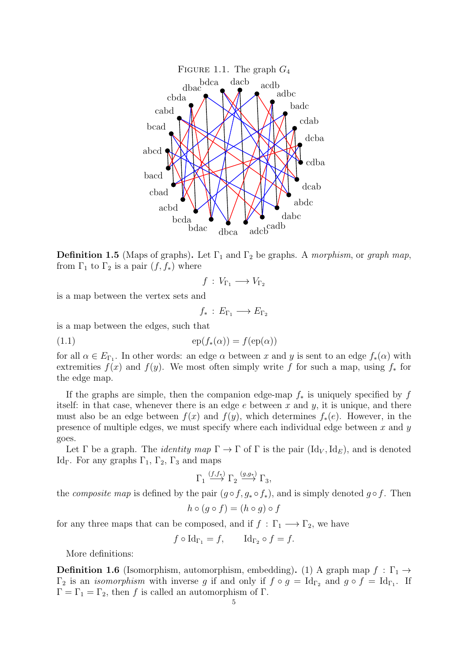<span id="page-5-0"></span>

**Definition 1.5** (Maps of graphs). Let  $\Gamma_1$  and  $\Gamma_2$  be graphs. A morphism, or graph map, from  $\Gamma_1$  to  $\Gamma_2$  is a pair  $(f, f_*)$  where

$$
f\,:\,V_{\Gamma_1}\longrightarrow V_{\Gamma_2}
$$

is a map between the vertex sets and

$$
f_*\,:\,E_{\Gamma_1}\longrightarrow E_{\Gamma_2}
$$

is a map between the edges, such that

$$
(1.1) \t\t\t ep(f_*(\alpha)) = f(ep(\alpha))
$$

for all  $\alpha \in E_{\Gamma_1}$ . In other words: an edge  $\alpha$  between x and y is sent to an edge  $f_*(\alpha)$  with extremities  $f(x)$  and  $f(y)$ . We most often simply write f for such a map, using  $f_*$  for the edge map.

If the graphs are simple, then the companion edge-map  $f_*$  is uniquely specified by f itself: in that case, whenever there is an edge  $e$  between  $x$  and  $y$ , it is unique, and there must also be an edge between  $f(x)$  and  $f(y)$ , which determines  $f_*(e)$ . However, in the presence of multiple edges, we must specify where each individual edge between  $x$  and  $y$ goes.

Let  $\Gamma$  be a graph. The *identity map*  $\Gamma \to \Gamma$  of  $\Gamma$  is the pair  $(\mathrm{Id}_V, \mathrm{Id}_E)$ , and is denoted Id<sub>Γ</sub>. For any graphs  $\Gamma_1$ ,  $\Gamma_2$ ,  $\Gamma_3$  and maps

$$
\Gamma_1 \stackrel{(f,f_*)}{\longrightarrow} \Gamma_2 \stackrel{(g,g_*)}{\longrightarrow} \Gamma_3,
$$

the *composite map* is defined by the pair  $(g \circ f, g_* \circ f_*)$ , and is simply denoted  $g \circ f$ . Then

$$
h \circ (g \circ f) = (h \circ g) \circ f
$$

for any three maps that can be composed, and if  $f : \Gamma_1 \longrightarrow \Gamma_2$ , we have

$$
f \circ \mathrm{Id}_{\Gamma_1} = f, \qquad \mathrm{Id}_{\Gamma_2} \circ f = f.
$$

More definitions:

**Definition 1.6** (Isomorphism, automorphism, embedding). (1) A graph map  $f : \Gamma_1 \rightarrow$  $\Gamma_2$  is an *isomorphism* with inverse g if and only if  $f \circ g = \text{Id}_{\Gamma_2}$  and  $g \circ f = \text{Id}_{\Gamma_1}$ . If  $Γ = Γ<sub>1</sub> = Γ<sub>2</sub>$ , then f is called an automorphism of Γ.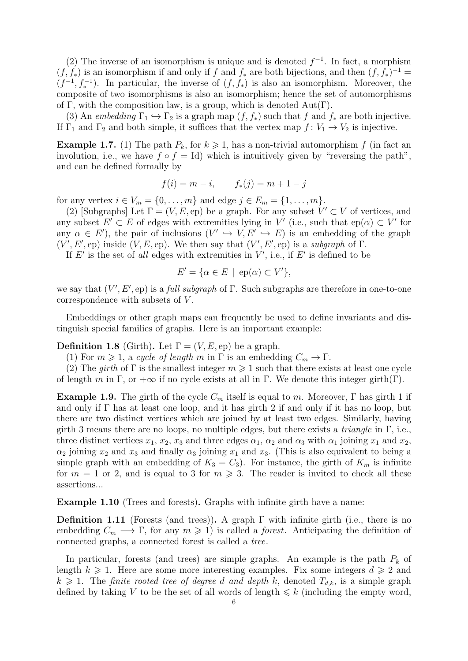(2) The inverse of an isomorphism is unique and is denoted  $f^{-1}$ . In fact, a morphism  $(f, f_*)$  is an isomorphism if and only if f and  $f_*$  are both bijections, and then  $(f, f_*)^{-1}$  $(f^{-1}, f_*^{-1})$ . In particular, the inverse of  $(f, f_*)$  is also an isomorphism. Moreover, the composite of two isomorphisms is also an isomorphism; hence the set of automorphisms of Γ, with the composition law, is a group, which is denoted  $Aut(Γ)$ .

(3) An embedding  $\Gamma_1 \hookrightarrow \Gamma_2$  is a graph map  $(f, f_*)$  such that f and  $f_*$  are both injective. If  $\Gamma_1$  and  $\Gamma_2$  and both simple, it suffices that the vertex map  $f: V_1 \to V_2$  is injective.

<span id="page-6-0"></span>**Example 1.7.** (1) The path  $P_k$ , for  $k \ge 1$ , has a non-trivial automorphism f (in fact an involution, i.e., we have  $f \circ f = Id$ ) which is intuitively given by "reversing the path", and can be defined formally by

$$
f(i) = m - i
$$
,  $f_*(j) = m + 1 - j$ 

for any vertex  $i \in V_m = \{0, ..., m\}$  and edge  $j \in E_m = \{1, ..., m\}$ .

(2) [Subgraphs] Let  $\Gamma = (V, E, ep)$  be a graph. For any subset  $V' \subset V$  of vertices, and any subset  $E' \subset E$  of edges with extremities lying in V' (i.e., such that ep( $\alpha$ )  $\subset V'$  for any  $\alpha \in E'$ , the pair of inclusions  $(V' \hookrightarrow V, E' \hookrightarrow E)$  is an embedding of the graph  $(V', E', \text{ep})$  inside  $(V, E, \text{ep})$ . We then say that  $(V', E', \text{ep})$  is a subgraph of  $\Gamma$ .

If  $E'$  is the set of all edges with extremities in  $V'$ , i.e., if  $E'$  is defined to be

$$
E' = \{ \alpha \in E \mid \text{ep}(\alpha) \subset V' \},
$$

we say that  $(V', E', ep)$  is a *full subgraph* of  $\Gamma$ . Such subgraphs are therefore in one-to-one correspondence with subsets of V.

Embeddings or other graph maps can frequently be used to define invariants and distinguish special families of graphs. Here is an important example:

**Definition 1.8** (Girth). Let  $\Gamma = (V, E, ep)$  be a graph.

(1) For  $m \geq 1$ , a cycle of length m in  $\Gamma$  is an embedding  $C_m \to \Gamma$ .

(2) The girth of  $\Gamma$  is the smallest integer  $m \geq 1$  such that there exists at least one cycle of length m in Γ, or  $+\infty$  if no cycle exists at all in Γ. We denote this integer girth(Γ).

**Example 1.9.** The girth of the cycle  $C_m$  itself is equal to m. Moreover,  $\Gamma$  has girth 1 if and only if  $\Gamma$  has at least one loop, and it has girth 2 if and only if it has no loop, but there are two distinct vertices which are joined by at least two edges. Similarly, having girth 3 means there are no loops, no multiple edges, but there exists a *triangle* in  $\Gamma$ , i.e., three distinct vertices  $x_1, x_2, x_3$  and three edges  $\alpha_1, \alpha_2$  and  $\alpha_3$  with  $\alpha_1$  joining  $x_1$  and  $x_2$ ,  $\alpha_2$  joining  $x_2$  and  $x_3$  and finally  $\alpha_3$  joining  $x_1$  and  $x_3$ . (This is also equivalent to being a simple graph with an embedding of  $K_3 = C_3$ ). For instance, the girth of  $K_m$  is infinite for  $m = 1$  or 2, and is equal to 3 for  $m \ge 3$ . The reader is invited to check all these assertions...

<span id="page-6-1"></span>Example 1.10 (Trees and forests). Graphs with infinite girth have a name:

**Definition 1.11** (Forests (and trees)). A graph  $\Gamma$  with infinite girth (i.e., there is no embedding  $C_m \longrightarrow \Gamma$ , for any  $m \geq 1$ ) is called a *forest*. Anticipating the definition of connected graphs, a connected forest is called a tree.

In particular, forests (and trees) are simple graphs. An example is the path  $P_k$  of length  $k \geq 1$ . Here are some more interesting examples. Fix some integers  $d \geq 2$  and  $k \geq 1$ . The finite rooted tree of degree d and depth k, denoted  $T_{d,k}$ , is a simple graph defined by taking V to be the set of all words of length  $\leq k$  (including the empty word,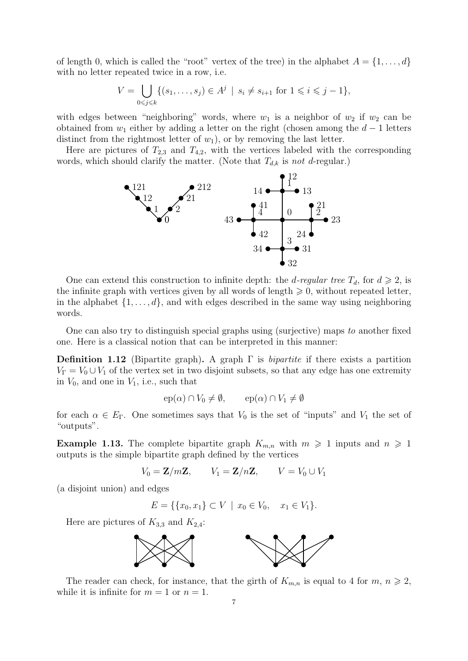of length 0, which is called the "root" vertex of the tree) in the alphabet  $A = \{1, \ldots, d\}$ with no letter repeated twice in a row, i.e.

$$
V = \bigcup_{0 \le j \le k} \{ (s_1, \dots, s_j) \in A^j \mid s_i \ne s_{i+1} \text{ for } 1 \le i \le j-1 \},\
$$

with edges between "neighboring" words, where  $w_1$  is a neighbor of  $w_2$  if  $w_2$  can be obtained from  $w_1$  either by adding a letter on the right (chosen among the  $d-1$  letters distinct from the rightmost letter of  $w_1$ ), or by removing the last letter.

Here are pictures of  $T_{2,3}$  and  $T_{4,2}$ , with the vertices labeled with the corresponding words, which should clarify the matter. (Note that  $T_{d,k}$  is not d-regular.)



One can extend this construction to infinite depth: the *d-regular tree*  $T_d$ , for  $d \geq 2$ , is the infinite graph with vertices given by all words of length  $\geq 0$ , without repeated letter, in the alphabet  $\{1, \ldots, d\}$ , and with edges described in the same way using neighboring words.

One can also try to distinguish special graphs using (surjective) maps to another fixed one. Here is a classical notion that can be interpreted in this manner:

**Definition 1.12** (Bipartite graph). A graph  $\Gamma$  is *bipartite* if there exists a partition  $V_{\Gamma} = V_0 \cup V_1$  of the vertex set in two disjoint subsets, so that any edge has one extremity in  $V_0$ , and one in  $V_1$ , i.e., such that

$$
ep(\alpha) \cap V_0 \neq \emptyset, \qquad ep(\alpha) \cap V_1 \neq \emptyset
$$

for each  $\alpha \in E_{\Gamma}$ . One sometimes says that  $V_0$  is the set of "inputs" and  $V_1$  the set of "outputs".

<span id="page-7-0"></span>**Example 1.13.** The complete bipartite graph  $K_{m,n}$  with  $m \geq 1$  inputs and  $n \geq 1$ outputs is the simple bipartite graph defined by the vertices

$$
V_0 = \mathbf{Z}/m\mathbf{Z}, \qquad V_1 = \mathbf{Z}/n\mathbf{Z}, \qquad V = V_0 \cup V_1
$$

(a disjoint union) and edges

 $E = \{ \{x_0, x_1\} \subset V \mid x_0 \in V_0, \quad x_1 \in V_1 \}.$ 

Here are pictures of  $K_{3,3}$  and  $K_{2,4}$ :



The reader can check, for instance, that the girth of  $K_{m,n}$  is equal to 4 for  $m, n \geq 2$ , while it is infinite for  $m = 1$  or  $n = 1$ .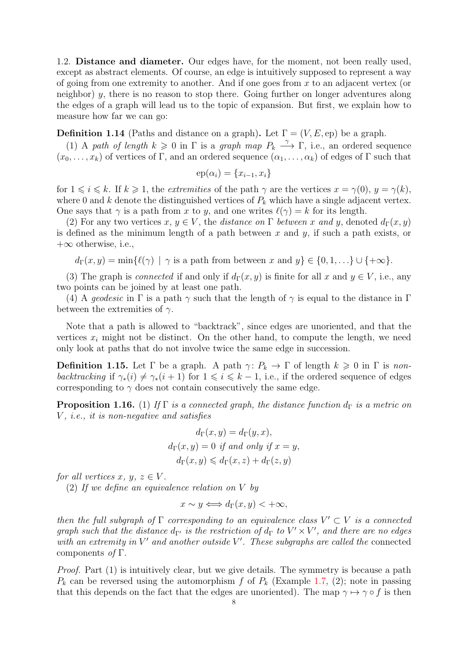<span id="page-8-0"></span>1.2. Distance and diameter. Our edges have, for the moment, not been really used, except as abstract elements. Of course, an edge is intuitively supposed to represent a way of going from one extremity to another. And if one goes from  $x$  to an adjacent vertex (or neighbor) y, there is no reason to stop there. Going further on longer adventures along the edges of a graph will lead us to the topic of expansion. But first, we explain how to measure how far we can go:

**Definition 1.14** (Paths and distance on a graph). Let  $\Gamma = (V, E, ep)$  be a graph.

(1) A path of length  $k \geq 0$  in  $\Gamma$  is a graph map  $P_k \stackrel{\gamma}{\longrightarrow} \Gamma$ , i.e., an ordered sequence  $(x_0, \ldots, x_k)$  of vertices of Γ, and an ordered sequence  $(\alpha_1, \ldots, \alpha_k)$  of edges of Γ such that

$$
ep(\alpha_i) = \{x_{i-1}, x_i\}
$$

for  $1 \leq i \leq k$ . If  $k \geq 1$ , the *extremities* of the path  $\gamma$  are the vertices  $x = \gamma(0), y = \gamma(k)$ , where 0 and k denote the distinguished vertices of  $P_k$  which have a single adjacent vertex. One says that  $\gamma$  is a path from x to y, and one writes  $\ell(\gamma) = k$  for its length.

(2) For any two vertices  $x, y \in V$ , the distance on  $\Gamma$  between x and y, denoted  $d_{\Gamma}(x, y)$ is defined as the minimum length of a path between  $x$  and  $y$ , if such a path exists, or  $+\infty$  otherwise, i.e.,

 $d_{\Gamma}(x, y) = \min\{\ell(\gamma) \mid \gamma \text{ is a path from between } x \text{ and } y\} \in \{0, 1, \ldots\} \cup \{\pm \infty\}.$ 

(3) The graph is *connected* if and only if  $d_{\Gamma}(x, y)$  is finite for all x and  $y \in V$ , i.e., any two points can be joined by at least one path.

(4) A geodesic in  $\Gamma$  is a path  $\gamma$  such that the length of  $\gamma$  is equal to the distance in  $\Gamma$ between the extremities of  $\gamma$ .

Note that a path is allowed to "backtrack", since edges are unoriented, and that the vertices  $x_i$  might not be distinct. On the other hand, to compute the length, we need only look at paths that do not involve twice the same edge in succession.

**Definition 1.15.** Let  $\Gamma$  be a graph. A path  $\gamma: P_k \to \Gamma$  of length  $k \geq 0$  in  $\Gamma$  is nonbacktracking if  $\gamma_*(i) \neq \gamma_*(i + 1)$  for  $1 \leq i \leq k - 1$ , i.e., if the ordered sequence of edges corresponding to  $\gamma$  does not contain consecutively the same edge.

**Proposition 1.16.** (1) If Γ is a connected graph, the distance function  $d_{\Gamma}$  is a metric on  $V$ , *i.e.*, *it is non-negative and satisfies* 

$$
d_{\Gamma}(x, y) = d_{\Gamma}(y, x),
$$
  
\n
$$
d_{\Gamma}(x, y) = 0 \text{ if and only if } x = y,
$$
  
\n
$$
d_{\Gamma}(x, y) \leq d_{\Gamma}(x, z) + d_{\Gamma}(z, y)
$$

for all vertices x, y,  $z \in V$ .

(2) If we define an equivalence relation on V by

$$
x \sim y \Longleftrightarrow d_{\Gamma}(x, y) < +\infty,
$$

then the full subgraph of  $\Gamma$  corresponding to an equivalence class  $V' \subset V$  is a connected graph such that the distance  $d_{\Gamma'}$  is the restriction of  $d_{\Gamma}$  to  $V' \times V'$ , and there are no edges with an extremity in  $V'$  and another outside  $V'$ . These subgraphs are called the connected components of  $\Gamma$ .

Proof. Part (1) is intuitively clear, but we give details. The symmetry is because a path  $P_k$  can be reversed using the automorphism f of  $P_k$  (Example [1.7,](#page-6-0) (2); note in passing that this depends on the fact that the edges are unoriented). The map  $\gamma \mapsto \gamma \circ f$  is then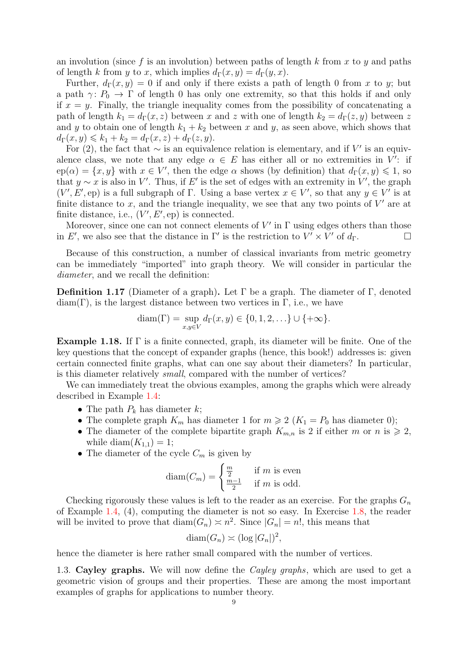an involution (since f is an involution) between paths of length k from x to y and paths of length k from y to x, which implies  $d_{\Gamma}(x, y) = d_{\Gamma}(y, x)$ .

Further,  $d_{\Gamma}(x, y) = 0$  if and only if there exists a path of length 0 from x to y; but a path  $\gamma: P_0 \to \Gamma$  of length 0 has only one extremity, so that this holds if and only if  $x = y$ . Finally, the triangle inequality comes from the possibility of concatenating a path of length  $k_1 = d_{\Gamma}(x, z)$  between x and z with one of length  $k_2 = d_{\Gamma}(z, y)$  between z and y to obtain one of length  $k_1 + k_2$  between x and y, as seen above, which shows that  $d_{\Gamma}(x, y) \leq k_1 + k_2 = d_{\Gamma}(x, z) + d_{\Gamma}(z, y).$ 

For (2), the fact that  $\sim$  is an equivalence relation is elementary, and if V' is an equivalence class, we note that any edge  $\alpha \in E$  has either all or no extremities in V': if  $ep(\alpha) = \{x, y\}$  with  $x \in V'$ , then the edge  $\alpha$  shows (by definition) that  $d_{\Gamma}(x, y) \leq 1$ , so that  $y \sim x$  is also in V'. Thus, if E' is the set of edges with an extremity in V', the graph  $(V', E', \text{ep})$  is a full subgraph of  $\Gamma$ . Using a base vertex  $x \in V'$ , so that any  $y \in V'$  is at finite distance to  $x$ , and the triangle inequality, we see that any two points of  $V'$  are at finite distance, i.e.,  $(V', E', \text{ep})$  is connected.

Moreover, since one can not connect elements of  $V'$  in  $\Gamma$  using edges others than those in E', we also see that the distance in  $\Gamma'$  is the restriction to  $V' \times V'$  of  $d_{\Gamma}$ .

Because of this construction, a number of classical invariants from metric geometry can be immediately "imported" into graph theory. We will consider in particular the diameter, and we recall the definition:

**Definition 1.17** (Diameter of a graph). Let  $\Gamma$  be a graph. The diameter of  $\Gamma$ , denoted  $diam(\Gamma)$ , is the largest distance between two vertices in  $\Gamma$ , i.e., we have

$$
diam(\Gamma) = \sup_{x,y \in V} d_{\Gamma}(x,y) \in \{0,1,2,...\} \cup \{+\infty\}.
$$

**Example 1.18.** If  $\Gamma$  is a finite connected, graph, its diameter will be finite. One of the key questions that the concept of expander graphs (hence, this book!) addresses is: given certain connected finite graphs, what can one say about their diameters? In particular, is this diameter relatively small, compared with the number of vertices?

We can immediately treat the obvious examples, among the graphs which were already described in Example [1.4:](#page-3-0)

- The path  $P_k$  has diameter k;
- The complete graph  $K_m$  has diameter 1 for  $m \geq 2$  ( $K_1 = P_0$  has diameter 0);
- The diameter of the complete bipartite graph  $K_{m,n}$  is 2 if either m or n is  $\geq 2$ , while diam $(K_{1,1}) = 1$ ;
- The diameter of the cycle  $C_m$  is given by

$$
diam(C_m) = \begin{cases} \frac{m}{2} & \text{if } m \text{ is even} \\ \frac{m-1}{2} & \text{if } m \text{ is odd.} \end{cases}
$$

Checking rigorously these values is left to the reader as an exercise. For the graphs  $G_n$ of Example [1.4,](#page-3-0) (4), computing the diameter is not so easy. In Exercise [1.8,](#page-19-0) the reader will be invited to prove that  $\text{diam}(G_n) \asymp n^2$ . Since  $|G_n| = n!$ , this means that

$$
diam(G_n) \asymp (\log |G_n|)^2,
$$

hence the diameter is here rather small compared with the number of vertices.

<span id="page-9-0"></span>1.3. Cayley graphs. We will now define the *Cayley graphs*, which are used to get a geometric vision of groups and their properties. These are among the most important examples of graphs for applications to number theory.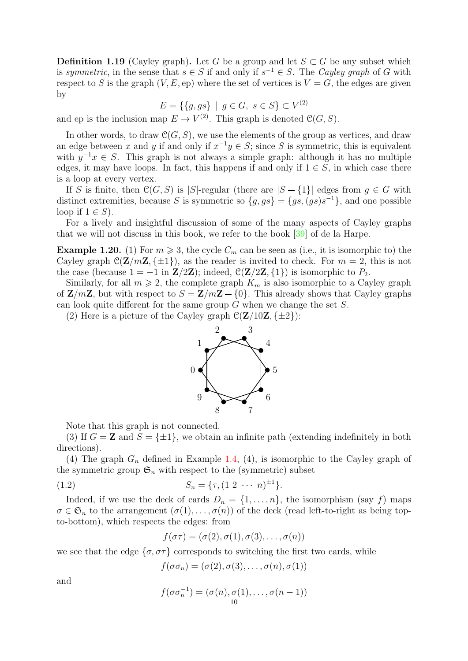<span id="page-10-2"></span>**Definition 1.19** (Cayley graph). Let G be a group and let  $S \subset G$  be any subset which is symmetric, in the sense that  $s \in S$  if and only if  $s^{-1} \in S$ . The Cayley graph of G with respect to S is the graph  $(V, E, ep)$  where the set of vertices is  $V = G$ , the edges are given by

$$
E = \{ \{g, gs\} \mid g \in G, \ s \in S \} \subset V^{(2)}
$$

and ep is the inclusion map  $E \to V^{(2)}$ . This graph is denoted  $\mathcal{C}(G, S)$ .

In other words, to draw  $\mathcal{C}(G, S)$ , we use the elements of the group as vertices, and draw an edge between x and y if and only if  $x^{-1}y \in S$ ; since S is symmetric, this is equivalent with  $y^{-1}x \in S$ . This graph is not always a simple graph: although it has no multiple edges, it may have loops. In fact, this happens if and only if  $1 \in S$ , in which case there is a loop at every vertex.

If S is finite, then  $\mathcal{C}(G, S)$  is |S|-regular (there are  $|S - \{1\}|$  edges from  $g \in G$  with distinct extremities, because S is symmetric so  ${g, gs} = {gs, (gs)s^{-1}}$ , and one possible loop if  $1 \in S$ ).

For a lively and insightful discussion of some of the many aspects of Cayley graphs that we will not discuss in this book, we refer to the book [\[39\]](#page-50-0) of de la Harpe.

<span id="page-10-0"></span>**Example 1.20.** (1) For  $m \ge 3$ , the cycle  $C_m$  can be seen as (i.e., it is isomorphic to) the Cayley graph  $\mathcal{C}(\mathbf{Z}/m\mathbf{Z}, \{\pm 1\})$ , as the reader is invited to check. For  $m = 2$ , this is not the case (because  $1 = -1$  in  $\mathbf{Z}/2\mathbf{Z}$ ); indeed,  $\mathcal{C}(\mathbf{Z}/2\mathbf{Z}, \{1\})$  is isomorphic to  $P_2$ .

Similarly, for all  $m \geq 2$ , the complete graph  $K_m$  is also isomorphic to a Cayley graph of  $\mathbf{Z}/m\mathbf{Z}$ , but with respect to  $S = \mathbf{Z}/m\mathbf{Z} - \{0\}$ . This already shows that Cayley graphs can look quite different for the same group  $G$  when we change the set  $S$ .

(2) Here is a picture of the Cayley graph  $\mathcal{C}(\mathbf{Z}/10\mathbf{Z}, \{\pm 2\})$ :



Note that this graph is not connected.

(3) If  $G = \mathbf{Z}$  and  $S = \{\pm 1\}$ , we obtain an infinite path (extending indefinitely in both directions).

(4) The graph  $G_n$  defined in Example [1.4,](#page-3-0) (4), is isomorphic to the Cayley graph of the symmetric group  $\mathfrak{S}_n$  with respect to the (symmetric) subset

(1.2) 
$$
S_n = \{ \tau, (1 \ 2 \ \cdots \ n)^{\pm 1} \}.
$$

Indeed, if we use the deck of cards  $D_n = \{1, \ldots, n\}$ , the isomorphism (say f) maps  $\sigma \in \mathfrak{S}_n$  to the arrangement  $(\sigma(1), \ldots, \sigma(n))$  of the deck (read left-to-right as being topto-bottom), which respects the edges: from

<span id="page-10-1"></span>
$$
f(\sigma\tau)=(\sigma(2),\sigma(1),\sigma(3),\ldots,\sigma(n))
$$

we see that the edge  $\{\sigma, \sigma\tau\}$  corresponds to switching the first two cards, while

$$
f(\sigma\sigma_n)=(\sigma(2),\sigma(3),\ldots,\sigma(n),\sigma(1))
$$

and

$$
f(\sigma \sigma_n^{-1}) = (\sigma(n), \sigma(1), \ldots, \sigma(n-1))
$$
<sup>10</sup>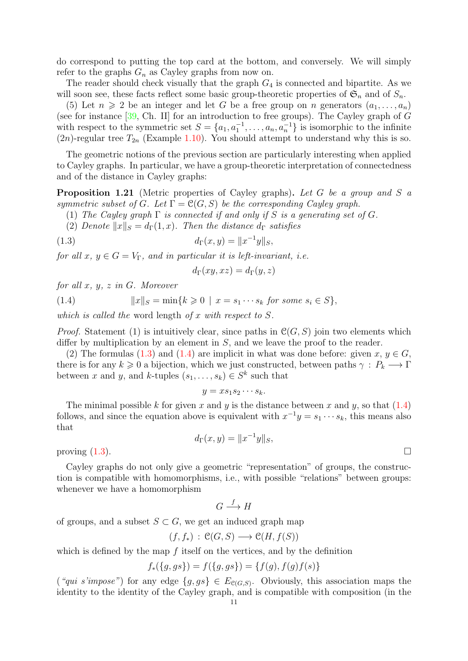<span id="page-11-2"></span>do correspond to putting the top card at the bottom, and conversely. We will simply refer to the graphs  $G_n$  as Cayley graphs from now on.

The reader should check visually that the graph  $G_4$  is connected and bipartite. As we will soon see, these facts reflect some basic group-theoretic properties of  $\mathfrak{S}_n$  and of  $S_n$ .

(5) Let  $n \geq 2$  be an integer and let G be a free group on n generators  $(a_1, \ldots, a_n)$ (see for instance  $[39, Ch. II]$  for an introduction to free groups). The Cayley graph of G with respect to the symmetric set  $S = \{a_1, a_1^{-1}, \ldots, a_n, a_n^{-1}\}$  is isomorphic to the infinite  $(2n)$ -regular tree  $T_{2n}$  (Example [1.10\)](#page-6-1). You should attempt to understand why this is so.

The geometric notions of the previous section are particularly interesting when applied to Cayley graphs. In particular, we have a group-theoretic interpretation of connectedness and of the distance in Cayley graphs:

**Proposition 1.21** (Metric properties of Cayley graphs). Let G be a group and S a symmetric subset of G. Let  $\Gamma = \mathcal{C}(G, S)$  be the corresponding Cayley graph.

(1) The Cayley graph  $\Gamma$  is connected if and only if S is a generating set of G.

(2) Denote  $||x||_S = d_\Gamma(1, x)$ . Then the distance  $d_\Gamma$  satisfies

(1.3) 
$$
d_{\Gamma}(x, y) = ||x^{-1}y||_S,
$$

for all  $x, y \in G = V_{\Gamma}$ , and in particular it is left-invariant, i.e.

<span id="page-11-1"></span><span id="page-11-0"></span>
$$
d_{\Gamma}(xy,xz)=d_{\Gamma}(y,z)
$$

for all  $x, y, z$  in  $G$ . Moreover

(1.4)  $||x||_S = \min\{k \ge 0 \mid x = s_1 \cdots s_k \text{ for some } s_i \in S\},\$ 

which is called the word length of  $x$  with respect to  $S$ .

*Proof.* Statement (1) is intuitively clear, since paths in  $\mathcal{C}(G, S)$  join two elements which differ by multiplication by an element in  $S$ , and we leave the proof to the reader.

(2) The formulas [\(1.3\)](#page-11-0) and [\(1.4\)](#page-11-1) are implicit in what was done before: given  $x, y \in G$ , there is for any  $k \geq 0$  a bijection, which we just constructed, between paths  $\gamma : P_k \longrightarrow \Gamma$ between x and y, and k-tuples  $(s_1, \ldots, s_k) \in S^k$  such that

$$
y = x s_1 s_2 \cdots s_k.
$$

The minimal possible k for given x and y is the distance between x and y, so that  $(1.4)$ follows, and since the equation above is equivalent with  $x^{-1}y = s_1 \cdots s_k$ , this means also that

$$
d_{\Gamma}(x, y) = \|x^{-1}y\|_{S},
$$

proving  $(1.3)$ .

Cayley graphs do not only give a geometric "representation" of groups, the construction is compatible with homomorphisms, i.e., with possible "relations" between groups: whenever we have a homomorphism

$$
G \xrightarrow{f} H
$$

of groups, and a subset  $S \subset G$ , we get an induced graph map

$$
(f, f_*)\,:\,\mathfrak{C}(G, S)\longrightarrow\mathfrak{C}(H, f(S))
$$

which is defined by the map  $f$  itself on the vertices, and by the definition

$$
f_*({g, gs}) = f({g, gs}) = {f(g), f(g)f(s)}
$$

("qui s'impose") for any edge  $\{g, gs\} \in E_{\mathcal{C}(G,S)}$ . Obviously, this association maps the identity to the identity of the Cayley graph, and is compatible with composition (in the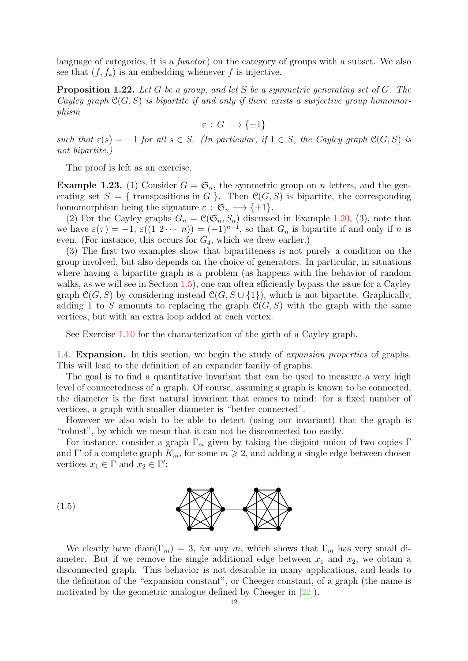<span id="page-12-2"></span>language of categories, it is a *functor*) on the category of groups with a subset. We also see that  $(f, f_*)$  is an embedding whenever f is injective.

**Proposition 1.22.** Let G be a group, and let S be a symmetric generating set of G. The Cayley graph  $\mathcal{C}(G, S)$  is bipartite if and only if there exists a surjective group homomorphism

$$
\varepsilon : G \longrightarrow \{\pm 1\}
$$

such that  $\varepsilon(s) = -1$  for all  $s \in S$ . (In particular, if  $1 \in S$ , the Cayley graph  $\mathfrak{C}(G, S)$  is not bipartite.)

The proof is left as an exercise.

**Example 1.23.** (1) Consider  $G = \mathfrak{S}_n$ , the symmetric group on *n* letters, and the generating set  $S = \{$  transpositions in G  $\}$ . Then  $\mathcal{C}(G, S)$  is bipartite, the corresponding homomorphism being the signature  $\varepsilon : \mathfrak{S}_n \longrightarrow {\pm 1}.$ 

(2) For the Cayley graphs  $G_n = \mathcal{C}(\mathfrak{S}_n, S_n)$  discussed in Example [1.20,](#page-10-0) (3), note that we have  $\varepsilon(\tau) = -1$ ,  $\varepsilon((1 \ 2 \cdots n)) = (-1)^{n-1}$ , so that  $G_n$  is bipartite if and only if n is even. (For instance, this occurs for  $G_4$ , which we drew earlier.)

(3) The first two examples show that bipartiteness is not purely a condition on the group involved, but also depends on the choice of generators. In particular, in situations where having a bipartite graph is a problem (as happens with the behavior of random walks, as we will see in Section  $1.5$ ), one can often efficiently bypass the issue for a Cayley graph  $\mathcal{C}(G, S)$  by considering instead  $\mathcal{C}(G, S \cup \{1\})$ , which is not bipartite. Graphically, adding 1 to S amounts to replacing the graph  $\mathcal{C}(G, S)$  with the graph with the same vertices, but with an extra loop added at each vertex.

See Exercise [1.10](#page-19-1) for the characterization of the girth of a Cayley graph.

<span id="page-12-0"></span>1.4. **Expansion.** In this section, we begin the study of *expansion properties* of graphs. This will lead to the definition of an expander family of graphs.

The goal is to find a quantitative invariant that can be used to measure a very high level of connectedness of a graph. Of course, assuming a graph is known to be connected, the diameter is the first natural invariant that comes to mind: for a fixed number of vertices, a graph with smaller diameter is "better connected".

However we also wish to be able to detect (using our invariant) that the graph is "robust", by which we mean that it can not be disconnected too easily.

For instance, consider a graph  $\Gamma_m$  given by taking the disjoint union of two copies  $\Gamma$ and Γ' of a complete graph  $K_m$ , for some  $m \geq 2$ , and adding a single edge between chosen vertices  $x_1 \in \Gamma$  and  $x_2 \in \Gamma'$ :



<span id="page-12-1"></span>We clearly have diam( $\Gamma_m$ ) = 3, for any m, which shows that  $\Gamma_m$  has very small diameter. But if we remove the single additional edge between  $x_1$  and  $x_2$ , we obtain a disconnected graph. This behavior is not desirable in many applications, and leads to the definition of the "expansion constant", or Cheeger constant, of a graph (the name is motivated by the geometric analogue defined by Cheeger in [\[22\]](#page-49-3)).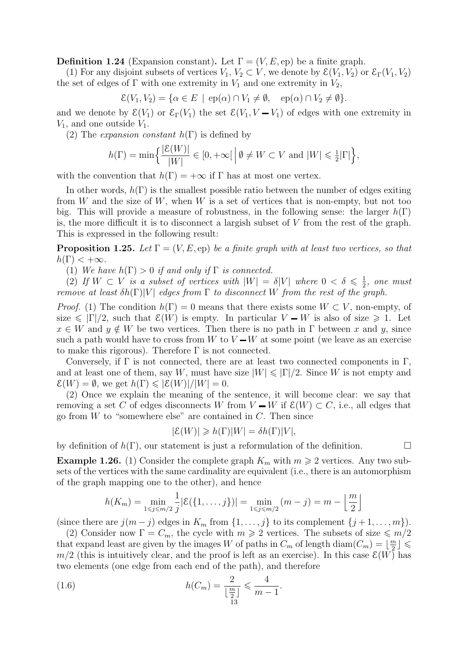**Definition 1.24** (Expansion constant). Let  $\Gamma = (V, E, ep)$  be a finite graph.

(1) For any disjoint subsets of vertices  $V_1, V_2 \subset V$ , we denote by  $\mathcal{E}(V_1, V_2)$  or  $\mathcal{E}_{\Gamma}(V_1, V_2)$ the set of edges of  $\Gamma$  with one extremity in  $V_1$  and one extremity in  $V_2$ ,

$$
\mathcal{E}(V_1, V_2) = \{ \alpha \in E \mid \text{ep}(\alpha) \cap V_1 \neq \emptyset, \text{ep}(\alpha) \cap V_2 \neq \emptyset \}.
$$

and we denote by  $\mathcal{E}(V_1)$  or  $\mathcal{E}_{\Gamma}(V_1)$  the set  $\mathcal{E}(V_1, V - V_1)$  of edges with one extremity in  $V_1$ , and one outside  $V_1$ .

(2) The *expansion constant*  $h(\Gamma)$  is defined by

$$
h(\Gamma) = \min\Big{\frac{|\mathcal{E}(W)|}{|W|} \in [0, +\infty[\Big|\emptyset \neq W \subset V \text{ and } |W| \leq \frac{1}{2}|\Gamma|\Big\},\
$$

with the convention that  $h(\Gamma) = +\infty$  if  $\Gamma$  has at most one vertex.

In other words,  $h(\Gamma)$  is the smallest possible ratio between the number of edges exiting from  $W$  and the size of  $W$ , when  $W$  is a set of vertices that is non-empty, but not too big. This will provide a measure of robustness, in the following sense: the larger  $h(\Gamma)$ is, the more difficult it is to disconnect a largish subset of V from the rest of the graph. This is expressed in the following result:

**Proposition 1.25.** Let  $\Gamma = (V, E, ep)$  be a finite graph with at least two vertices, so that  $h(\Gamma) < +\infty$ .

(1) We have  $h(\Gamma) > 0$  if and only if  $\Gamma$  is connected.

(2) If  $W \subset V$  is a subset of vertices with  $|W| = \delta |V|$  where  $0 < \delta \leq \frac{1}{2}$  $\frac{1}{2}$ , one must remove at least  $\delta h(\Gamma)|V|$  edges from  $\Gamma$  to disconnect W from the rest of the graph.

*Proof.* (1) The condition  $h(\Gamma) = 0$  means that there exists some  $W \subset V$ , non-empty, of size  $\leq |\Gamma|/2$ , such that  $\mathcal{E}(W)$  is empty. In particular  $V - W$  is also of size  $\geq 1$ . Let  $x \in W$  and  $y \notin W$  be two vertices. Then there is no path in  $\Gamma$  between x and y, since such a path would have to cross from W to  $V-W$  at some point (we leave as an exercise to make this rigorous). Therefore  $\Gamma$  is not connected.

Conversely, if  $\Gamma$  is not connected, there are at least two connected components in  $\Gamma$ , and at least one of them, say W, must have size  $|W| \leq |\Gamma|/2$ . Since W is not empty and  $\mathcal{E}(W) = \emptyset$ , we get  $h(\Gamma) \leqslant |\mathcal{E}(W)|/|W| = 0$ .

(2) Once we explain the meaning of the sentence, it will become clear: we say that removing a set C of edges disconnects W from  $V - W$  if  $\mathcal{E}(W) \subset C$ , i.e., all edges that go from  $W$  to "somewhere else" are contained in  $C$ . Then since

$$
|\mathcal{E}(W)| \geq h(\Gamma)|W| = \delta h(\Gamma)|V|,
$$

by definition of  $h(\Gamma)$ , our statement is just a reformulation of the definition.

<span id="page-13-1"></span>**Example 1.26.** (1) Consider the complete graph  $K_m$  with  $m \geq 2$  vertices. Any two subsets of the vertices with the same cardinality are equivalent (i.e., there is an automorphism of the graph mapping one to the other), and hence

<span id="page-13-0"></span>
$$
h(K_m) = \min_{1 \le j \le m/2} \frac{1}{j} |\mathcal{E}(\{1, \dots, j\})| = \min_{1 \le j \le m/2} (m - j) = m - \left\lfloor \frac{m}{2} \right\rfloor
$$

(since there are  $j(m - j)$  edges in  $K_m$  from  $\{1, \ldots, j\}$  to its complement  $\{j + 1, \ldots, m\}$ ).

(2) Consider now  $\Gamma = C_m$ , the cycle with  $m \geq 2$  vertices. The subsets of size  $\leq m/2$ that expand least are given by the images W of paths in  $C_m$  of length diam $(C_m) = \lfloor \frac{m}{2} \rfloor$  $\frac{m}{2}$   $\int$   $\leqslant$  $m/2$  (this is intuitively clear, and the proof is left as an exercise). In this case  $\mathcal{E}(W)$  has two elements (one edge from each end of the path), and therefore

(1.6) 
$$
h(C_m) = \frac{2}{\lfloor \frac{m}{2} \rfloor} \leqslant \frac{4}{m-1}.
$$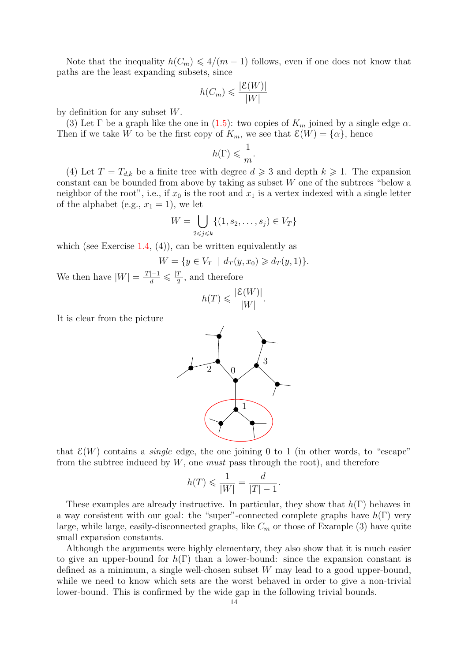Note that the inequality  $h(C_m) \leq 4/(m-1)$  follows, even if one does not know that paths are the least expanding subsets, since

$$
h(C_m) \leqslant \frac{|\mathcal{E}(W)|}{|W|}
$$

by definition for any subset W.

(3) Let  $\Gamma$  be a graph like the one in [\(1.5\)](#page-12-1): two copies of  $K_m$  joined by a single edge  $\alpha$ . Then if we take W to be the first copy of  $K_m$ , we see that  $\mathcal{E}(W) = {\alpha}$ , hence

$$
h(\Gamma) \leqslant \frac{1}{m}.
$$

(4) Let  $T = T_{d,k}$  be a finite tree with degree  $d \geq 3$  and depth  $k \geq 1$ . The expansion constant can be bounded from above by taking as subset W one of the subtrees "below a neighbor of the root", i.e., if  $x_0$  is the root and  $x_1$  is a vertex indexed with a single letter of the alphabet (e.g.,  $x_1 = 1$ ), we let

$$
W = \bigcup_{2 \leq j \leq k} \{ (1, s_2, \dots, s_j) \in V_T \}
$$

which (see Exercise [1.4,](#page-18-1)  $(4)$ ), can be written equivalently as

$$
W = \{ y \in V_T \mid d_T(y, x_0) \geq d_T(y, 1) \}.
$$

We then have  $|W| = \frac{|T|-1}{d} \leqslant \frac{|T|}{2}$  $\frac{I}{2}$ , and therefore

$$
h(T) \leqslant \frac{|\mathcal{E}(W)|}{|W|}.
$$

It is clear from the picture

![](_page_14_Figure_12.jpeg)

that  $\mathcal{E}(W)$  contains a *single* edge, the one joining 0 to 1 (in other words, to "escape" from the subtree induced by  $W$ , one *must* pass through the root), and therefore

$$
h(T) \leqslant \frac{1}{|W|} = \frac{d}{|T| - 1}.
$$

These examples are already instructive. In particular, they show that  $h(\Gamma)$  behaves in a way consistent with our goal: the "super"-connected complete graphs have  $h(\Gamma)$  very large, while large, easily-disconnected graphs, like  $C_m$  or those of Example (3) have quite small expansion constants.

Although the arguments were highly elementary, they also show that it is much easier to give an upper-bound for  $h(\Gamma)$  than a lower-bound: since the expansion constant is defined as a minimum, a single well-chosen subset W may lead to a good upper-bound, while we need to know which sets are the worst behaved in order to give a non-trivial lower-bound. This is confirmed by the wide gap in the following trivial bounds.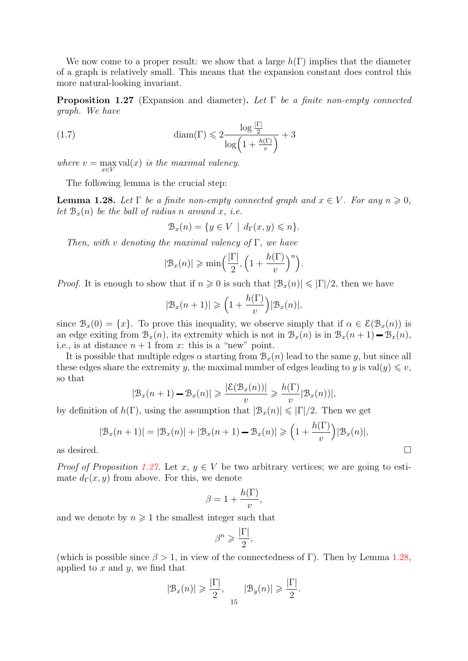We now come to a proper result: we show that a large  $h(\Gamma)$  implies that the diameter of a graph is relatively small. This means that the expansion constant does control this more natural-looking invariant.

<span id="page-15-0"></span>**Proposition 1.27** (Expansion and diameter). Let  $\Gamma$  be a finite non-empty connected graph. We have

(1.7) 
$$
\text{diam}(\Gamma) \leq 2 \frac{\log \frac{|\Gamma|}{2}}{\log \left(1 + \frac{h(\Gamma)}{v}\right)} + 3
$$

where  $v = \max_{x \in V} \text{val}(x)$  is the maximal valency.

The following lemma is the crucial step:

<span id="page-15-1"></span>**Lemma 1.28.** Let  $\Gamma$  be a finite non-empty connected graph and  $x \in V$ . For any  $n \geq 0$ , let  $B<sub>x</sub>(n)$  be the ball of radius n around x, i.e.

$$
\mathcal{B}_x(n) = \{ y \in V \mid d_{\Gamma}(x, y) \leqslant n \}.
$$

Then, with v denoting the maximal valency of  $\Gamma$ , we have

$$
|\mathcal{B}_x(n)| \ge \min\left(\frac{|\Gamma|}{2}, \left(1 + \frac{h(\Gamma)}{v}\right)^n\right).
$$

*Proof.* It is enough to show that if  $n \geq 0$  is such that  $|\mathcal{B}_x(n)| \leq |\Gamma|/2$ , then we have

$$
|\mathcal{B}_x(n+1)| \geqslant \left(1 + \frac{h(\Gamma)}{v}\right) |\mathcal{B}_x(n)|,
$$

since  $\mathcal{B}_x(0) = \{x\}$ . To prove this inequality, we observe simply that if  $\alpha \in \mathcal{E}(\mathcal{B}_x(n))$  is an edge exiting from  $\mathcal{B}_x(n)$ , its extremity which is not in  $\mathcal{B}_x(n)$  is in  $\mathcal{B}_x(n+1) - \mathcal{B}_x(n)$ , i.e., is at distance  $n + 1$  from x: this is a "new" point.

It is possible that multiple edges  $\alpha$  starting from  $\mathcal{B}_x(n)$  lead to the same y, but since all these edges share the extremity y, the maximal number of edges leading to y is val $(y) \leq v$ , so that

$$
|\mathcal{B}_x(n+1) - \mathcal{B}_x(n)| \ge \frac{|\mathcal{E}(\mathcal{B}_x(n))|}{v} \ge \frac{h(\Gamma)}{v} |\mathcal{B}_x(n)|,
$$

by definition of  $h(\Gamma)$ , using the assumption that  $|\mathcal{B}_x(n)| \leq |\Gamma|/2$ . Then we get

$$
|\mathcal{B}_x(n+1)| = |\mathcal{B}_x(n)| + |\mathcal{B}_x(n+1) - \mathcal{B}_x(n)| \ge (1 + \frac{h(\Gamma)}{v}) |\mathcal{B}_x(n)|,
$$
  
as desired.

*Proof of Proposition [1.27.](#page-15-0)* Let  $x, y \in V$  be two arbitrary vertices; we are going to estimate  $d_{\Gamma}(x, y)$  from above. For this, we denote

$$
\beta = 1 + \frac{h(\Gamma)}{v},
$$

and we denote by  $n \geq 1$  the smallest integer such that

$$
\beta^n \geqslant \frac{|\Gamma|}{2},
$$

(which is possible since  $\beta > 1$ , in view of the connectedness of Γ). Then by Lemma [1.28,](#page-15-1) applied to  $x$  and  $y$ , we find that

$$
|\mathcal{B}_x(n)| \geqslant \frac{|\Gamma|}{2}, \quad |\mathcal{B}_y(n)| \geqslant \frac{|\Gamma|}{2}.
$$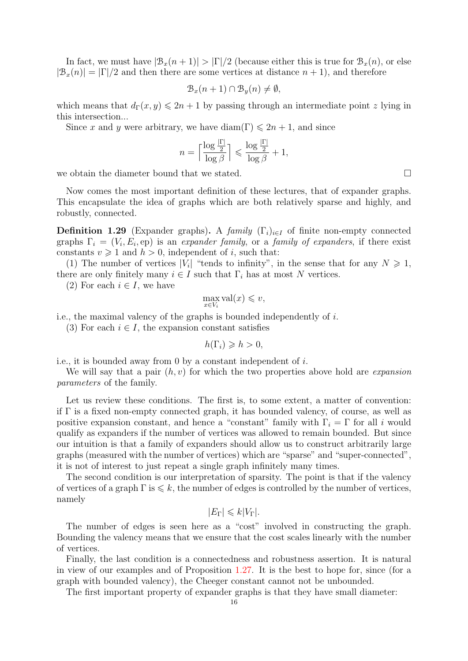In fact, we must have  $|\mathcal{B}_x(n+1)| > |\Gamma|/2$  (because either this is true for  $\mathcal{B}_x(n)$ , or else  $|\mathcal{B}_x(n)| = |\Gamma|/2$  and then there are some vertices at distance  $n+1$ , and therefore

$$
\mathcal{B}_x(n+1) \cap \mathcal{B}_y(n) \neq \emptyset,
$$

which means that  $d_{\Gamma}(x, y) \leq 2n + 1$  by passing through an intermediate point z lying in this intersection...

Since x and y were arbitrary, we have diam(Γ)  $\leq 2n + 1$ , and since

$$
n = \left\lceil \frac{\log \frac{|\Gamma|}{2}}{\log \beta} \right\rceil \leqslant \frac{\log \frac{|\Gamma|}{2}}{\log \beta} + 1,
$$

we obtain the diameter bound that we stated.

Now comes the most important definition of these lectures, that of expander graphs. This encapsulate the idea of graphs which are both relatively sparse and highly, and robustly, connected.

<span id="page-16-0"></span>**Definition 1.29** (Expander graphs). A family  $(\Gamma_i)_{i\in I}$  of finite non-empty connected graphs  $\Gamma_i = (V_i, E_i, \text{ep})$  is an expander family, or a family of expanders, if there exist constants  $v \geq 1$  and  $h > 0$ , independent of i, such that:

(1) The number of vertices  $|V_i|$  "tends to infinity", in the sense that for any  $N \geq 1$ , there are only finitely many  $i \in I$  such that  $\Gamma_i$  has at most N vertices.

(2) For each  $i \in I$ , we have

$$
\max_{x \in V_i} \text{val}(x) \leqslant v,
$$

i.e., the maximal valency of the graphs is bounded independently of  $i$ .

(3) For each  $i \in I$ , the expansion constant satisfies

 $h(\Gamma_i) \geqslant h > 0$ ,

i.e., it is bounded away from 0 by a constant independent of i.

We will say that a pair  $(h, v)$  for which the two properties above hold are *expansion* parameters of the family.

Let us review these conditions. The first is, to some extent, a matter of convention: if  $\Gamma$  is a fixed non-empty connected graph, it has bounded valency, of course, as well as positive expansion constant, and hence a "constant" family with  $\Gamma_i = \Gamma$  for all i would qualify as expanders if the number of vertices was allowed to remain bounded. But since our intuition is that a family of expanders should allow us to construct arbitrarily large graphs (measured with the number of vertices) which are "sparse" and "super-connected", it is not of interest to just repeat a single graph infinitely many times.

The second condition is our interpretation of sparsity. The point is that if the valency of vertices of a graph  $\Gamma$  is  $\leq k$ , the number of edges is controlled by the number of vertices, namely

$$
|E_{\Gamma}| \leq k|V_{\Gamma}|.
$$

The number of edges is seen here as a "cost" involved in constructing the graph. Bounding the valency means that we ensure that the cost scales linearly with the number of vertices.

Finally, the last condition is a connectedness and robustness assertion. It is natural in view of our examples and of Proposition [1.27.](#page-15-0) It is the best to hope for, since (for a graph with bounded valency), the Cheeger constant cannot not be unbounded.

The first important property of expander graphs is that they have small diameter: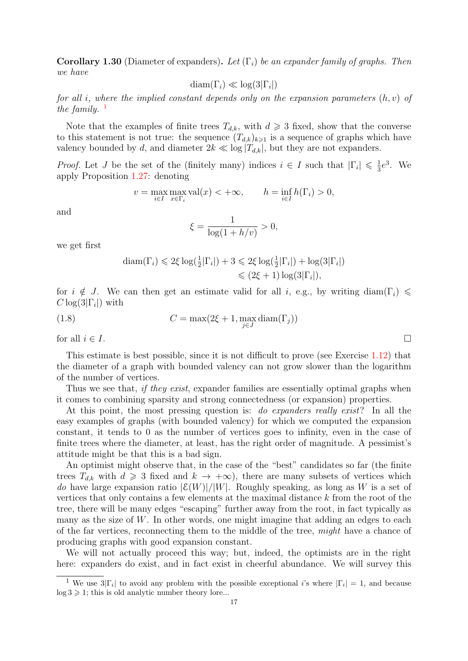**Corollary 1.30** (Diameter of expanders). Let  $(\Gamma_i)$  be an expander family of graphs. Then we have

$$
diam(\Gamma_i) \ll log(3|\Gamma_i|)
$$

for all i, where the implied constant depends only on the expansion parameters  $(h, v)$  of the family.  $\frac{1}{2}$  $\frac{1}{2}$  $\frac{1}{2}$ 

Note that the examples of finite trees  $T_{d,k}$ , with  $d \geq 3$  fixed, show that the converse to this statement is not true: the sequence  $(T_{d,k})_{k\geq 1}$  is a sequence of graphs which have valency bounded by d, and diameter  $2k \ll \log |T_{d,k}|$ , but they are not expanders.

*Proof.* Let J be the set of the (finitely many) indices  $i \in I$  such that  $|\Gamma_i| \leq \frac{1}{3}$  $\frac{1}{3}e^3$ . We apply Proposition [1.27:](#page-15-0) denoting

$$
v = \max_{i \in I} \max_{x \in \Gamma_i} \text{val}(x) < +\infty, \qquad h = \inf_{i \in I} h(\Gamma_i) > 0,
$$

and

$$
\xi = \frac{1}{\log(1 + h/v)} > 0,
$$

we get first

$$
\begin{aligned} \text{diam}(\Gamma_i) &\leq 2\xi \log(\frac{1}{2}|\Gamma_i|) + 3 \leqslant 2\xi \log(\frac{1}{2}|\Gamma_i|) + \log(3|\Gamma_i|) \\ &\leqslant (2\xi + 1) \log(3|\Gamma_i|), \end{aligned}
$$

for  $i \notin J$ . We can then get an estimate valid for all i, e.g., by writing diam( $\Gamma_i$ )  $\leq$  $C \log(3|\Gamma_i|)$  with

(1.8) 
$$
C = \max(2\xi + 1, \max_{j \in J} \text{diam}(\Gamma_j))
$$

for all  $i \in I$ .

This estimate is best possible, since it is not difficult to prove (see Exercise [1.12\)](#page-20-0) that the diameter of a graph with bounded valency can not grow slower than the logarithm of the number of vertices.

Thus we see that, *if they exist*, expander families are essentially optimal graphs when it comes to combining sparsity and strong connectedness (or expansion) properties.

At this point, the most pressing question is: do expanders really exist? In all the easy examples of graphs (with bounded valency) for which we computed the expansion constant, it tends to 0 as the number of vertices goes to infinity, even in the case of finite trees where the diameter, at least, has the right order of magnitude. A pessimist's attitude might be that this is a bad sign.

An optimist might observe that, in the case of the "best" candidates so far (the finite trees  $T_{d,k}$  with  $d \geq 3$  fixed and  $k \to +\infty$ ), there are many subsets of vertices which do have large expansion ratio  $|\mathcal{E}(W)|/|W|$ . Roughly speaking, as long as W is a set of vertices that only contains a few elements at the maximal distance k from the root of the tree, there will be many edges "escaping" further away from the root, in fact typically as many as the size of  $W$ . In other words, one might imagine that adding an edges to each of the far vertices, reconnecting them to the middle of the tree, might have a chance of producing graphs with good expansion constant.

We will not actually proceed this way; but, indeed, the optimists are in the right here: expanders do exist, and in fact exist in cheerful abundance. We will survey this

<span id="page-17-0"></span><sup>&</sup>lt;sup>1</sup> We use  $3|\Gamma_i|$  to avoid any problem with the possible exceptional i's where  $|\Gamma_i| = 1$ , and because  $log 3 \geq 1$ ; this is old analytic number theory lore...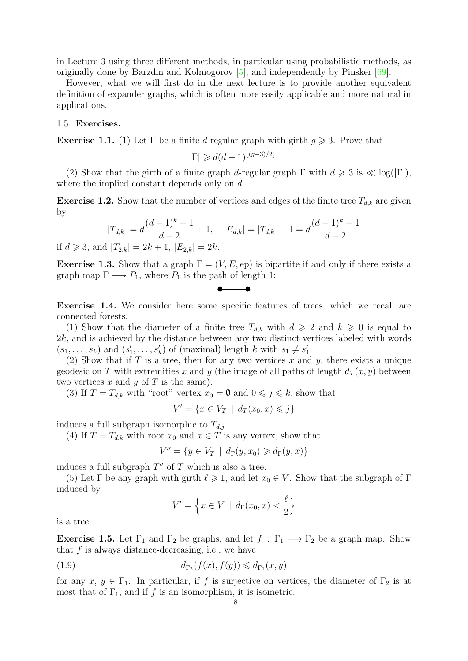<span id="page-18-2"></span>in Lecture 3 using three different methods, in particular using probabilistic methods, as originally done by Barzdin and Kolmogorov [\[5\]](#page-49-4), and independently by Pinsker [\[69\]](#page-51-0).

However, what we will first do in the next lecture is to provide another equivalent definition of expander graphs, which is often more easily applicable and more natural in applications.

#### <span id="page-18-0"></span>1.5. Exercises.

**Exercise 1.1.** (1) Let  $\Gamma$  be a finite d-regular graph with girth  $g \ge 3$ . Prove that

$$
|\Gamma| \geq d(d-1)^{\lfloor (g-3)/2 \rfloor}.
$$

(2) Show that the girth of a finite graph d-regular graph  $\Gamma$  with  $d \geq 3$  is  $\ll \log(|\Gamma|)$ , where the implied constant depends only on d.

**Exercise 1.2.** Show that the number of vertices and edges of the finite tree  $T_{d,k}$  are given by

$$
|T_{d,k}| = d\frac{(d-1)^k - 1}{d-2} + 1, \quad |E_{d,k}| = |T_{d,k}| - 1 = d\frac{(d-1)^k - 1}{d-2}
$$
  
d|T\_{d,k}| = 2k + 1 |F\_{d,k}| = 2k

if  $d \geq 3$ , and  $|T_{2,k}| = 2k + 1$ ,  $|E_{2,k}| = 2k$ .

**Exercise 1.3.** Show that a graph  $\Gamma = (V, E, ep)$  is bipartite if and only if there exists a graph map  $\Gamma \longrightarrow P_1$ , where  $P_1$  is the path of length 1:

$$
\bullet\hspace{-4pt}-\hspace{-4pt}-\hspace{-4pt}-\hspace{-4pt}-\hspace{-4pt}-\hspace{-4pt}-\hspace{-4pt}-\hspace{-4pt}-\hspace{-4pt}-\hspace{-4pt}-\hspace{-4pt}-\hspace{-4pt}-\hspace{-4pt}-\hspace{-4pt}-\hspace{-4pt}-\hspace{-4pt}-\hspace{-4pt}-\hspace{-4pt}-\hspace{-4pt}-\hspace{-4pt}-\hspace{-4pt}-\hspace{-4pt}-\hspace{-4pt}-\hspace{-4pt}-\hspace{-4pt}-\hspace{-4pt}-\hspace{-4pt}-\hspace{-4pt}-\hspace{-4pt}-\hspace{-4pt}-\hspace{-4pt}-\hspace{-4pt}-\hspace{-4pt}-\hspace{-4pt}-\hspace{-4pt}-\hspace{-4pt}-\hspace{-4pt}-\hspace{-4pt}-\hspace{-4pt}-\hspace{-4pt}-\hspace{-4pt}-\hspace{-4pt}-\hspace{-4pt}-\hspace{-4pt}-\hspace{-4pt}-\hspace{-4pt}-\hspace{-4pt}-\hspace{-4pt}-\hspace{-4pt}-\hspace{-4pt}-\hspace{-4pt}-\hspace{-4pt}-\hspace{-4pt}-\hspace{-4pt}-\hspace{-4pt}-\hspace{-4pt}-\hspace{-4pt}-\hspace{-4pt}-\hspace{-4pt}-\hspace{-4pt}-\hspace{-4pt}-\hspace{-4pt}-\hspace{-4pt}-\hspace{-4pt}-\hspace{-4pt}-\hspace{-4pt}-\hspace{-4pt}-\hspace{-4pt}-\hspace{-4pt}-\hspace{-4pt}-\hspace{-4pt}-\hspace{-4pt}-\hspace{-4pt}-\hspace{-4pt}-\hspace{-4pt}-\hspace{-4pt}-\hspace{-4pt}-\hspace{-4pt}-\hspace{-4pt}-\hspace{-4pt}-\hspace{-4pt}-\hspace{-4pt}-\hspace{-4pt}-\hspace{-4pt}-\hspace{-4pt}-\hspace{-4pt}-\hspace{-4pt}-\hspace{-4pt}-\hspace{-4pt}-\hspace{-4pt}-\hspace{-4pt}-\hspace{-4pt}-\hspace{-4pt}-\hspace{-4pt}-\hspace{-4pt}-\hspace{-4pt}-\hspace{-4pt}-\hspace{-4pt}-\hspace{-4pt}-\hspace{-2pt}-\hspace{-2pt}-\hspace{-4pt}-\hspace{-2pt}-\hspace{-2pt}-\hspace{-2pt}-\hspace{-2pt}-\hspace{-2pt}-\hspace{-2pt}-\hs
$$

<span id="page-18-1"></span>Exercise 1.4. We consider here some specific features of trees, which we recall are connected forests.

(1) Show that the diameter of a finite tree  $T_{d,k}$  with  $d \geq 2$  and  $k \geq 0$  is equal to  $2k$ , and is achieved by the distance between any two distinct vertices labeled with words  $(s_1, \ldots, s_k)$  and  $(s'_1, \ldots, s'_k)$  of (maximal) length k with  $s_1 \neq s'_1$ .

(2) Show that if  $T$  is a tree, then for any two vertices  $x$  and  $y$ , there exists a unique geodesic on T with extremities x and y (the image of all paths of length  $d_T(x, y)$  between two vertices  $x$  and  $y$  of  $T$  is the same).

(3) If  $T = T_{d,k}$  with "root" vertex  $x_0 = \emptyset$  and  $0 \leq \gamma \leq k$ , show that

$$
V' = \{ x \in V_T \mid d_T(x_0, x) \leqslant j \}
$$

induces a full subgraph isomorphic to  $T_{d,j}$ .

(4) If  $T = T_{d,k}$  with root  $x_0$  and  $x \in T$  is any vertex, show that

$$
V'' = \{ y \in V_T \mid d_{\Gamma}(y, x_0) \geq d_{\Gamma}(y, x) \}
$$

induces a full subgraph  $T''$  of  $T$  which is also a tree.

(5) Let  $\Gamma$  be any graph with girth  $\ell \geq 1$ , and let  $x_0 \in V$ . Show that the subgraph of  $\Gamma$ induced by

$$
V' = \left\{ x \in V \mid d_{\Gamma}(x_0, x) < \frac{\ell}{2} \right\}
$$

is a tree.

Exercise 1.5. Let  $\Gamma_1$  and  $\Gamma_2$  be graphs, and let  $f : \Gamma_1 \longrightarrow \Gamma_2$  be a graph map. Show that  $f$  is always distance-decreasing, i.e., we have

$$
(1.9) \t\t d_{\Gamma_2}(f(x), f(y)) \leq d_{\Gamma_1}(x, y)
$$

for any  $x, y \in \Gamma_1$ . In particular, if f is surjective on vertices, the diameter of  $\Gamma_2$  is at most that of  $\Gamma_1$ , and if f is an isomorphism, it is isometric.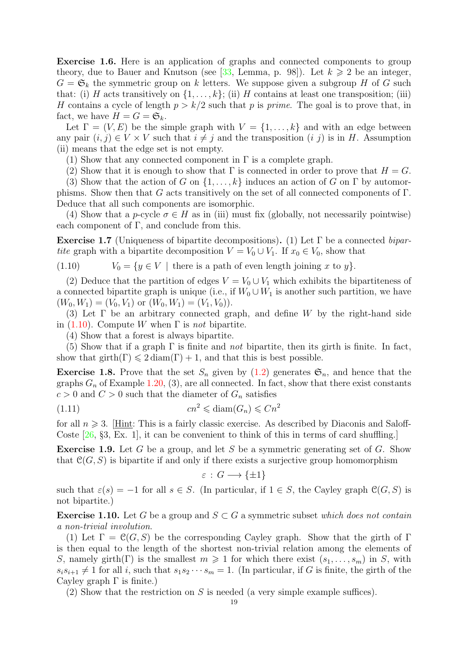<span id="page-19-4"></span>Exercise 1.6. Here is an application of graphs and connected components to group theory, due to Bauer and Knutson (see [\[33,](#page-50-1) Lemma, p. 98]). Let  $k \geq 2$  be an integer,  $G = \mathfrak{S}_k$  the symmetric group on k letters. We suppose given a subgroup H of G such that: (i) H acts transitively on  $\{1, \ldots, k\}$ ; (ii) H contains at least one transposition; (iii) H contains a cycle of length  $p > k/2$  such that p is prime. The goal is to prove that, in fact, we have  $H = G = \mathfrak{S}_k$ .

Let  $\Gamma = (V, E)$  be the simple graph with  $V = \{1, \ldots, k\}$  and with an edge between any pair  $(i, j) \in V \times V$  such that  $i \neq j$  and the transposition  $(i, j)$  is in H. Assumption (ii) means that the edge set is not empty.

(1) Show that any connected component in  $\Gamma$  is a complete graph.

(2) Show that it is enough to show that  $\Gamma$  is connected in order to prove that  $H = G$ .

(3) Show that the action of G on  $\{1,\ldots,k\}$  induces an action of G on  $\Gamma$  by automorphisms. Show then that G acts transitively on the set of all connected components of  $\Gamma$ . Deduce that all such components are isomorphic.

(4) Show that a p-cycle  $\sigma \in H$  as in (iii) must fix (globally, not necessarily pointwise) each component of  $\Gamma$ , and conclude from this.

**Exercise 1.7** (Uniqueness of bipartite decompositions). (1) Let  $\Gamma$  be a connected bipartite graph with a bipartite decomposition  $V = V_0 \cup V_1$ . If  $x_0 \in V_0$ , show that

<span id="page-19-2"></span>(1.10)  $V_0 = \{y \in V \mid \text{there is a path of even length joining } x \text{ to } y\}.$ 

(2) Deduce that the partition of edges  $V = V_0 \cup V_1$  which exhibits the bipartiteness of a connected bipartite graph is unique (i.e., if  $W_0 \cup W_1$  is another such partition, we have  $(W_0, W_1) = (V_0, V_1)$  or  $(W_0, W_1) = (V_1, V_0)$ .

(3) Let  $\Gamma$  be an arbitrary connected graph, and define W by the right-hand side in [\(1.10\)](#page-19-2). Compute W when  $\Gamma$  is *not* bipartite.

(4) Show that a forest is always bipartite.

(5) Show that if a graph  $\Gamma$  is finite and *not* bipartite, then its girth is finite. In fact, show that girth(Γ)  $\leq 2$  diam(Γ) + 1, and that this is best possible.

<span id="page-19-0"></span>**Exercise 1.8.** Prove that the set  $S_n$  given by [\(1.2\)](#page-10-1) generates  $\mathfrak{S}_n$ , and hence that the graphs  $G_n$  of Example [1.20,](#page-10-0) (3), are all connected. In fact, show that there exist constants  $c > 0$  and  $C > 0$  such that the diameter of  $G_n$  satisfies

$$
(1.11)\t\t\t cn^2 \leq \text{diam}(G_n) \leq Cn^2
$$

for all  $n \geqslant 3$ . [Hint: This is a fairly classic exercise. As described by Diaconis and Saloff-Coste [\[26,](#page-49-2) §3, Ex. 1], it can be convenient to think of this in terms of card shuffling.

**Exercise 1.9.** Let G be a group, and let S be a symmetric generating set of G. Show that  $\mathcal{C}(G, S)$  is bipartite if and only if there exists a surjective group homomorphism

<span id="page-19-3"></span>
$$
\varepsilon \,:\, G \longrightarrow \{\pm 1\}
$$

such that  $\varepsilon(s) = -1$  for all  $s \in S$ . (In particular, if  $1 \in S$ , the Cayley graph  $\mathcal{C}(G, S)$  is not bipartite.)

<span id="page-19-1"></span>**Exercise 1.10.** Let G be a group and  $S \subset G$  a symmetric subset which does not contain a non-trivial involution.

(1) Let  $\Gamma = \mathcal{C}(G, S)$  be the corresponding Cayley graph. Show that the girth of  $\Gamma$ is then equal to the length of the shortest non-trivial relation among the elements of S, namely girth(Γ) is the smallest  $m \geq 1$  for which there exist  $(s_1, \ldots, s_m)$  in S, with  $s_i s_{i+1} \neq 1$  for all i, such that  $s_1 s_2 \cdots s_m = 1$ . (In particular, if G is finite, the girth of the Cayley graph  $\Gamma$  is finite.)

(2) Show that the restriction on  $S$  is needed (a very simple example suffices).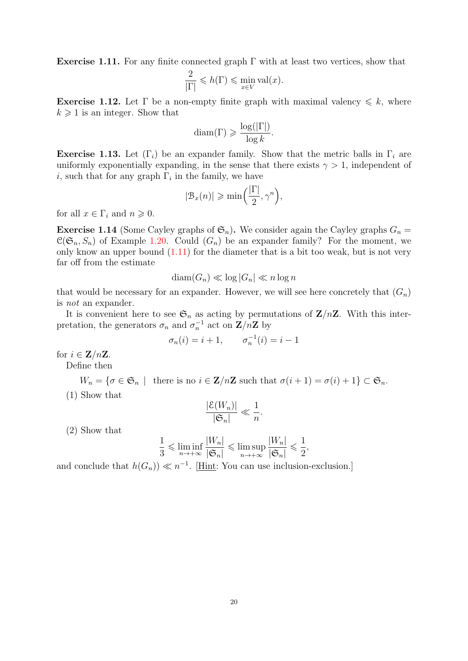**Exercise 1.11.** For any finite connected graph  $\Gamma$  with at least two vertices, show that

$$
\frac{2}{|\Gamma|} \leqslant h(\Gamma) \leqslant \min_{x \in V} \text{val}(x).
$$

<span id="page-20-0"></span>**Exercise 1.12.** Let  $\Gamma$  be a non-empty finite graph with maximal valency  $\leq k$ , where  $k \geq 1$  is an integer. Show that

$$
diam(\Gamma) \geqslant \frac{\log(|\Gamma|)}{\log k}.
$$

**Exercise 1.13.** Let  $(\Gamma_i)$  be an expander family. Show that the metric balls in  $\Gamma_i$  are uniformly exponentially expanding, in the sense that there exists  $\gamma > 1$ , independent of i, such that for any graph  $\Gamma_i$  in the family, we have

$$
|\mathcal{B}_x(n)| \geqslant \min\left(\frac{|\Gamma|}{2}, \gamma^n\right),\
$$

for all  $x \in \Gamma_i$  and  $n \geqslant 0$ .

<span id="page-20-1"></span>**Exercise 1.14** (Some Cayley graphs of  $\mathfrak{S}_n$ ). We consider again the Cayley graphs  $G_n =$  $\mathcal{C}(\mathfrak{S}_n, S_n)$  of Example [1.20.](#page-10-0) Could  $(G_n)$  be an expander family? For the moment, we only know an upper bound  $(1.11)$  for the diameter that is a bit too weak, but is not very far off from the estimate

$$
\text{diam}(G_n) \ll \log |G_n| \ll n \log n
$$

that would be necessary for an expander. However, we will see here concretely that  $(G_n)$ is not an expander.

It is convenient here to see  $\mathfrak{S}_n$  as acting by permutations of  $\mathbf{Z}/n\mathbf{Z}$ . With this interpretation, the generators  $\sigma_n$  and  $\sigma_n^{-1}$  act on  $\mathbf{Z}/n\mathbf{Z}$  by

$$
\sigma_n(i) = i + 1, \quad \sigma_n^{-1}(i) = i - 1
$$

for  $i \in \mathbb{Z}/n\mathbb{Z}$ .

Define then

$$
W_n = \{ \sigma \in \mathfrak{S}_n \mid \text{ there is no } i \in \mathbf{Z}/n\mathbf{Z} \text{ such that } \sigma(i+1) = \sigma(i) + 1 \} \subset \mathfrak{S}_n.
$$

(1) Show that

$$
\frac{|\mathcal{E}(W_n)|}{|\mathfrak{S}_n|} \ll \frac{1}{n}.
$$

(2) Show that

$$
\frac{1}{3} \leqslant \liminf_{n \to +\infty} \frac{|W_n|}{|\mathfrak{S}_n|} \leqslant \limsup_{n \to +\infty} \frac{|W_n|}{|\mathfrak{S}_n|} \leqslant \frac{1}{2},
$$

and conclude that  $h(G_n) \ll n^{-1}$ . [Hint: You can use inclusion-exclusion.]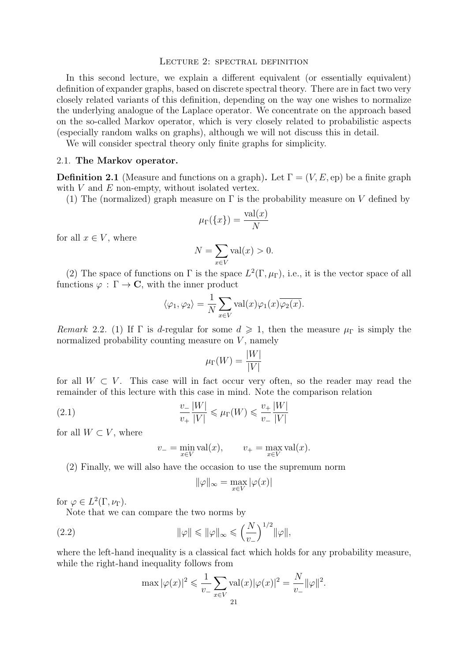## <span id="page-21-0"></span>LECTURE 2: SPECTRAL DEFINITION

In this second lecture, we explain a different equivalent (or essentially equivalent) definition of expander graphs, based on discrete spectral theory. There are in fact two very closely related variants of this definition, depending on the way one wishes to normalize the underlying analogue of the Laplace operator. We concentrate on the approach based on the so-called Markov operator, which is very closely related to probabilistic aspects (especially random walks on graphs), although we will not discuss this in detail.

We will consider spectral theory only finite graphs for simplicity.

#### <span id="page-21-1"></span>2.1. The Markov operator.

**Definition 2.1** (Measure and functions on a graph). Let  $\Gamma = (V, E, ep)$  be a finite graph with  $V$  and  $E$  non-empty, without isolated vertex.

(1) The (normalized) graph measure on  $\Gamma$  is the probability measure on V defined by

$$
\mu_{\Gamma}(\{x\}) = \frac{\text{val}(x)}{N}
$$

for all  $x \in V$ , where

$$
N = \sum_{x \in V} \text{val}(x) > 0.
$$

(2) The space of functions on  $\Gamma$  is the space  $L^2(\Gamma,\mu_{\Gamma})$ , i.e., it is the vector space of all functions  $\varphi : \Gamma \to \mathbb{C}$ , with the inner product

$$
\langle \varphi_1, \varphi_2 \rangle = \frac{1}{N} \sum_{x \in V} \text{val}(x) \varphi_1(x) \overline{\varphi_2(x)}.
$$

Remark 2.2. (1) If  $\Gamma$  is d-regular for some  $d \geq 1$ , then the measure  $\mu_{\Gamma}$  is simply the normalized probability counting measure on  $V$ , namely

$$
\mu_\Gamma(W) = \frac{|W|}{|V|}
$$

for all  $W \subset V$ . This case will in fact occur very often, so the reader may read the remainder of this lecture with this case in mind. Note the comparison relation

(2.1) 
$$
\frac{v_{-}}{v_{+}}\frac{|W|}{|V|} \leq \mu_{\Gamma}(W) \leq \frac{v_{+}}{v_{-}}\frac{|W|}{|V|}
$$

for all  $W \subset V$ , where

<span id="page-21-2"></span>
$$
v_- = \min_{x \in V} \text{val}(x), \qquad v_+ = \max_{x \in V} \text{val}(x).
$$

(2) Finally, we will also have the occasion to use the supremum norm

$$
\|\varphi\|_\infty = \max_{x \in V} |\varphi(x)|
$$

for  $\varphi \in L^2(\Gamma, \nu_\Gamma)$ .

Note that we can compare the two norms by

(2.2) 
$$
\|\varphi\| \le \|\varphi\|_{\infty} \le \left(\frac{N}{v_{-}}\right)^{1/2} \|\varphi\|,
$$

where the left-hand inequality is a classical fact which holds for any probability measure, while the right-hand inequality follows from

$$
\max |\varphi(x)|^2 \leq \frac{1}{v_-} \sum_{x \in V} \text{val}(x) |\varphi(x)|^2 = \frac{N}{v_-} ||\varphi||^2.
$$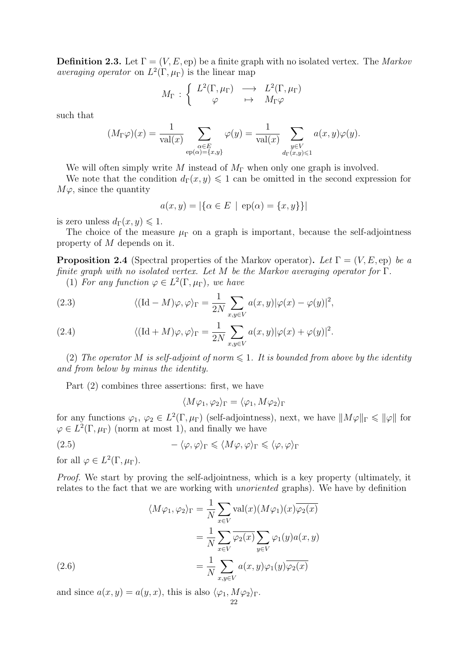**Definition 2.3.** Let  $\Gamma = (V, E, \text{ep})$  be a finite graph with no isolated vertex. The Markov *averaging operator* on  $L^2(\Gamma, \mu_{\Gamma})$  is the linear map

$$
M_{\Gamma} \, : \, \left\{ \begin{array}{ccc} L^2(\Gamma,\mu_{\Gamma}) & \longrightarrow & L^2(\Gamma,\mu_{\Gamma}) \\ \varphi & \mapsto & M_{\Gamma} \varphi \end{array} \right.
$$

such that

$$
(M_{\Gamma}\varphi)(x) = \frac{1}{\text{val}(x)} \sum_{\substack{\alpha \in E \\ \text{ep}(\alpha) = \{x,y\}}} \varphi(y) = \frac{1}{\text{val}(x)} \sum_{\substack{y \in V \\ d_{\Gamma}(x,y) \leq 1}} a(x,y)\varphi(y).
$$

We will often simply write M instead of  $M_{\Gamma}$  when only one graph is involved.

We note that the condition  $d_{\Gamma}(x, y) \leq 1$  can be omitted in the second expression for  $M\varphi$ , since the quantity

$$
a(x, y) = |\{\alpha \in E \mid ep(\alpha) = \{x, y\}\}|
$$

is zero unless  $d_{\Gamma}(x, y) \leq 1$ .

The choice of the measure  $\mu_{\Gamma}$  on a graph is important, because the self-adjointness property of M depends on it.

<span id="page-22-4"></span>**Proposition 2.4** (Spectral properties of the Markov operator). Let  $\Gamma = (V, E, ep)$  be a finite graph with no isolated vertex. Let M be the Markov averaging operator for  $\Gamma$ .

(1) For any function  $\varphi \in L^2(\Gamma, \mu_{\Gamma})$ , we have

<span id="page-22-0"></span>(2.3) 
$$
\langle (\mathrm{Id} - M)\varphi, \varphi \rangle_{\Gamma} = \frac{1}{2N} \sum_{x, y \in V} a(x, y) |\varphi(x) - \varphi(y)|^2,
$$

<span id="page-22-1"></span>(2.4) 
$$
\langle (\mathrm{Id} + M) \varphi, \varphi \rangle_{\Gamma} = \frac{1}{2N} \sum_{x, y \in V} a(x, y) |\varphi(x) + \varphi(y)|^2.
$$

(2) The operator M is self-adjoint of norm  $\leq 1$ . It is bounded from above by the identity and from below by minus the identity.

Part (2) combines three assertions: first, we have

<span id="page-22-3"></span>
$$
\langle M\varphi_1, \varphi_2 \rangle_{\Gamma} = \langle \varphi_1, M\varphi_2 \rangle_{\Gamma}
$$

for any functions  $\varphi_1, \varphi_2 \in L^2(\Gamma, \mu_{\Gamma})$  (self-adjointness), next, we have  $||M\varphi||_{\Gamma} \leq ||\varphi||$  for  $\varphi \in L^2(\Gamma, \mu_{\Gamma})$  (norm at most 1), and finally we have

(2.5) 
$$
-\langle \varphi, \varphi \rangle_{\Gamma} \leq \langle M\varphi, \varphi \rangle_{\Gamma} \leq \langle \varphi, \varphi \rangle_{\Gamma}
$$

for all  $\varphi \in L^2(\Gamma, \mu_\Gamma)$ .

Proof. We start by proving the self-adjointness, which is a key property (ultimately, it relates to the fact that we are working with unoriented graphs). We have by definition

(2.6)  
\n
$$
\langle M\varphi_1, \varphi_2 \rangle_{\Gamma} = \frac{1}{N} \sum_{x \in V} \text{val}(x) (M\varphi_1)(x) \overline{\varphi_2(x)}
$$
\n
$$
= \frac{1}{N} \sum_{x \in V} \overline{\varphi_2(x)} \sum_{y \in V} \varphi_1(y) a(x, y)
$$
\n
$$
= \frac{1}{N} \sum_{x, y \in V} a(x, y) \varphi_1(y) \overline{\varphi_2(x)}
$$

<span id="page-22-2"></span>and since  $a(x, y) = a(y, x)$ , this is also  $\langle \varphi_1, M \varphi_2 \rangle_{\Gamma}$ . 22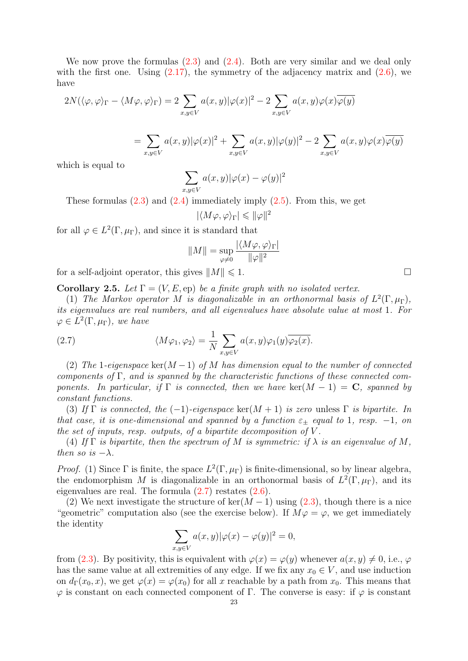We now prove the formulas  $(2.3)$  and  $(2.4)$ . Both are very similar and we deal only with the first one. Using  $(2.17)$ , the symmetry of the adjacency matrix and  $(2.6)$ , we have

$$
2N(\langle \varphi, \varphi \rangle_{\Gamma} - \langle M\varphi, \varphi \rangle_{\Gamma}) = 2 \sum_{x, y \in V} a(x, y) |\varphi(x)|^2 - 2 \sum_{x, y \in V} a(x, y) \varphi(x) \overline{\varphi(y)}
$$
  

$$
= \sum_{x, y \in V} a(x, y) |\varphi(x)|^2 + \sum_{x, y \in V} a(x, y) |\varphi(y)|^2 - 2 \sum_{x, y \in V} a(x, y) \varphi(x) \overline{\varphi(y)}
$$

which is equal to

$$
\sum_{x,y \in V} a(x,y) |\varphi(x) - \varphi(y)|^2
$$

These formulas  $(2.3)$  and  $(2.4)$  immediately imply  $(2.5)$ . From this, we get

$$
|\langle M\varphi,\varphi\rangle_\Gamma|\leqslant \|\varphi\|^2
$$

for all  $\varphi \in L^2(\Gamma, \mu_{\Gamma})$ , and since it is standard that

<span id="page-23-0"></span>
$$
||M|| = \sup_{\varphi \neq 0} \frac{|\langle M\varphi, \varphi \rangle_{\Gamma}|}{||\varphi||^2}
$$

for a self-adjoint operator, this gives  $||M|| \leq 1$ .

Corollary 2.5. Let  $\Gamma = (V, E, ep)$  be a finite graph with no isolated vertex.

(1) The Markov operator M is diagonalizable in an orthonormal basis of  $L^2(\Gamma,\mu_{\Gamma}),$ its eigenvalues are real numbers, and all eigenvalues have absolute value at most 1. For  $\varphi \in L^2(\Gamma,\mu_\Gamma)$ , we have

(2.7) 
$$
\langle M\varphi_1, \varphi_2 \rangle = \frac{1}{N} \sum_{x,y \in V} a(x,y) \varphi_1(y) \overline{\varphi_2(x)}.
$$

(2) The 1-eigenspace ker $(M-1)$  of M has dimension equal to the number of connected components of Γ, and is spanned by the characteristic functions of these connected components. In particular, if  $\Gamma$  is connected, then we have ker(M – 1) = C, spanned by constant functions.

(3) If  $\Gamma$  is connected, the (-1)-eigenspace ker(M + 1) is zero unless  $\Gamma$  is bipartite. In that case, it is one-dimensional and spanned by a function  $\varepsilon_{+}$  equal to 1, resp. -1, on the set of inputs, resp. outputs, of a bipartite decomposition of  $V$ .

(4) If  $\Gamma$  is bipartite, then the spectrum of M is symmetric: if  $\lambda$  is an eigenvalue of M, then so is  $-\lambda$ .

*Proof.* (1) Since  $\Gamma$  is finite, the space  $L^2(\Gamma, \mu_{\Gamma})$  is finite-dimensional, so by linear algebra, the endomorphism M is diagonalizable in an orthonormal basis of  $L^2(\Gamma,\mu_{\Gamma})$ , and its eigenvalues are real. The formula [\(2.7\)](#page-23-0) restates [\(2.6\)](#page-22-2).

(2) We next investigate the structure of ker( $M-1$ ) using [\(2.3\)](#page-22-0), though there is a nice "geometric" computation also (see the exercise below). If  $M\varphi = \varphi$ , we get immediately the identity

$$
\sum_{x,y \in V} a(x,y)|\varphi(x) - \varphi(y)|^2 = 0,
$$

from [\(2.3\)](#page-22-0). By positivity, this is equivalent with  $\varphi(x) = \varphi(y)$  whenever  $a(x, y) \neq 0$ , i.e.,  $\varphi$ has the same value at all extremities of any edge. If we fix any  $x_0 \in V$ , and use induction on  $d_{\Gamma}(x_0, x)$ , we get  $\varphi(x) = \varphi(x_0)$  for all x reachable by a path from  $x_0$ . This means that  $\varphi$  is constant on each connected component of Γ. The converse is easy: if  $\varphi$  is constant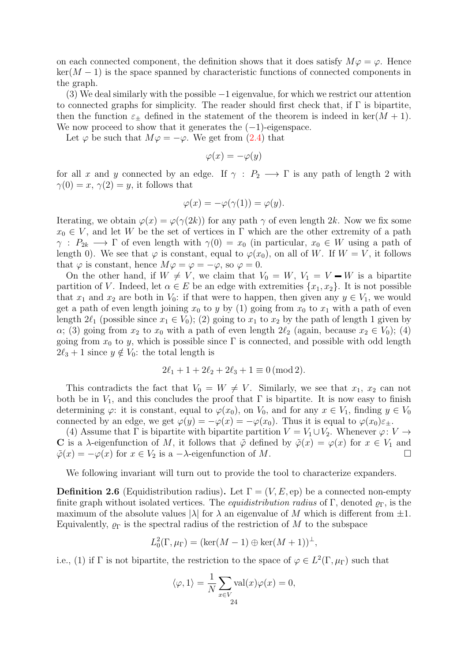on each connected component, the definition shows that it does satisfy  $M\varphi = \varphi$ . Hence  $\ker(M-1)$  is the space spanned by characteristic functions of connected components in the graph.

(3) We deal similarly with the possible −1 eigenvalue, for which we restrict our attention to connected graphs for simplicity. The reader should first check that, if  $\Gamma$  is bipartite, then the function  $\varepsilon_{\pm}$  defined in the statement of the theorem is indeed in ker $(M + 1)$ . We now proceed to show that it generates the  $(-1)$ -eigenspace.

Let  $\varphi$  be such that  $M\varphi = -\varphi$ . We get from [\(2.4\)](#page-22-1) that

$$
\varphi(x) = -\varphi(y)
$$

for all x and y connected by an edge. If  $\gamma : P_2 \longrightarrow \Gamma$  is any path of length 2 with  $\gamma(0) = x, \gamma(2) = y$ , it follows that

$$
\varphi(x) = -\varphi(\gamma(1)) = \varphi(y).
$$

Iterating, we obtain  $\varphi(x) = \varphi(\gamma(2k))$  for any path  $\gamma$  of even length 2k. Now we fix some  $x_0 \in V$ , and let W be the set of vertices in  $\Gamma$  which are the other extremity of a path  $\gamma : P_{2k} \longrightarrow \Gamma$  of even length with  $\gamma(0) = x_0$  (in particular,  $x_0 \in W$  using a path of length 0). We see that  $\varphi$  is constant, equal to  $\varphi(x_0)$ , on all of W. If  $W = V$ , it follows that  $\varphi$  is constant, hence  $M\varphi = \varphi = -\varphi$ , so  $\varphi = 0$ .

On the other hand, if  $W \neq V$ , we claim that  $V_0 = W$ ,  $V_1 = V - W$  is a bipartite partition of V. Indeed, let  $\alpha \in E$  be an edge with extremities  $\{x_1, x_2\}$ . It is not possible that  $x_1$  and  $x_2$  are both in  $V_0$ : if that were to happen, then given any  $y \in V_1$ , we would get a path of even length joining  $x_0$  to y by (1) going from  $x_0$  to  $x_1$  with a path of even length  $2\ell_1$  (possible since  $x_1 \in V_0$ ); (2) going to  $x_1$  to  $x_2$  by the path of length 1 given by  $\alpha$ ; (3) going from  $x_2$  to  $x_0$  with a path of even length  $2\ell_2$  (again, because  $x_2 \in V_0$ ); (4) going from  $x_0$  to y, which is possible since  $\Gamma$  is connected, and possible with odd length  $2\ell_3 + 1$  since  $y \notin V_0$ : the total length is

$$
2\ell_1 + 1 + 2\ell_2 + 2\ell_3 + 1 \equiv 0 \pmod{2}.
$$

This contradicts the fact that  $V_0 = W \neq V$ . Similarly, we see that  $x_1, x_2$  can not both be in  $V_1$ , and this concludes the proof that  $\Gamma$  is bipartite. It is now easy to finish determining  $\varphi$ : it is constant, equal to  $\varphi(x_0)$ , on  $V_0$ , and for any  $x \in V_1$ , finding  $y \in V_0$ connected by an edge, we get  $\varphi(y) = -\varphi(x) = -\varphi(x_0)$ . Thus it is equal to  $\varphi(x_0)\varepsilon_{\pm}$ .

(4) Assume that  $\Gamma$  is bipartite with bipartite partition  $V = V_1 \cup V_2$ . Whenever  $\varphi: V \to$ C is a  $\lambda$ -eigenfunction of M, it follows that  $\tilde{\varphi}$  defined by  $\tilde{\varphi}(x) = \varphi(x)$  for  $x \in V_1$  and  $\tilde{\varphi}(x) = -\varphi(x)$  for  $x \in V_2$  is a  $-\lambda$ -eigenfunction of M.

We following invariant will turn out to provide the tool to characterize expanders.

**Definition 2.6** (Equidistribution radius). Let  $\Gamma = (V, E, ep)$  be a connected non-empty finite graph without isolated vertices. The *equidistribution radius* of Γ, denoted  $\rho_{\Gamma}$ , is the maximum of the absolute values  $|\lambda|$  for  $\lambda$  an eigenvalue of M which is different from  $\pm 1$ . Equivalently,  $\rho_{\Gamma}$  is the spectral radius of the restriction of M to the subspace

$$
L_0^2(\Gamma, \mu_\Gamma) = (\ker(M-1) \oplus \ker(M+1))^\perp,
$$

i.e., (1) if  $\Gamma$  is not bipartite, the restriction to the space of  $\varphi \in L^2(\Gamma, \mu_{\Gamma})$  such that

$$
\langle \varphi, 1 \rangle = \frac{1}{N} \sum_{x \in V} \text{val}(x) \varphi(x) = 0,
$$
  
24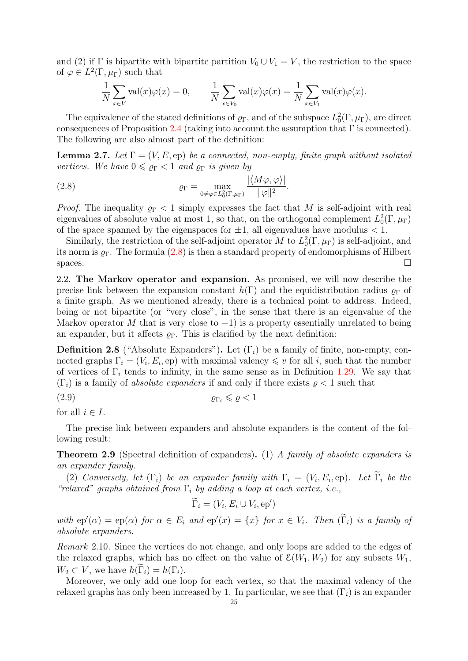and (2) if  $\Gamma$  is bipartite with bipartite partition  $V_0 \cup V_1 = V$ , the restriction to the space of  $\varphi \in L^2(\Gamma, \mu_{\Gamma})$  such that

$$
\frac{1}{N} \sum_{x \in V} \text{val}(x) \varphi(x) = 0, \qquad \frac{1}{N} \sum_{x \in V_0} \text{val}(x) \varphi(x) = \frac{1}{N} \sum_{x \in V_1} \text{val}(x) \varphi(x).
$$

The equivalence of the stated definitions of  $\varrho_{\Gamma}$ , and of the subspace  $L_0^2(\Gamma,\mu_{\Gamma})$ , are direct consequences of Proposition [2.4](#page-22-4) (taking into account the assumption that  $\Gamma$  is connected). The following are also almost part of the definition:

**Lemma 2.7.** Let  $\Gamma = (V, E, ep)$  be a connected, non-empty, finite graph without isolated vertices. We have  $0 \leq \rho_{\Gamma} < 1$  and  $\rho_{\Gamma}$  is given by

<span id="page-25-1"></span>(2.8) 
$$
\varrho_{\Gamma} = \max_{0 \neq \varphi \in L_0^2(\Gamma, \mu_{\Gamma})} \frac{|\langle M\varphi, \varphi \rangle|}{\|\varphi\|^2}.
$$

*Proof.* The inequality  $\rho_{\Gamma}$  < 1 simply expresses the fact that M is self-adjoint with real eigenvalues of absolute value at most 1, so that, on the orthogonal complement  $L_0^2(\Gamma,\mu_\Gamma)$ of the space spanned by the eigenspaces for  $\pm 1$ , all eigenvalues have modulus  $< 1$ .

Similarly, the restriction of the self-adjoint operator M to  $L_0^2(\Gamma,\mu_{\Gamma})$  is self-adjoint, and its norm is  $\varrho_{\Gamma}$ . The formula  $(2.8)$  is then a standard property of endomorphisms of Hilbert spaces.  $\Box$ 

<span id="page-25-0"></span>2.2. The Markov operator and expansion. As promised, we will now describe the precise link between the expansion constant  $h(\Gamma)$  and the equidistribution radius  $\rho_{\Gamma}$  of a finite graph. As we mentioned already, there is a technical point to address. Indeed, being or not bipartite (or "very close", in the sense that there is an eigenvalue of the Markov operator M that is very close to  $-1$ ) is a property essentially unrelated to being an expander, but it affects  $\rho_{\Gamma}$ . This is clarified by the next definition:

<span id="page-25-3"></span>**Definition 2.8** ("Absolute Expanders"). Let  $(\Gamma_i)$  be a family of finite, non-empty, connected graphs  $\Gamma_i = (V_i, E_i, \text{ep})$  with maximal valency  $\leq v$  for all i, such that the number of vertices of  $\Gamma_i$  tends to infinity, in the same sense as in Definition [1.29.](#page-16-0) We say that  $(\Gamma_i)$  is a family of *absolute expanders* if and only if there exists  $\rho < 1$  such that

$$
(\text{2.9}) \qquad \qquad \rho_{\Gamma_i} \leqslant \rho < 1
$$

for all  $i \in I$ .

The precise link between expanders and absolute expanders is the content of the following result:

<span id="page-25-2"></span>Theorem 2.9 (Spectral definition of expanders). (1) A family of absolute expanders is an expander family.

(2) Conversely, let  $(\Gamma_i)$  be an expander family with  $\Gamma_i = (V_i, E_i, ep)$ . Let  $\Gamma_i$  be the "relaxed" graphs obtained from  $\Gamma_i$  by adding a loop at each vertex, i.e.,

$$
\widetilde{\Gamma}_i = (V_i, E_i \cup V_i, ep')
$$

with  $ep'(\alpha) = ep(\alpha)$  for  $\alpha \in E_i$  and  $ep'(x) = \{x\}$  for  $x \in V_i$ . Then  $(\tilde{\Gamma}_i)$  is a family of absolute expanders.

Remark 2.10. Since the vertices do not change, and only loops are added to the edges of the relaxed graphs, which has no effect on the value of  $\mathcal{E}(W_1, W_2)$  for any subsets  $W_1$ ,  $W_2 \subset V$ , we have  $h(\tilde{\Gamma}_i) = h(\Gamma_i)$ .

Moreover, we only add one loop for each vertex, so that the maximal valency of the relaxed graphs has only been increased by 1. In particular, we see that  $(\Gamma_i)$  is an expander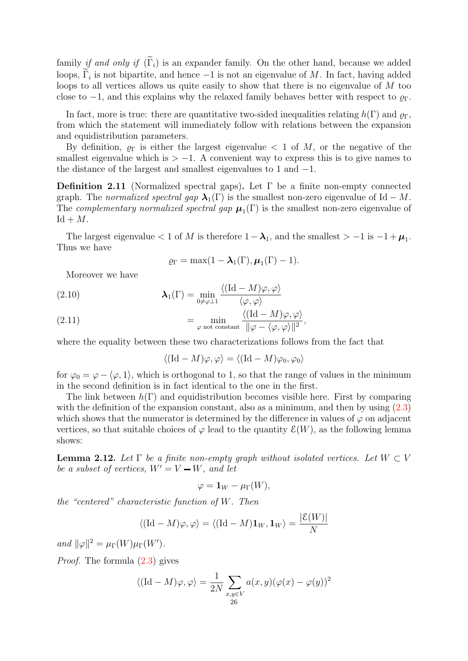family if and only if  $(\tilde{\Gamma}_i)$  is an expander family. On the other hand, because we added loops,  $\Gamma_i$  is not bipartite, and hence  $-1$  is not an eigenvalue of M. In fact, having added loops to all vertices allows us quite easily to show that there is no eigenvalue of M too close to  $-1$ , and this explains why the relaxed family behaves better with respect to  $\varrho_{\Gamma}$ .

In fact, more is true: there are quantitative two-sided inequalities relating  $h(\Gamma)$  and  $\varrho_{\Gamma}$ , from which the statement will immediately follow with relations between the expansion and equidistribution parameters.

By definition,  $\rho_{\Gamma}$  is either the largest eigenvalue  $\lt 1$  of M, or the negative of the smallest eigenvalue which is  $> -1$ . A convenient way to express this is to give names to the distance of the largest and smallest eigenvalues to 1 and −1.

**Definition 2.11** (Normalized spectral gaps). Let  $\Gamma$  be a finite non-empty connected graph. The normalized spectral gap  $\lambda_1(\Gamma)$  is the smallest non-zero eigenvalue of Id – M. The *complementary normalized spectral gap*  $\mu_1(\Gamma)$  is the smallest non-zero eigenvalue of  $Id + M$ .

The largest eigenvalue  $< 1$  of M is therefore  $1 - \lambda_1$ , and the smallest  $> -1$  is  $-1 + \mu_1$ . Thus we have

$$
\varrho_{\Gamma} = \max(1 - \lambda_1(\Gamma), \mu_1(\Gamma) - 1).
$$

Moreover we have

<span id="page-26-0"></span>(2.10) 
$$
\lambda_1(\Gamma) = \min_{0 \neq \varphi \perp 1} \frac{\langle (\mathrm{Id} - M) \varphi, \varphi \rangle}{\langle \varphi, \varphi \rangle}
$$

(2.11) 
$$
= \min_{\varphi \text{ not constant}} \frac{\langle (\mathrm{Id} - M)\varphi, \varphi \rangle}{\|\varphi - \langle \varphi, \varphi \rangle\|^2},
$$

where the equality between these two characterizations follows from the fact that

$$
\langle (\mathrm{Id} - M)\varphi, \varphi \rangle = \langle (\mathrm{Id} - M)\varphi_0, \varphi_0 \rangle
$$

for  $\varphi_0 = \varphi - \langle \varphi, 1 \rangle$ , which is orthogonal to 1, so that the range of values in the minimum in the second definition is in fact identical to the one in the first.

The link between  $h(\Gamma)$  and equidistribution becomes visible here. First by comparing with the definition of the expansion constant, also as a minimum, and then by using  $(2.3)$ which shows that the numerator is determined by the difference in values of  $\varphi$  on adjacent vertices, so that suitable choices of  $\varphi$  lead to the quantity  $\mathcal{E}(W)$ , as the following lemma shows:

<span id="page-26-1"></span>**Lemma 2.12.** Let  $\Gamma$  be a finite non-empty graph without isolated vertices. Let  $W \subset V$ be a subset of vertices,  $W' = V - W$ , and let

$$
\varphi = \mathbf{1}_W - \mu_{\Gamma}(W),
$$

the "centered" characteristic function of  $W$ . Then

$$
\langle (\mathrm{Id} - M)\varphi, \varphi \rangle = \langle (\mathrm{Id} - M)\mathbf{1}_W, \mathbf{1}_W \rangle = \frac{|\mathcal{E}(W)|}{N}
$$

and  $\|\varphi\|^2 = \mu_\Gamma(W) \mu_\Gamma(W')$ .

Proof. The formula [\(2.3\)](#page-22-0) gives

$$
\langle (\mathrm{Id} - M)\varphi, \varphi \rangle = \frac{1}{2N} \sum_{\substack{x, y \in V \\ 26}} a(x, y) (\varphi(x) - \varphi(y))^2
$$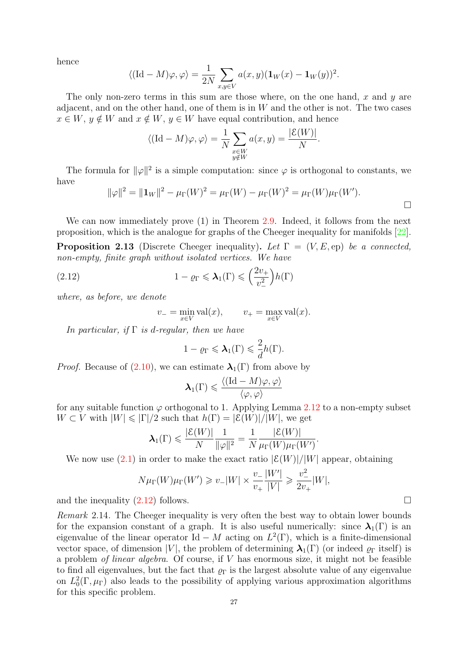<span id="page-27-1"></span>hence

$$
\langle (\mathrm{Id} - M)\varphi, \varphi \rangle = \frac{1}{2N} \sum_{x,y \in V} a(x,y) (\mathbf{1}_W(x) - \mathbf{1}_W(y))^2.
$$

The only non-zero terms in this sum are those where, on the one hand,  $x$  and  $y$  are adjacent, and on the other hand, one of them is in  $W$  and the other is not. The two cases  $x \in W$ ,  $y \notin W$  and  $x \notin W$ ,  $y \in W$  have equal contribution, and hence

$$
\langle (\mathrm{Id} - M)\varphi, \varphi \rangle = \frac{1}{N} \sum_{\substack{x \in W \\ y \notin W}} a(x, y) = \frac{|\mathcal{E}(W)|}{N}.
$$

The formula for  $\|\varphi\|^2$  is a simple computation: since  $\varphi$  is orthogonal to constants, we have

$$
\|\varphi\|^2 = \|\mathbf{1}_W\|^2 - \mu_\Gamma(W)^2 = \mu_\Gamma(W) - \mu_\Gamma(W)^2 = \mu_\Gamma(W)\mu_\Gamma(W').
$$

We can now immediately prove (1) in Theorem [2.9.](#page-25-2) Indeed, it follows from the next proposition, which is the analogue for graphs of the Cheeger inequality for manifolds [\[22\]](#page-49-3). **Proposition 2.13** (Discrete Cheeger inequality). Let  $\Gamma = (V, E, ep)$  be a connected,

non-empty, finite graph without isolated vertices. We have  
(2.12) 
$$
1 - \varrho_{\Gamma} \leq \lambda_1(\Gamma) \leq \left(\frac{2v_{+}}{v_{-}^{2}}\right)h(\Gamma)
$$

where, as before, we denote

<span id="page-27-0"></span>
$$
v_- = \min_{x \in V} \text{val}(x), \qquad v_+ = \max_{x \in V} \text{val}(x).
$$

In particular, if  $\Gamma$  is d-regular, then we have

$$
1 - \varrho_{\Gamma} \leqslant \lambda_1(\Gamma) \leqslant \frac{2}{d} h(\Gamma).
$$

*Proof.* Because of  $(2.10)$ , we can estimate  $\lambda_1(\Gamma)$  from above by

$$
\boldsymbol{\lambda}_1(\Gamma) \leqslant \frac{\langle (\mathrm{Id} - M)\varphi, \varphi \rangle}{\langle \varphi, \varphi \rangle}
$$

for any suitable function  $\varphi$  orthogonal to 1. Applying Lemma [2.12](#page-26-1) to a non-empty subset  $W \subset V$  with  $|W| \leq |\Gamma|/2$  such that  $h(\Gamma) = |\mathcal{E}(W)|/|W|$ , we get

$$
\pmb{\lambda}_1(\Gamma) \leqslant \frac{|\mathcal{E}(W)|}{N}\frac{1}{\|\varphi\|^2} = \frac{1}{N}\frac{|\mathcal{E}(W)|}{\mu_{\Gamma}(W)\mu_{\Gamma}(W')}
$$

.

We now use  $(2.1)$  in order to make the exact ratio  $|\mathcal{E}(W)|/|W|$  appear, obtaining

$$
N\mu_{\Gamma}(W)\mu_{\Gamma}(W') \geq v_{-}|W| \times \frac{v_{-}}{v_{+}}\frac{|W'|}{|V|} \geq \frac{v_{-}^{2}}{2v_{+}}|W|,
$$

and the inequality  $(2.12)$  follows.

Remark 2.14. The Cheeger inequality is very often the best way to obtain lower bounds for the expansion constant of a graph. It is also useful numerically: since  $\lambda_1(\Gamma)$  is an eigenvalue of the linear operator Id – M acting on  $L^2(\Gamma)$ , which is a finite-dimensional vector space, of dimension |V|, the problem of determining  $\lambda_1(\Gamma)$  (or indeed  $\varrho_{\Gamma}$  itself) is a problem *of linear algebra*. Of course, if  $V$  has enormous size, it might not be feasible to find all eigenvalues, but the fact that  $\rho_{\Gamma}$  is the largest absolute value of any eigenvalue on  $L_0^2(\Gamma,\mu_\Gamma)$  also leads to the possibility of applying various approximation algorithms for this specific problem.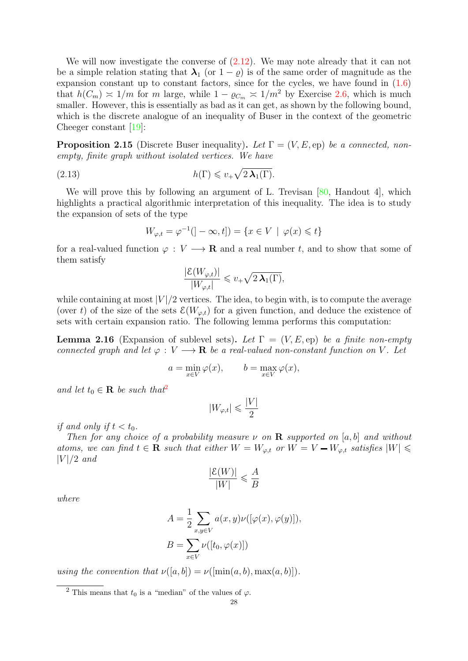<span id="page-28-2"></span>We will now investigate the converse of  $(2.12)$ . We may note already that it can not be a simple relation stating that  $\lambda_1$  (or  $1 - \varrho$ ) is of the same order of magnitude as the expansion constant up to constant factors, since for the cycles, we have found in  $(1.6)$ that  $h(C_m) \approx 1/m$  for m large, while  $1 - \varrho_{C_m} \approx 1/m^2$  by Exercise [2.6,](#page-37-0) which is much smaller. However, this is essentially as bad as it can get, as shown by the following bound, which is the discrete analogue of an inequality of Buser in the context of the geometric Cheeger constant [\[19\]](#page-49-5):

**Proposition 2.15** (Discrete Buser inequality). Let  $\Gamma = (V, E, ep)$  be a connected, nonempty, finite graph without isolated vertices. We have

$$
(2.13) \t\t\t h(\Gamma) \leqslant v_+ \sqrt{2\,\lambda_1(\Gamma)}.
$$

We will prove this by following an argument of L. Trevisan  $[80,$  Handout 4, which highlights a practical algorithmic interpretation of this inequality. The idea is to study the expansion of sets of the type

$$
W_{\varphi,t} = \varphi^{-1}(\vert -\infty, t \vert) = \{ x \in V \, \mid \, \varphi(x) \leq t \}
$$

for a real-valued function  $\varphi: V \longrightarrow \mathbf{R}$  and a real number t, and to show that some of them satisfy

$$
\frac{|\mathcal{E}(W_{\varphi,t})|}{|W_{\varphi,t}|} \leq v_+\sqrt{2\,\lambda_1(\Gamma)},
$$

while containing at most  $|V|/2$  vertices. The idea, to begin with, is to compute the average (over t) of the size of the sets  $\mathcal{E}(W_{\varphi,t})$  for a given function, and deduce the existence of sets with certain expansion ratio. The following lemma performs this computation:

<span id="page-28-1"></span>**Lemma 2.16** (Expansion of sublevel sets). Let  $\Gamma = (V, E, ep)$  be a finite non-empty connected graph and let  $\varphi: V \longrightarrow \mathbf{R}$  be a real-valued non-constant function on V. Let

$$
a = \min_{x \in V} \varphi(x), \qquad b = \max_{x \in V} \varphi(x),
$$

and let  $t_0 \in \mathbf{R}$  be such that<sup>[2](#page-28-0)</sup>

$$
|W_{\varphi,t}|\leqslant \frac{|V|}{2}
$$

if and only if  $t < t_0$ .

Then for any choice of a probability measure  $\nu$  on **R** supported on [a, b] and without atoms, we can find  $t \in \mathbf{R}$  such that either  $W = W_{\varphi,t}$  or  $W = V - W_{\varphi,t}$  satisfies  $|W| \leq$  $|V|/2$  and

$$
\frac{|\mathcal{E}(W)|}{|W|} \leqslant \frac{A}{B}
$$

where

$$
A = \frac{1}{2} \sum_{x,y \in V} a(x,y) \nu([\varphi(x), \varphi(y)]),
$$
  

$$
B = \sum_{x \in V} \nu([t_0, \varphi(x)])
$$

using the convention that  $\nu([a, b]) = \nu([\min(a, b), \max(a, b)]).$ 

<span id="page-28-0"></span><sup>&</sup>lt;sup>2</sup> This means that  $t_0$  is a "median" of the values of  $\varphi$ .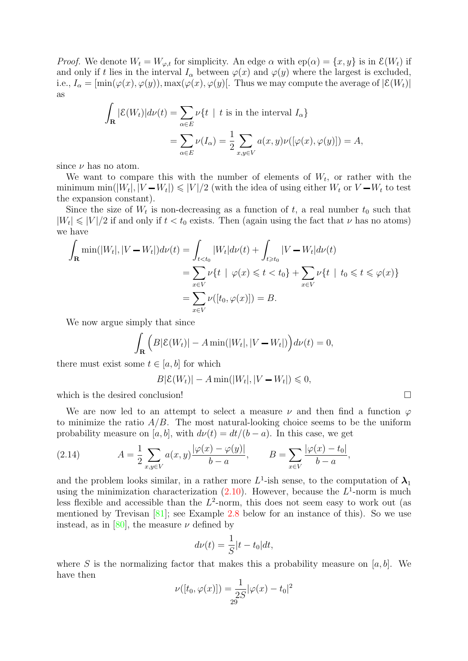<span id="page-29-0"></span>*Proof.* We denote  $W_t = W_{\varphi,t}$  for simplicity. An edge  $\alpha$  with  $ep(\alpha) = \{x, y\}$  is in  $\mathcal{E}(W_t)$  if and only if t lies in the interval  $I_{\alpha}$  between  $\varphi(x)$  and  $\varphi(y)$  where the largest is excluded, i.e.,  $I_{\alpha} = [\min(\varphi(x), \varphi(y)), \max(\varphi(x), \varphi(y)].$  Thus we may compute the average of  $|\mathcal{E}(W_t)|$ as

$$
\int_{\mathbf{R}} |\mathcal{E}(W_t)| d\nu(t) = \sum_{\alpha \in E} \nu\{t \mid t \text{ is in the interval } I_{\alpha}\}
$$

$$
= \sum_{\alpha \in E} \nu(I_{\alpha}) = \frac{1}{2} \sum_{x, y \in V} a(x, y) \nu([\varphi(x), \varphi(y)]) = A,
$$

since  $\nu$  has no atom.

We want to compare this with the number of elements of  $W_t$ , or rather with the minimum min( $|W_t|, |V - W_t| \leq |V|/2$  (with the idea of using either  $W_t$  or  $V - W_t$  to test the expansion constant).

Since the size of  $W_t$  is non-decreasing as a function of t, a real number  $t_0$  such that  $|W_t| \leq |V|/2$  if and only if  $t < t_0$  exists. Then (again using the fact that  $\nu$  has no atoms) we have

$$
\int_{\mathbf{R}} \min(|W_t|, |V - W_t|) d\nu(t) = \int_{t < t_0} |W_t| d\nu(t) + \int_{t \ge t_0} |V - W_t| d\nu(t)
$$
\n
$$
= \sum_{x \in V} \nu\{t \mid \varphi(x) \leq t < t_0\} + \sum_{x \in V} \nu\{t \mid t_0 \leq t \leq \varphi(x)\}
$$
\n
$$
= \sum_{x \in V} \nu([t_0, \varphi(x)]) = B.
$$

We now argue simply that since

$$
\int_{\mathbf{R}} \Big( B|\mathcal{E}(W_t)| - A \min(|W_t|, |V - W_t|) \Big) d\nu(t) = 0,
$$

there must exist some  $t \in [a, b]$  for which

$$
B|\mathcal{E}(W_t)| - A \min(|W_t|, |V - W_t|) \leq 0,
$$

which is the desired conclusion!

We are now led to an attempt to select a measure  $\nu$  and then find a function  $\varphi$ to minimize the ratio  $A/B$ . The most natural-looking choice seems to be the uniform probability measure on [a, b], with  $d\nu(t) = dt/(b-a)$ . In this case, we get

(2.14) 
$$
A = \frac{1}{2} \sum_{x,y \in V} a(x,y) \frac{|\varphi(x) - \varphi(y)|}{b-a}, \qquad B = \sum_{x \in V} \frac{|\varphi(x) - t_0|}{b-a},
$$

and the problem looks similar, in a rather more  $L^1$ -ish sense, to the computation of  $\lambda_1$ using the minimization characterization  $(2.10)$ . However, because the  $L^1$ -norm is much less flexible and accessible than the  $L^2$ -norm, this does not seem easy to work out (as mentioned by Trevisan [\[81\]](#page-51-2); see Example [2.8](#page-38-0) below for an instance of this). So we use instead, as in [\[80\]](#page-51-1), the measure  $\nu$  defined by

$$
d\nu(t) = \frac{1}{S}|t - t_0|dt,
$$

where S is the normalizing factor that makes this a probability measure on  $[a, b]$ . We have then

$$
\nu([t_0, \varphi(x)]) = \frac{1}{2S} |\varphi(x) - t_0|^2
$$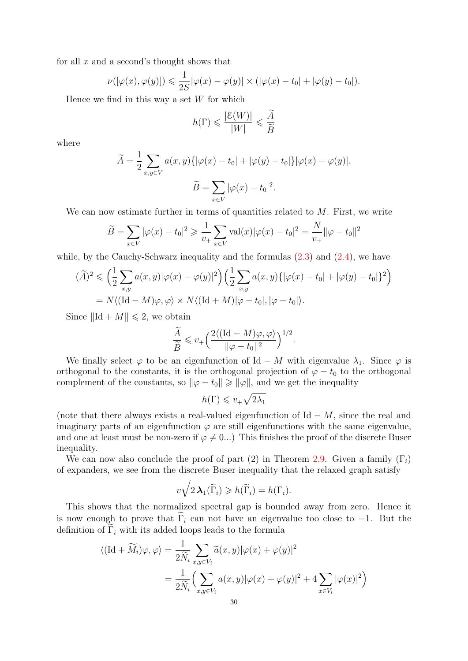for all  $x$  and a second's thought shows that

$$
\nu([\varphi(x), \varphi(y)]) \leq \frac{1}{2S} |\varphi(x) - \varphi(y)| \times (|\varphi(x) - t_0| + |\varphi(y) - t_0|).
$$

Hence we find in this way a set  $W$  for which

$$
h(\Gamma) \leqslant \frac{|\mathcal{E}(W)|}{|W|} \leqslant \frac{\widetilde{A}}{\widetilde{B}}
$$

where

$$
\widetilde{A} = \frac{1}{2} \sum_{x,y \in V} a(x,y) \{ |\varphi(x) - t_0| + |\varphi(y) - t_0| \} |\varphi(x) - \varphi(y)|,
$$

$$
\widetilde{B} = \sum_{x \in V} |\varphi(x) - t_0|^2.
$$

We can now estimate further in terms of quantities related to  $M$ . First, we write

$$
\widetilde{B} = \sum_{x \in V} |\varphi(x) - t_0|^2 \ge \frac{1}{v_+} \sum_{x \in V} \text{val}(x) |\varphi(x) - t_0|^2 = \frac{N}{v_+} ||\varphi - t_0||^2
$$

while, by the Cauchy-Schwarz inequality and the formulas  $(2.3)$  and  $(2.4)$ , we have

$$
(\widetilde{A})^2 \leq \left(\frac{1}{2}\sum_{x,y} a(x,y)|\varphi(x) - \varphi(y)|^2\right) \left(\frac{1}{2}\sum_{x,y} a(x,y)\{|\varphi(x) - t_0| + |\varphi(y) - t_0|\}^2\right)
$$
  
=  $N\langle (\text{Id} - M)\varphi, \varphi \rangle \times N\langle (\text{Id} + M)|\varphi - t_0|, |\varphi - t_0| \rangle.$ 

Since  $\|\mathrm{Id} + M\| \leq 2$ , we obtain

$$
\frac{\widetilde{A}}{\widetilde{B}} \leqslant v_+\bigg(\frac{2\langle (\mathrm{Id}-M)\varphi,\varphi\rangle}{\|\varphi-t_0\|^2}\bigg)^{1/2}.
$$

We finally select  $\varphi$  to be an eigenfunction of Id – M with eigenvalue  $\lambda_1$ . Since  $\varphi$  is orthogonal to the constants, it is the orthogonal projection of  $\varphi - t_0$  to the orthogonal complement of the constants, so  $\|\varphi - t_0\| \ge \|\varphi\|$ , and we get the inequality

$$
h(\Gamma) \leqslant v_+ \sqrt{2\lambda_1}
$$

(note that there always exists a real-valued eigenfunction of  $\mathrm{Id} - M$ , since the real and imaginary parts of an eigenfunction  $\varphi$  are still eigenfunctions with the same eigenvalue, and one at least must be non-zero if  $\varphi \neq 0...$ ) This finishes the proof of the discrete Buser inequality.

We can now also conclude the proof of part (2) in Theorem [2.9.](#page-25-2) Given a family  $(\Gamma_i)$ of expanders, we see from the discrete Buser inequality that the relaxed graph satisfy

$$
v\sqrt{2\,\lambda_1(\widetilde{\Gamma}_i)}\geqslant h(\widetilde{\Gamma}_i)=h(\Gamma_i).
$$

This shows that the normalized spectral gap is bounded away from zero. Hence it is now enough to prove that  $\Gamma_i$  can not have an eigenvalue too close to -1. But the definition of  $\tilde{\Gamma}_i$  with its added loops leads to the formula

$$
\langle (\mathrm{Id} + \widetilde{M}_i)\varphi, \varphi \rangle = \frac{1}{2\widetilde{N}_i} \sum_{x, y \in V_i} \widetilde{a}(x, y) |\varphi(x) + \varphi(y)|^2
$$
  
= 
$$
\frac{1}{2\widetilde{N}_i} \Biggl( \sum_{x, y \in V_i} a(x, y) |\varphi(x) + \varphi(y)|^2 + 4 \sum_{x \in V_i} |\varphi(x)|^2 \Biggr)
$$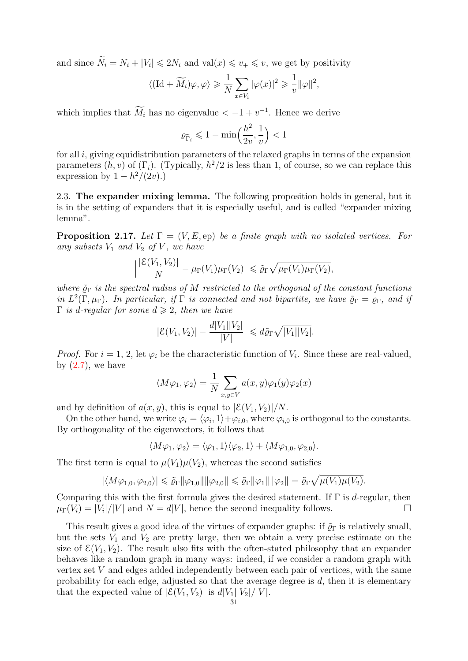and since  $\widetilde{N}_i = N_i + |V_i| \leq 2N_i$  and  $\text{val}(x) \leq v_+ \leq v$ , we get by positivity

$$
\langle (\text{Id} + \widetilde{M_i})\varphi, \varphi \rangle \ge \frac{1}{N} \sum_{x \in V_i} |\varphi(x)|^2 \ge \frac{1}{v} ||\varphi||^2,
$$

which implies that  $M_i$  has no eigenvalue  $\lt -1 + v^{-1}$ . Hence we derive

$$
\varrho_{\widetilde{\Gamma}_i} \leqslant 1 - \min\Bigl(\frac{h^2}{2v}, \frac{1}{v}\Bigr) < 1
$$

for all  $i$ , giving equidistribution parameters of the relaxed graphs in terms of the expansion parameters  $(h, v)$  of  $(\Gamma_i)$ . (Typically,  $h^2/2$  is less than 1, of course, so we can replace this expression by  $1 - h^2/(2v)$ .)

<span id="page-31-0"></span>2.3. The expander mixing lemma. The following proposition holds in general, but it is in the setting of expanders that it is especially useful, and is called "expander mixing lemma".

**Proposition 2.17.** Let  $\Gamma = (V, E, ep)$  be a finite graph with no isolated vertices. For any subsets  $V_1$  and  $V_2$  of V, we have

$$
\left|\frac{|\mathcal{E}(V_1, V_2)|}{N} - \mu_{\Gamma}(V_1)\mu_{\Gamma}(V_2)\right| \leq \tilde{\varrho}_{\Gamma}\sqrt{\mu_{\Gamma}(V_1)\mu_{\Gamma}(V_2)},
$$

where  $\tilde{\rho}_{\Gamma}$  is the spectral radius of M restricted to the orthogonal of the constant functions in  $L^2(\Gamma,\mu_{\Gamma})$ . In particular, if  $\Gamma$  is connected and not bipartite, we have  $\tilde{\varrho}_{\Gamma} = \varrho_{\Gamma}$ , and if  $\Gamma$  is d-regular for some  $d \geqslant 2$ , then we have

$$
\left| \left| \mathcal{E}(V_1, V_2) \right| - \frac{d|V_1||V_2|}{|V|} \right| \leq d\tilde{\varrho}_{\Gamma} \sqrt{|V_1||V_2|}.
$$

*Proof.* For  $i = 1, 2$ , let  $\varphi_i$  be the characteristic function of  $V_i$ . Since these are real-valued, by  $(2.7)$ , we have

$$
\langle M\varphi_1, \varphi_2 \rangle = \frac{1}{N} \sum_{x,y \in V} a(x,y) \varphi_1(y) \varphi_2(x)
$$

and by definition of  $a(x, y)$ , this is equal to  $|\mathcal{E}(V_1, V_2)|/N$ .

On the other hand, we write  $\varphi_i = \langle \varphi_i, 1 \rangle + \varphi_{i,0}$ , where  $\varphi_{i,0}$  is orthogonal to the constants. By orthogonality of the eigenvectors, it follows that

$$
\langle M\varphi_1,\varphi_2\rangle=\langle\varphi_1,1\rangle\langle\varphi_2,1\rangle+\langle M\varphi_{1,0},\varphi_{2,0}\rangle.
$$

The first term is equal to  $\mu(V_1)\mu(V_2)$ , whereas the second satisfies

$$
|\langle M\varphi_{1,0},\varphi_{2,0}\rangle| \leq \tilde{\varrho}_{\Gamma} \|\varphi_{1,0}\| \|\varphi_{2,0}\| \leq \tilde{\varrho}_{\Gamma} \|\varphi_1\| \|\varphi_2\| = \tilde{\varrho}_{\Gamma} \sqrt{\mu(V_1)\mu(V_2)}.
$$

Comparing this with the first formula gives the desired statement. If  $\Gamma$  is d-regular, then  $\mu_{\Gamma}(\hat{V}_i) = |\hat{V}_i|/|V|$  and  $N = d|V|$ , hence the second inequality follows.

This result gives a good idea of the virtues of expander graphs: if  $\tilde{\varrho}_{\Gamma}$  is relatively small, but the sets  $V_1$  and  $V_2$  are pretty large, then we obtain a very precise estimate on the size of  $\mathcal{E}(V_1, V_2)$ . The result also fits with the often-stated philosophy that an expander behaves like a random graph in many ways: indeed, if we consider a random graph with vertex set  $V$  and edges added independently between each pair of vertices, with the same probability for each edge, adjusted so that the average degree is  $d$ , then it is elementary that the expected value of  $|\mathcal{E}(V_1, V_2)|$  is  $d|V_1||V_2|/|V|$ .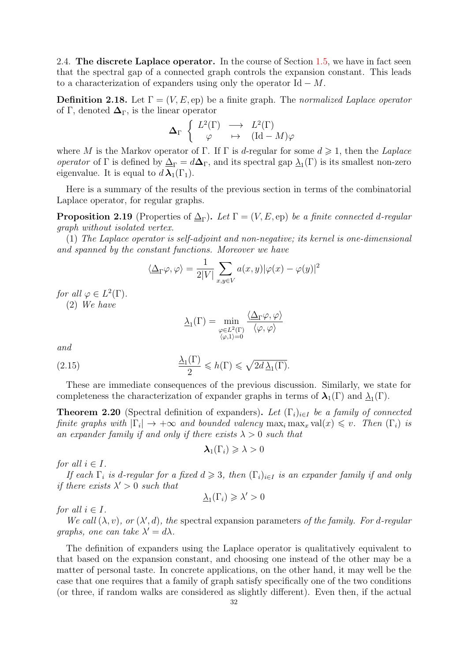<span id="page-32-0"></span>2.4. The discrete Laplace operator. In the course of Section [1.5,](#page-21-0) we have in fact seen that the spectral gap of a connected graph controls the expansion constant. This leads to a characterization of expanders using only the operator  $\mathrm{Id} - M$ .

**Definition 2.18.** Let  $\Gamma = (V, E, ep)$  be a finite graph. The normalized Laplace operator of Γ, denoted  $\Delta_{\Gamma}$ , is the linear operator

$$
\Delta_{\Gamma} \begin{cases} L^2(\Gamma) & \longrightarrow & L^2(\Gamma) \\ \varphi & \mapsto & (\mathrm{Id} - M)\varphi \end{cases}
$$

where M is the Markov operator of Γ. If Γ is d-regular for some  $d \geq 1$ , then the Laplace operator of  $\Gamma$  is defined by  $\Delta_{\Gamma} = d\Delta_{\Gamma}$ , and its spectral gap  $\Delta_1(\Gamma)$  is its smallest non-zero eigenvalue. It is equal to  $d \lambda_1(\Gamma_1)$ .

Here is a summary of the results of the previous section in terms of the combinatorial Laplace operator, for regular graphs.

**Proposition 2.19** (Properties of  $\Delta_{\Gamma}$ ). Let  $\Gamma = (V, E, ep)$  be a finite connected d-regular graph without isolated vertex.

(1) The Laplace operator is self-adjoint and non-negative; its kernel is one-dimensional and spanned by the constant functions. Moreover we have

$$
\langle \underline{\Delta}_{\Gamma} \varphi, \varphi \rangle = \frac{1}{2|V|} \sum_{x, y \in V} a(x, y) |\varphi(x) - \varphi(y)|^2
$$

for all  $\varphi \in L^2(\Gamma)$ .

(2) We have

$$
\underline{\lambda}_{1}(\Gamma) = \min_{\substack{\varphi \in L^{2}(\Gamma) \\ \langle \varphi, 1 \rangle = 0}} \frac{\langle \underline{\Delta}_{\Gamma} \varphi, \varphi \rangle}{\langle \varphi, \varphi \rangle}
$$

and

(2.15) 
$$
\frac{\underline{\lambda}_1(\Gamma)}{2} \leqslant h(\Gamma) \leqslant \sqrt{2d \underline{\lambda}_1(\Gamma)}.
$$

These are immediate consequences of the previous discussion. Similarly, we state for completeness the characterization of expander graphs in terms of  $\lambda_1(\Gamma)$  and  $\underline{\lambda}_1(\Gamma)$ .

**Theorem 2.20** (Spectral definition of expanders). Let  $(\Gamma_i)_{i\in I}$  be a family of connected finite graphs with  $|\Gamma_i| \to +\infty$  and bounded valency  $\max_i \max_x \text{val}(x) \leq v$ . Then  $(\Gamma_i)$  is an expander family if and only if there exists  $\lambda > 0$  such that

$$
\boldsymbol{\lambda}_1(\Gamma_i) \geqslant \lambda > 0
$$

for all  $i \in I$ .

If each  $\Gamma_i$  is d-regular for a fixed  $d \geq 3$ , then  $(\Gamma_i)_{i \in I}$  is an expander family if and only if there exists  $\lambda' > 0$  such that

 $\underline{\lambda}_1(\Gamma_i) \geqslant \lambda' > 0$ 

for all  $i \in I$ .

We call  $(\lambda, v)$ , or  $(\lambda', d)$ , the spectral expansion parameters of the family. For d-regular graphs, one can take  $\lambda' = d\lambda$ .

The definition of expanders using the Laplace operator is qualitatively equivalent to that based on the expansion constant, and choosing one instead of the other may be a matter of personal taste. In concrete applications, on the other hand, it may well be the case that one requires that a family of graph satisfy specifically one of the two conditions (or three, if random walks are considered as slightly different). Even then, if the actual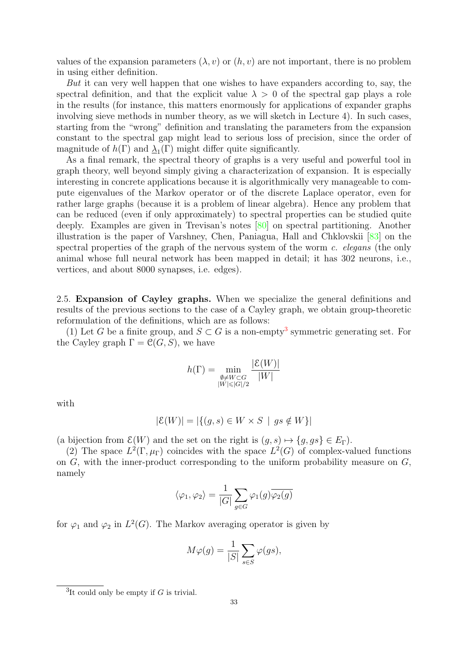<span id="page-33-2"></span>values of the expansion parameters  $(\lambda, v)$  or  $(h, v)$  are not important, there is no problem in using either definition.

But it can very well happen that one wishes to have expanders according to, say, the spectral definition, and that the explicit value  $\lambda > 0$  of the spectral gap plays a role in the results (for instance, this matters enormously for applications of expander graphs involving sieve methods in number theory, as we will sketch in Lecture 4). In such cases, starting from the "wrong" definition and translating the parameters from the expansion constant to the spectral gap might lead to serious loss of precision, since the order of magnitude of  $h(\Gamma)$  and  $\underline{\lambda}_1(\Gamma)$  might differ quite significantly.

As a final remark, the spectral theory of graphs is a very useful and powerful tool in graph theory, well beyond simply giving a characterization of expansion. It is especially interesting in concrete applications because it is algorithmically very manageable to compute eigenvalues of the Markov operator or of the discrete Laplace operator, even for rather large graphs (because it is a problem of linear algebra). Hence any problem that can be reduced (even if only approximately) to spectral properties can be studied quite deeply. Examples are given in Trevisan's notes [\[80\]](#page-51-1) on spectral partitioning. Another illustration is the paper of Varshney, Chen, Paniagua, Hall and Chklovskii [\[83\]](#page-51-3) on the spectral properties of the graph of the nervous system of the worm c. elegans (the only animal whose full neural network has been mapped in detail; it has 302 neurons, i.e., vertices, and about 8000 synapses, i.e. edges).

<span id="page-33-0"></span>2.5. Expansion of Cayley graphs. When we specialize the general definitions and results of the previous sections to the case of a Cayley graph, we obtain group-theoretic reformulation of the definitions, which are as follows:

(1) Let G be a finite group, and  $S \subset G$  is a non-empty<sup>[3](#page-33-1)</sup> symmetric generating set. For the Cayley graph  $\Gamma = \mathcal{C}(G, S)$ , we have

$$
h(\Gamma) = \min_{\substack{\emptyset \neq W \subset G \\ |W| \leq |G|/2}} \frac{|\mathcal{E}(W)|}{|W|}
$$

with

$$
|\mathcal{E}(W)| = |\{(g, s) \in W \times S \mid gs \notin W\}|
$$

(a bijection from  $\mathcal{E}(W)$  and the set on the right is  $(g, s) \mapsto \{g, gs\} \in E_{\Gamma}$ ).

(2) The space  $L^2(\Gamma,\mu_{\Gamma})$  coincides with the space  $L^2(G)$  of complex-valued functions on  $G$ , with the inner-product corresponding to the uniform probability measure on  $G$ , namely

$$
\langle \varphi_1, \varphi_2 \rangle = \frac{1}{|G|} \sum_{g \in G} \varphi_1(g) \overline{\varphi_2(g)}
$$

for  $\varphi_1$  and  $\varphi_2$  in  $L^2(G)$ . The Markov averaging operator is given by

$$
M\varphi(g) = \frac{1}{|S|} \sum_{s \in S} \varphi(gs),
$$

<span id="page-33-1"></span><sup>&</sup>lt;sup>3</sup>It could only be empty if  $G$  is trivial.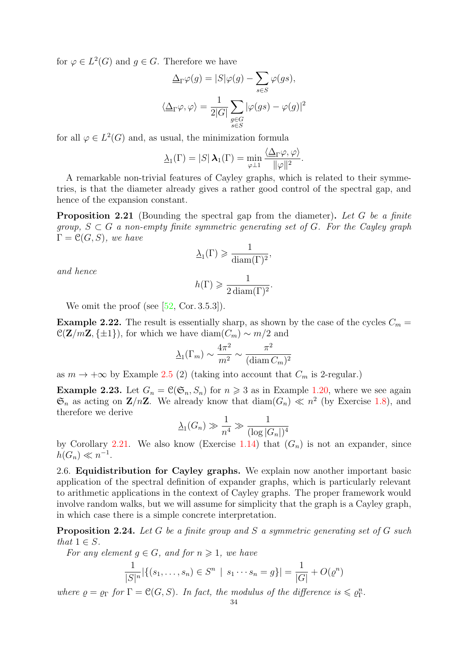<span id="page-34-2"></span>for  $\varphi \in L^2(G)$  and  $g \in G$ . Therefore we have

$$
\Delta_{\Gamma}\varphi(g) = |S|\varphi(g) - \sum_{s \in S} \varphi(gs),
$$
  

$$
\langle \Delta_{\Gamma}\varphi, \varphi \rangle = \frac{1}{2|G|} \sum_{\substack{g \in G \\ s \in S}} |\varphi(gs) - \varphi(g)|^2
$$

for all  $\varphi \in L^2(G)$  and, as usual, the minimization formula

$$
\underline{\lambda}_1(\Gamma)=|S|\,\boldsymbol{\lambda}_1(\Gamma)=\min_{\varphi\perp 1}\frac{\langle \underline{\Delta}_{\Gamma}\varphi,\varphi\rangle}{\|\varphi\|^2}.
$$

A remarkable non-trivial features of Cayley graphs, which is related to their symmetries, is that the diameter already gives a rather good control of the spectral gap, and hence of the expansion constant.

<span id="page-34-1"></span>**Proposition 2.21** (Bounding the spectral gap from the diameter). Let G be a finite group,  $S \subset G$  a non-empty finite symmetric generating set of G. For the Cayley graph  $\Gamma = \mathcal{C}(G, S)$ , we have

$$
\underline{\lambda}_1(\Gamma)\geqslant \frac{1}{\mathrm{diam}(\Gamma)^2},
$$

and hence

$$
h(\Gamma) \geqslant \frac{1}{2 \operatorname{diam}(\Gamma)^2}.
$$

We omit the proof (see  $[52, \text{Cor. } 3.5.3]$ ).

**Example 2.22.** The result is essentially sharp, as shown by the case of the cycles  $C_m =$  $\mathcal{C}(\mathbf{Z}/m\mathbf{Z}, \{\pm 1\})$ , for which we have diam $(C_m) \sim m/2$  and

$$
\underline{\lambda}_1(\Gamma_m) \sim \frac{4\pi^2}{m^2} \sim \frac{\pi^2}{(\text{diam } C_m)^2}
$$

as  $m \to +\infty$  by Example [2.5](#page-37-1) (2) (taking into account that  $C_m$  is 2-regular.)

**Example 2.23.** Let  $G_n = \mathcal{C}(\mathfrak{S}_n, S_n)$  for  $n \geq 3$  as in Example [1.20,](#page-10-0) where we see again  $\mathfrak{S}_n$  as acting on  $\mathbf{Z}/n\mathbf{Z}$ . We already know that  $\text{diam}(G_n) \ll n^2$  (by Exercise [1.8\)](#page-19-0), and therefore we derive

$$
\underline{\lambda}_1(G_n) \gg \frac{1}{n^4} \gg \frac{1}{(\log |G_n|)^4}
$$

by Corollary [2.21.](#page-34-1) We also know (Exercise [1.14\)](#page-20-1) that  $(G_n)$  is not an expander, since  $h(G_n) \ll n^{-1}.$ 

<span id="page-34-0"></span>2.6. Equidistribution for Cayley graphs. We explain now another important basic application of the spectral definition of expander graphs, which is particularly relevant to arithmetic applications in the context of Cayley graphs. The proper framework would involve random walks, but we will assume for simplicity that the graph is a Cayley graph, in which case there is a simple concrete interpretation.

**Proposition 2.24.** Let G be a finite group and S a symmetric generating set of G such that  $1 \in S$ .

For any element  $g \in G$ , and for  $n \geq 1$ , we have

$$
\frac{1}{|S|^n} |\{(s_1, \ldots, s_n) \in S^n \mid s_1 \cdots s_n = g\}| = \frac{1}{|G|} + O(\varrho^n)
$$

where  $\rho = \rho_{\Gamma}$  for  $\Gamma = \mathcal{C}(G, S)$ . In fact, the modulus of the difference is  $\leq \rho_{\Gamma}^n$ .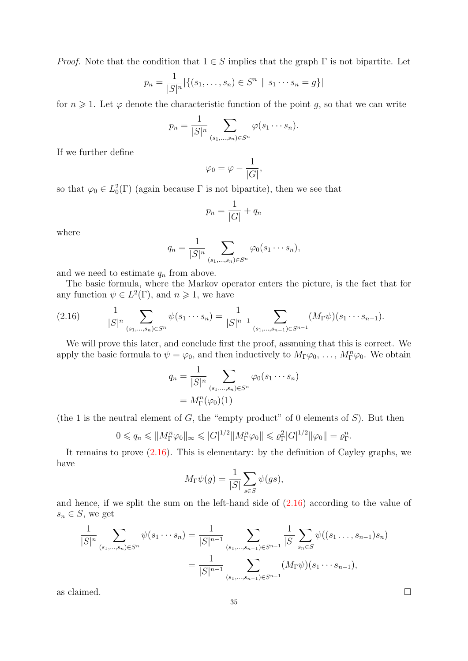*Proof.* Note that the condition that  $1 \in S$  implies that the graph  $\Gamma$  is not bipartite. Let

$$
p_n = \frac{1}{|S|^n} |\{(s_1, \dots, s_n) \in S^n \mid s_1 \cdots s_n = g\}|
$$

for  $n \geq 1$ . Let  $\varphi$  denote the characteristic function of the point g, so that we can write

$$
p_n = \frac{1}{|S|^n} \sum_{(s_1,\ldots,s_n)\in S^n} \varphi(s_1\cdots s_n).
$$

If we further define

$$
\varphi_0 = \varphi - \frac{1}{|G|},
$$

so that  $\varphi_0 \in L_0^2(\Gamma)$  (again because  $\Gamma$  is not bipartite), then we see that

$$
p_n = \frac{1}{|G|} + q_n
$$

where

$$
q_n = \frac{1}{|S|^n} \sum_{(s_1,...,s_n) \in S^n} \varphi_0(s_1 \cdots s_n),
$$

and we need to estimate  $q_n$  from above.

The basic formula, where the Markov operator enters the picture, is the fact that for any function  $\psi \in L^2(\Gamma)$ , and  $n \geq 1$ , we have

<span id="page-35-0"></span>
$$
(2.16) \qquad \frac{1}{|S|^n} \sum_{(s_1,\ldots,s_n)\in S^n} \psi(s_1\cdots s_n) = \frac{1}{|S|^{n-1}} \sum_{(s_1,\ldots,s_{n-1})\in S^{n-1}} (M_{\Gamma}\psi)(s_1\cdots s_{n-1}).
$$

We will prove this later, and conclude first the proof, assmuing that this is correct. We apply the basic formula to  $\psi = \varphi_0$ , and then inductively to  $M_{\Gamma}\varphi_0, \ldots, M_{\Gamma}^n\varphi_0$ . We obtain

$$
q_n = \frac{1}{|S|^n} \sum_{(s_1,\dots,s_n)\in S^n} \varphi_0(s_1\cdots s_n)
$$

$$
= M_\Gamma^n(\varphi_0)(1)
$$

(the 1 is the neutral element of  $G$ , the "empty product" of 0 elements of  $S$ ). But then

$$
0 \leq q_n \leq \|M_{\Gamma}^n \varphi_0\|_{\infty} \leq |G|^{1/2} \|M_{\Gamma}^n \varphi_0\| \leq \varrho_{\Gamma}^2 |G|^{1/2} \|\varphi_0\| = \varrho_{\Gamma}^n.
$$

It remains to prove  $(2.16)$ . This is elementary: by the definition of Cayley graphs, we have

$$
M_{\Gamma}\psi(g) = \frac{1}{|S|} \sum_{s \in S} \psi(gs),
$$

and hence, if we split the sum on the left-hand side of [\(2.16\)](#page-35-0) according to the value of  $s_n \in S$ , we get

$$
\frac{1}{|S|^n} \sum_{(s_1,\dots,s_n)\in S^n} \psi(s_1\cdots s_n) = \frac{1}{|S|^{n-1}} \sum_{(s_1,\dots,s_{n-1})\in S^{n-1}} \frac{1}{|S|} \sum_{s_n\in S} \psi((s_1\dots,s_{n-1})s_n)
$$

$$
= \frac{1}{|S|^{n-1}} \sum_{(s_1,\dots,s_{n-1})\in S^{n-1}} (M_{\Gamma}\psi)(s_1\cdots s_{n-1}),
$$

as claimed.  $\Box$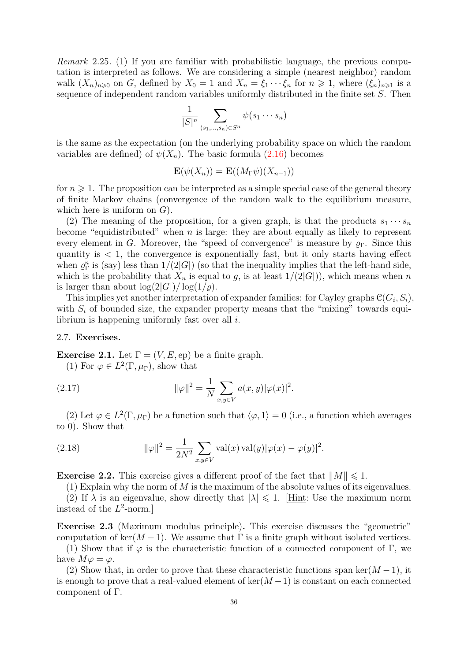Remark 2.25. (1) If you are familiar with probabilistic language, the previous computation is interpreted as follows. We are considering a simple (nearest neighbor) random walk  $(X_n)_{n\geq 0}$  on G, defined by  $X_0 = 1$  and  $X_n = \xi_1 \cdots \xi_n$  for  $n \geq 1$ , where  $(\xi_n)_{n\geq 1}$  is a sequence of independent random variables uniformly distributed in the finite set S. Then

$$
\frac{1}{|S|^n} \sum_{(s_1,\ldots,s_n)\in S^n} \psi(s_1\cdots s_n)
$$

is the same as the expectation (on the underlying probability space on which the random variables are defined) of  $\psi(X_n)$ . The basic formula [\(2.16\)](#page-35-0) becomes

$$
\mathbf{E}(\psi(X_n)) = \mathbf{E}((M_{\Gamma}\psi)(X_{n-1}))
$$

for  $n \geqslant 1$ . The proposition can be interpreted as a simple special case of the general theory of finite Markov chains (convergence of the random walk to the equilibrium measure, which here is uniform on  $G$ ).

(2) The meaning of the proposition, for a given graph, is that the products  $s_1 \cdots s_n$ become "equidistributed" when n is large: they are about equally as likely to represent every element in G. Moreover, the "speed of convergence" is measure by  $\rho_{\Gamma}$ . Since this quantity is  $\lt 1$ , the convergence is exponentially fast, but it only starts having effect when  $\rho_{\Gamma}^{n}$  is (say) less than  $1/(2|G|)$  (so that the inequality implies that the left-hand side, which is the probability that  $X_n$  is equal to g, is at least  $1/(2|G|)$ , which means when n is larger than about  $\log(2|G|)/\log(1/\rho)$ .

This implies yet another interpretation of expander families: for Cayley graphs  $\mathcal{C}(G_i, S_i)$ , with  $S_i$  of bounded size, the expander property means that the "mixing" towards equilibrium is happening uniformly fast over all i.

#### <span id="page-36-0"></span>2.7. Exercises.

**Exercise 2.1.** Let  $\Gamma = (V, E, ep)$  be a finite graph.

<span id="page-36-1"></span>(1) For  $\varphi \in L^2(\Gamma, \mu_{\Gamma}),$  show that

(2.17) 
$$
\|\varphi\|^2 = \frac{1}{N} \sum_{x,y \in V} a(x,y) |\varphi(x)|^2.
$$

(2) Let  $\varphi \in L^2(\Gamma, \mu_{\Gamma})$  be a function such that  $\langle \varphi, 1 \rangle = 0$  (i.e., a function which averages to 0). Show that

(2.18) 
$$
\|\varphi\|^2 = \frac{1}{2N^2} \sum_{x,y \in V} \text{val}(x) \, \text{val}(y) |\varphi(x) - \varphi(y)|^2.
$$

**Exercise 2.2.** This exercise gives a different proof of the fact that  $||M|| \leq 1$ .

(1) Explain why the norm of  $M$  is the maximum of the absolute values of its eigenvalues. (2) If  $\lambda$  is an eigenvalue, show directly that  $|\lambda| \leq 1$ . [Hint: Use the maximum norm instead of the  $L^2$ -norm.]

Exercise 2.3 (Maximum modulus principle). This exercise discusses the "geometric" computation of ker( $M-1$ ). We assume that Γ is a finite graph without isolated vertices.

(1) Show that if  $\varphi$  is the characteristic function of a connected component of Γ, we have  $M\varphi = \varphi$ .

(2) Show that, in order to prove that these characteristic functions span ker( $M-1$ ), it is enough to prove that a real-valued element of  $\ker(M-1)$  is constant on each connected component of Γ.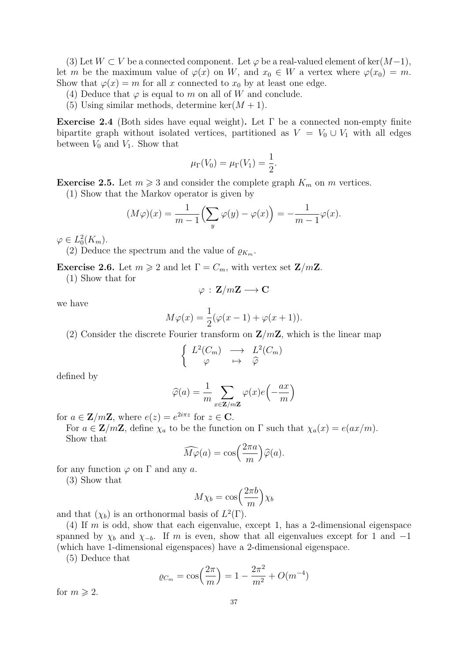(3) Let  $W \subset V$  be a connected component. Let  $\varphi$  be a real-valued element of ker $(M-1)$ , let m be the maximum value of  $\varphi(x)$  on W, and  $x_0 \in W$  a vertex where  $\varphi(x_0) = m$ . Show that  $\varphi(x) = m$  for all x connected to  $x_0$  by at least one edge.

- (4) Deduce that  $\varphi$  is equal to m on all of W and conclude.
- (5) Using similar methods, determine ker $(M + 1)$ .

Exercise 2.4 (Both sides have equal weight). Let  $\Gamma$  be a connected non-empty finite bipartite graph without isolated vertices, partitioned as  $V = V_0 \cup V_1$  with all edges between  $V_0$  and  $V_1$ . Show that

$$
\mu_{\Gamma}(V_0) = \mu_{\Gamma}(V_1) = \frac{1}{2}.
$$

<span id="page-37-1"></span>**Exercise 2.5.** Let  $m \geq 3$  and consider the complete graph  $K_m$  on m vertices.

(1) Show that the Markov operator is given by

$$
(M\varphi)(x) = \frac{1}{m-1} \left( \sum_{y} \varphi(y) - \varphi(x) \right) = -\frac{1}{m-1} \varphi(x).
$$

 $\varphi \in L_0^2(K_m).$ 

(2) Deduce the spectrum and the value of  $\rho_{K_m}$ .

<span id="page-37-0"></span>**Exercise 2.6.** Let  $m \geq 2$  and let  $\Gamma = C_m$ , with vertex set  $\mathbf{Z}/m\mathbf{Z}$ .

(1) Show that for

$$
\varphi\, :\, \mathbf{Z}/m\mathbf{Z} \longrightarrow \mathbf{C}
$$

we have

$$
M\varphi(x) = \frac{1}{2}(\varphi(x-1) + \varphi(x+1)).
$$

 $)$ 

(2) Consider the discrete Fourier transform on  $\mathbf{Z}/m\mathbf{Z}$ , which is the linear map

$$
\left\{ \begin{array}{ccc} L^2(C_m) & \longrightarrow & L^2(C_m) \\ \varphi & \mapsto & \widehat{\varphi} \end{array} \right.
$$

defined by

$$
\widehat{\varphi}(a) = \frac{1}{m} \sum_{x \in \mathbf{Z}/m\mathbf{Z}} \varphi(x) e\Bigl(-\frac{ax}{m}\Bigr)
$$

for  $a \in \mathbf{Z}/m\mathbf{Z}$ , where  $e(z) = e^{2i\pi z}$  for  $z \in \mathbf{C}$ .

For  $a \in \mathbb{Z}/m\mathbb{Z}$ , define  $\chi_a$  to be the function on  $\Gamma$  such that  $\chi_a(x) = e(ax/m)$ . Show that

$$
\widehat{M\varphi}(a) = \cos\left(\frac{2\pi a}{m}\right)\widehat{\varphi}(a).
$$

for any function  $\varphi$  on  $\Gamma$  and any a.

(3) Show that

$$
M\chi_b = \cos\left(\frac{2\pi b}{m}\right)\chi_b
$$

and that  $(\chi_b)$  is an orthonormal basis of  $L^2(\Gamma)$ .

(4) If m is odd, show that each eigenvalue, except 1, has a 2-dimensional eigenspace spanned by  $\chi_b$  and  $\chi_{-b}$ . If m is even, show that all eigenvalues except for 1 and -1 (which have 1-dimensional eigenspaces) have a 2-dimensional eigenspace.

(5) Deduce that

$$
\varrho_{C_m} = \cos\left(\frac{2\pi}{m}\right) = 1 - \frac{2\pi^2}{m^2} + O(m^{-4})
$$

for  $m \geqslant 2$ .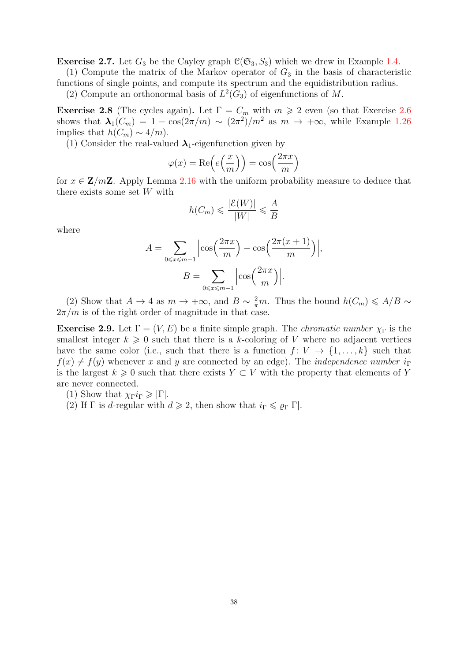**Exercise 2.7.** Let  $G_3$  be the Cayley graph  $\mathcal{C}(\mathfrak{S}_3, S_3)$  which we drew in Example [1.4.](#page-3-0)

(1) Compute the matrix of the Markov operator of  $G_3$  in the basis of characteristic functions of single points, and compute its spectrum and the equidistribution radius.

(2) Compute an orthonormal basis of  $L^2(G_3)$  of eigenfunctions of M.

<span id="page-38-0"></span>**Exercise 2.8** (The cycles again). Let  $\Gamma = C_m$  with  $m \geq 2$  even (so that Exercise [2.6](#page-37-0)) shows that  $\lambda_1(C_m) = 1 - \cos(2\pi/m) \sim (2\pi^2)/m^2$  as  $m \to +\infty$ , while Example [1.26](#page-13-1) implies that  $h(C_m) \sim 4/m$ ).

(1) Consider the real-valued  $\lambda_1$ -eigenfunction given by

$$
\varphi(x) = \text{Re}\left(e\left(\frac{x}{m}\right)\right) = \cos\left(\frac{2\pi x}{m}\right)
$$

for  $x \in \mathbb{Z}/m\mathbb{Z}$ . Apply Lemma [2.16](#page-28-1) with the uniform probability measure to deduce that there exists some set W with

$$
h(C_m) \leqslant \frac{|\mathcal{E}(W)|}{|W|} \leqslant \frac{A}{B}
$$

where

$$
A = \sum_{0 \le x \le m-1} \left| \cos\left(\frac{2\pi x}{m}\right) - \cos\left(\frac{2\pi (x+1)}{m}\right) \right|,
$$

$$
B = \sum_{0 \le x \le m-1} \left| \cos\left(\frac{2\pi x}{m}\right) \right|.
$$

(2) Show that  $A \to 4$  as  $m \to +\infty$ , and  $B \sim \frac{2}{\pi}m$ . Thus the bound  $h(C_m) \leq A/B \sim$  $2\pi/m$  is of the right order of magnitude in that case.

**Exercise 2.9.** Let  $\Gamma = (V, E)$  be a finite simple graph. The *chromatic number*  $\chi_{\Gamma}$  is the smallest integer  $k \geq 0$  such that there is a k-coloring of V where no adjacent vertices have the same color (i.e., such that there is a function  $f: V \to \{1, ..., k\}$  such that  $f(x) \neq f(y)$  whenever x and y are connected by an edge). The *independence number*  $i_{\Gamma}$ is the largest  $k \geq 0$  such that there exists  $Y \subset V$  with the property that elements of Y are never connected.

(1) Show that  $\chi_{\Gamma} i_{\Gamma} \geqslant |\Gamma|$ .

(2) If  $\Gamma$  is d-regular with  $d \geq 2$ , then show that  $i_{\Gamma} \leq \varrho_{\Gamma} |\Gamma|$ .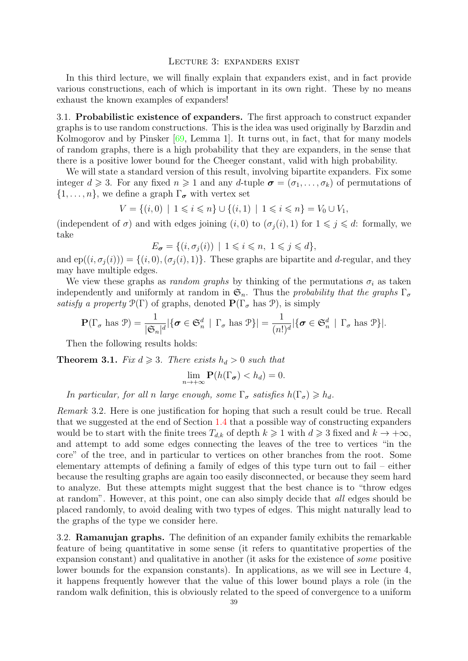#### <span id="page-39-0"></span>Lecture 3: expanders exist

<span id="page-39-3"></span>In this third lecture, we will finally explain that expanders exist, and in fact provide various constructions, each of which is important in its own right. These by no means exhaust the known examples of expanders!

<span id="page-39-1"></span>3.1. Probabilistic existence of expanders. The first approach to construct expander graphs is to use random constructions. This is the idea was used originally by Barzdin and Kolmogorov and by Pinsker [\[69,](#page-51-0) Lemma 1]. It turns out, in fact, that for many models of random graphs, there is a high probability that they are expanders, in the sense that there is a positive lower bound for the Cheeger constant, valid with high probability.

We will state a standard version of this result, involving bipartite expanders. Fix some integer  $d \geq 3$ . For any fixed  $n \geq 1$  and any d-tuple  $\sigma = (\sigma_1, \ldots, \sigma_k)$  of permutations of  $\{1, \ldots, n\}$ , we define a graph  $\Gamma_{\sigma}$  with vertex set

$$
V = \{(i,0) \mid 1 \leq i \leq n\} \cup \{(i,1) \mid 1 \leq i \leq n\} = V_0 \cup V_1,
$$

(independent of  $\sigma$ ) and with edges joining  $(i, 0)$  to  $(\sigma_i(i), 1)$  for  $1 \leq j \leq d$ : formally, we take

$$
E_{\sigma} = \{ (i, \sigma_j(i)) \mid 1 \leq i \leq n, 1 \leq j \leq d \},\
$$

and  $ep((i, \sigma_i(i))) = \{(i, 0),(\sigma_i(i), 1)\}\.$  These graphs are bipartite and d-regular, and they may have multiple edges.

We view these graphs as *random graphs* by thinking of the permutations  $\sigma_i$  as taken independently and uniformly at random in  $\mathfrak{S}_n$ . Thus the probability that the graphs  $\Gamma_{\sigma}$ satisfy a property  $\mathcal{P}(\Gamma)$  of graphs, denoted  $\mathbf{P}(\Gamma_{\sigma} \text{ has } \mathcal{P})$ , is simply

$$
\mathbf{P}(\Gamma_{\sigma} \text{ has } \mathcal{P}) = \frac{1}{|\mathfrak{S}_n|^d} |\{\boldsymbol{\sigma} \in \mathfrak{S}_n^d \mid \Gamma_{\sigma} \text{ has } \mathcal{P}\}| = \frac{1}{(n!)^d} |\{\boldsymbol{\sigma} \in \mathfrak{S}_n^d \mid \Gamma_{\sigma} \text{ has } \mathcal{P}\}|.
$$

Then the following results holds:

**Theorem 3.1.** Fix  $d \geq 3$ . There exists  $h_d > 0$  such that

$$
\lim_{n\to+\infty} \mathbf{P}(h(\Gamma_{\sigma}) < h_d) = 0.
$$

In particular, for all n large enough, some  $\Gamma_{\sigma}$  satisfies  $h(\Gamma_{\sigma}) \geq h_d$ .

Remark 3.2. Here is one justification for hoping that such a result could be true. Recall that we suggested at the end of Section [1.4](#page-12-0) that a possible way of constructing expanders would be to start with the finite trees  $T_{d,k}$  of depth  $k \geq 1$  with  $d \geq 3$  fixed and  $k \to +\infty$ , and attempt to add some edges connecting the leaves of the tree to vertices "in the core" of the tree, and in particular to vertices on other branches from the root. Some elementary attempts of defining a family of edges of this type turn out to fail – either because the resulting graphs are again too easily disconnected, or because they seem hard to analyze. But these attempts might suggest that the best chance is to "throw edges at random". However, at this point, one can also simply decide that all edges should be placed randomly, to avoid dealing with two types of edges. This might naturally lead to the graphs of the type we consider here.

<span id="page-39-2"></span>3.2. Ramanujan graphs. The definition of an expander family exhibits the remarkable feature of being quantitative in some sense (it refers to quantitative properties of the expansion constant) and qualitative in another (it asks for the existence of some positive lower bounds for the expansion constants). In applications, as we will see in Lecture 4, it happens frequently however that the value of this lower bound plays a role (in the random walk definition, this is obviously related to the speed of convergence to a uniform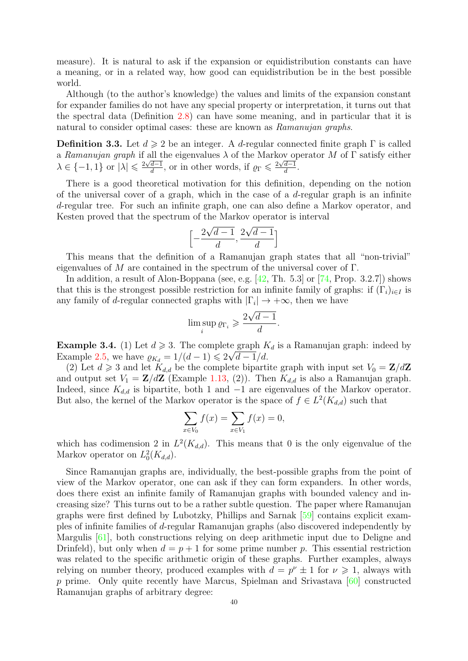<span id="page-40-1"></span>measure). It is natural to ask if the expansion or equidistribution constants can have a meaning, or in a related way, how good can equidistribution be in the best possible world.

Although (to the author's knowledge) the values and limits of the expansion constant for expander families do not have any special property or interpretation, it turns out that the spectral data (Definition [2.8\)](#page-25-3) can have some meaning, and in particular that it is natural to consider optimal cases: these are known as Ramanujan graphs.

**Definition 3.3.** Let  $d \ge 2$  be an integer. A d-regular connected finite graph  $\Gamma$  is called a Ramanujan graph if all the eigenvalues  $\lambda$  of the Markov operator M of  $\Gamma$  satisfy either  $\lambda \in \{-1, 1\}$  or  $|\lambda| \leq \frac{2\sqrt{d-1}}{d}$  $\frac{d-1}{d}$ , or in other words, if  $\rho_{\Gamma} \leqslant \frac{2\sqrt{d-1}}{d}$  $rac{d-1}{d}$ .

There is a good theoretical motivation for this definition, depending on the notion of the universal cover of a graph, which in the case of a  $d$ -regular graph is an infinite d-regular tree. For such an infinite graph, one can also define a Markov operator, and Kesten proved that the spectrum of the Markov operator is interval

$$
\left[-\frac{2\sqrt{d-1}}{d}, \frac{2\sqrt{d-1}}{d}\right]
$$

This means that the definition of a Ramanujan graph states that all "non-trivial" eigenvalues of M are contained in the spectrum of the universal cover of  $\Gamma$ .

In addition, a result of Alon-Boppana (see, e.g. [\[42,](#page-50-3) Th. 5.3] or [\[74,](#page-51-4) Prop. 3.2.7]) shows that this is the strongest possible restriction for an infinite family of graphs: if  $(\Gamma_i)_{i\in I}$  is any family of d-regular connected graphs with  $|\Gamma_i| \to +\infty$ , then we have

$$
\limsup_{i} \varrho_{\Gamma_i} \geqslant \frac{2\sqrt{d-1}}{d}.
$$

<span id="page-40-0"></span>**Example 3.4.** (1) Let  $d \ge 3$ . The complete graph  $K_d$  is a Ramanujan graph: indeed by Example [2.5,](#page-37-1) we have  $\varrho_{K_d} = 1/(d-1) \leq 2\sqrt{d-1}/d$ .

(2) Let  $d \geq 3$  and let  $K_{d,d}$  be the complete bipartite graph with input set  $V_0 = \mathbf{Z}/d\mathbf{Z}$ and output set  $V_1 = \mathbf{Z}/d\mathbf{Z}$  (Example [1.13,](#page-7-0) (2)). Then  $K_{d,d}$  is also a Ramanujan graph. Indeed, since  $K_{d,d}$  is bipartite, both 1 and  $-1$  are eigenvalues of the Markov operator. But also, the kernel of the Markov operator is the space of  $f \in L^2(K_{d,d})$  such that

$$
\sum_{x \in V_0} f(x) = \sum_{x \in V_1} f(x) = 0,
$$

which has codimension 2 in  $L^2(K_{d,d})$ . This means that 0 is the only eigenvalue of the Markov operator on  $L_0^2(K_{d,d})$ .

Since Ramanujan graphs are, individually, the best-possible graphs from the point of view of the Markov operator, one can ask if they can form expanders. In other words, does there exist an infinite family of Ramanujan graphs with bounded valency and increasing size? This turns out to be a rather subtle question. The paper where Ramanujan graphs were first defined by Lubotzky, Phillips and Sarnak [\[59\]](#page-50-4) contains explicit examples of infinite families of d-regular Ramanujan graphs (also discovered independently by Margulis [\[61\]](#page-50-5), both constructions relying on deep arithmetic input due to Deligne and Drinfeld), but only when  $d = p + 1$  for some prime number p. This essential restriction was related to the specific arithmetic origin of these graphs. Further examples, always relying on number theory, produced examples with  $d = p^{\nu} \pm 1$  for  $\nu \geq 1$ , always with p prime. Only quite recently have Marcus, Spielman and Srivastava [\[60\]](#page-50-6) constructed Ramanujan graphs of arbitrary degree: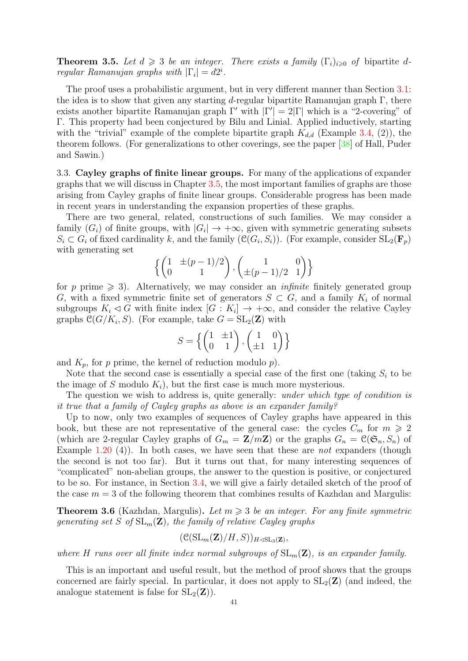<span id="page-41-2"></span>**Theorem 3.5.** Let  $d \geq 3$  be an integer. There exists a family  $(\Gamma_i)_{i\geqslant0}$  of bipartite dregular Ramanujan graphs with  $|\Gamma_i| = d2^i$ .

The proof uses a probabilistic argument, but in very different manner than Section [3.1:](#page-39-1) the idea is to show that given any starting d-regular bipartite Ramanujan graph  $\Gamma$ , there exists another bipartite Ramanujan graph  $\Gamma'$  with  $|\Gamma'| = 2|\Gamma|$  which is a "2-covering" of Γ. This property had been conjectured by Bilu and Linial. Applied inductively, starting with the "trivial" example of the complete bipartite graph  $K_{d,d}$  (Example [3.4,](#page-40-0) (2)), the theorem follows. (For generalizations to other coverings, see the paper [\[38\]](#page-50-7) of Hall, Puder and Sawin.)

<span id="page-41-0"></span>3.3. Cayley graphs of finite linear groups. For many of the applications of expander graphs that we will discuss in Chapter [3.5,](#page-48-0) the most important families of graphs are those arising from Cayley graphs of finite linear groups. Considerable progress has been made in recent years in understanding the expansion properties of these graphs.

There are two general, related, constructions of such families. We may consider a family  $(G_i)$  of finite groups, with  $|G_i| \to +\infty$ , given with symmetric generating subsets  $S_i \subset G_i$  of fixed cardinality k, and the family  $(\mathcal{C}(G_i, S_i))$ . (For example, consider  $SL_2(\mathbf{F}_p)$ ) with generating set

$$
\left\{ \begin{pmatrix} 1 & \pm (p-1)/2 \\ 0 & 1 \end{pmatrix}, \begin{pmatrix} 1 & 0 \\ \pm (p-1)/2 & 1 \end{pmatrix} \right\}
$$

for p prime  $\geq 3$ ). Alternatively, we may consider an *infinite* finitely generated group G, with a fixed symmetric finite set of generators  $S \subset G$ , and a family  $K_i$  of normal subgroups  $K_i \triangleleft G$  with finite index  $[G : K_i] \rightarrow +\infty$ , and consider the relative Cayley graphs  $\mathcal{C}(G/K_i, S)$ . (For example, take  $G = SL_2(\mathbf{Z})$  with

$$
S = \left\{ \begin{pmatrix} 1 & \pm 1 \\ 0 & 1 \end{pmatrix}, \begin{pmatrix} 1 & 0 \\ \pm 1 & 1 \end{pmatrix} \right\}
$$

and  $K_p$ , for p prime, the kernel of reduction modulo p).

Note that the second case is essentially a special case of the first one (taking  $S_i$  to be the image of S modulo  $K_i$ , but the first case is much more mysterious.

The question we wish to address is, quite generally: *under which type of condition is* it true that a family of Cayley graphs as above is an expander family?

Up to now, only two examples of sequences of Cayley graphs have appeared in this book, but these are not representative of the general case: the cycles  $C_m$  for  $m \geq 2$ (which are 2-regular Cayley graphs of  $G_m = \mathbb{Z}/m\mathbb{Z}$ ) or the graphs  $G_n = \mathcal{C}(\mathfrak{S}_n, S_n)$  of Example [1.20](#page-10-0) (4)). In both cases, we have seen that these are *not* expanders (though the second is not too far). But it turns out that, for many interesting sequences of "complicated" non-abelian groups, the answer to the question is positive, or conjectured to be so. For instance, in Section [3.4,](#page-43-0) we will give a fairly detailed sketch of the proof of the case  $m = 3$  of the following theorem that combines results of Kazhdan and Margulis:

<span id="page-41-1"></span>**Theorem 3.6** (Kazhdan, Margulis). Let  $m \geq 3$  be an integer. For any finite symmetric generating set S of  $SL_m(\mathbf{Z})$ , the family of relative Cayley graphs

$$
(\mathfrak{C}(\mathrm{SL}_m(\mathbf{Z})/H,S))_{H\triangleleft \mathrm{SL}_3(\mathbf{Z})},
$$

where H runs over all finite index normal subgroups of  $SL_m(\mathbf{Z})$ , is an expander family.

This is an important and useful result, but the method of proof shows that the groups concerned are fairly special. In particular, it does not apply to  $SL_2(\mathbf{Z})$  (and indeed, the analogue statement is false for  $SL_2(\mathbf{Z})$ .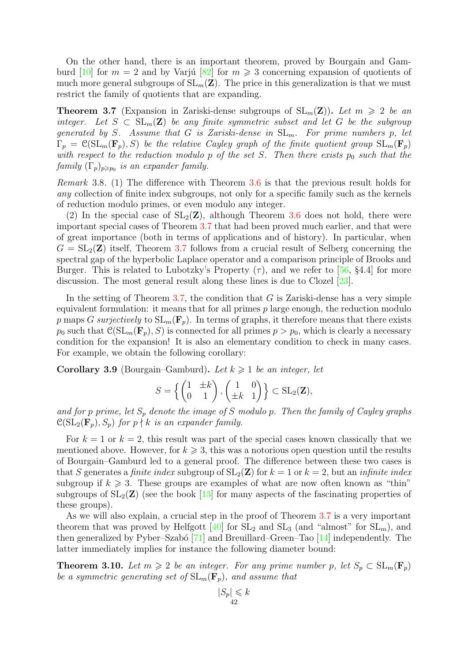<span id="page-42-2"></span>On the other hand, there is an important theorem, proved by Bourgain and Gam-burd [\[10\]](#page-49-6) for  $m = 2$  and by Varjú [\[82\]](#page-51-5) for  $m \geq 3$  concerning expansion of quotients of much more general subgroups of  $SL_m(\mathbf{Z})$ . The price in this generalization is that we must restrict the family of quotients that are expanding.

<span id="page-42-0"></span>**Theorem 3.7** (Expansion in Zariski-dense subgroups of  $SL_m(\mathbf{Z})$ ). Let  $m \geq 2$  be an integer. Let  $S \subset SL_m(\mathbf{Z})$  be any finite symmetric subset and let G be the subgroup generated by S. Assume that G is Zariski-dense in  $SL_m$ . For prime numbers p, let  $\Gamma_p = \mathcal{C}(\mathrm{SL}_m(\mathbf{F}_p), S)$  be the relative Cayley graph of the finite quotient group  $\mathrm{SL}_m(\mathbf{F}_p)$ with respect to the reduction modulo p of the set S. Then there exists  $p_0$  such that the  $family \ (\Gamma_p)_{p \geqslant p_0}$  is an expander family.

Remark 3.8. (1) The difference with Theorem [3.6](#page-41-1) is that the previous result holds for any collection of finite index subgroups, not only for a specific family such as the kernels of reduction modulo primes, or even modulo any integer.

(2) In the special case of  $SL_2(\mathbb{Z})$ , although Theorem [3.6](#page-41-1) does not hold, there were important special cases of Theorem [3.7](#page-42-0) that had been proved much earlier, and that were of great importance (both in terms of applications and of history). In particular, when  $G = SL_2(\mathbf{Z})$  itself, Theorem [3.7](#page-42-0) follows from a crucial result of Selberg concerning the spectral gap of the hyperbolic Laplace operator and a comparison principle of Brooks and Burger. This is related to Lubotzky's Property  $(\tau)$ , and we refer to [\[56,](#page-50-8) §4.4] for more discussion. The most general result along these lines is due to Clozel [\[23\]](#page-49-7).

In the setting of Theorem [3.7,](#page-42-0) the condition that  $G$  is Zariski-dense has a very simple equivalent formulation: it means that for all primes  $p$  large enough, the reduction modulo p maps G surjectively to  $SL_m(\mathbf{F}_p)$ . In terms of graphs, it therefore means that there exists  $p_0$  such that  $\mathcal{C}(\mathrm{SL}_m(\mathbf{F}_p), S)$  is connected for all primes  $p > p_0$ , which is clearly a necessary condition for the expansion! It is also an elementary condition to check in many cases. For example, we obtain the following corollary:

Corollary 3.9 (Bourgain–Gamburd). Let  $k \geq 1$  be an integer, let

$$
S = \left\{ \begin{pmatrix} 1 & \pm k \\ 0 & 1 \end{pmatrix}, \begin{pmatrix} 1 & 0 \\ \pm k & 1 \end{pmatrix} \right\} \subset SL_2(\mathbf{Z}),
$$

and for p prime, let  $S_p$  denote the image of S modulo p. Then the family of Cayley graphs  $\mathcal{C}(\mathrm{SL}_2(\mathbf{F}_p), S_p)$  for  $p \nmid k$  is an expander family.

For  $k = 1$  or  $k = 2$ , this result was part of the special cases known classically that we mentioned above. However, for  $k \geqslant 3$ , this was a notorious open question until the results of Bourgain–Gamburd led to a general proof. The difference between these two cases is that S generates a finite index subgroup of  $SL_2(\mathbf{Z})$  for  $k = 1$  or  $k = 2$ , but an infinite index subgroup if  $k \geqslant 3$ . These groups are examples of what are now often known as "thin" subgroups of  $SL_2(\mathbf{Z})$  (see the book [\[13\]](#page-49-8) for many aspects of the fascinating properties of these groups).

As we will also explain, a crucial step in the proof of Theorem [3.7](#page-42-0) is a very important theorem that was proved by Helfgott  $[40]$  for  $SL_2$  and  $SL_3$  (and "almost" for  $SL_m$ ), and then generalized by Pyber–Szabó  $[71]$  and Breuillard–Green–Tao  $[14]$  independently. The latter immediately implies for instance the following diameter bound:

<span id="page-42-1"></span>**Theorem 3.10.** Let  $m \geq 2$  be an integer. For any prime number p, let  $S_p \subset SL_m(\mathbf{F}_p)$ be a symmetric generating set of  $SL_m(\mathbf{F}_p)$ , and assume that

$$
|S_p| \leqslant k
$$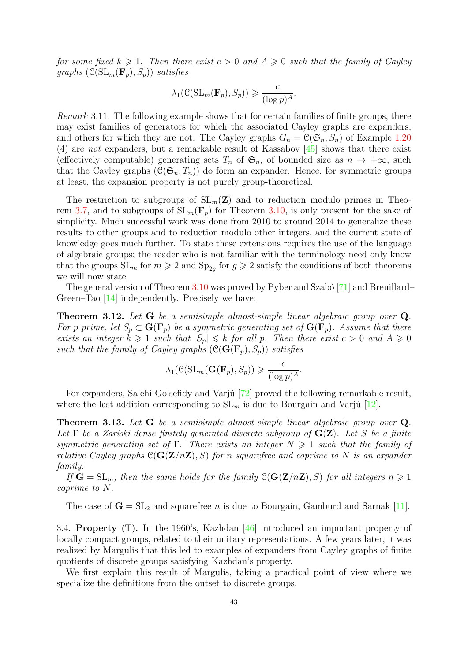<span id="page-43-1"></span>for some fixed  $k \geq 1$ . Then there exist  $c > 0$  and  $A \geq 0$  such that the family of Cayley graphs  $(\mathcal{C}(\mathrm{SL}_m(\mathbf{F}_p), S_p))$  satisfies

$$
\lambda_1(\mathcal{C}(\mathrm{SL}_m(\mathbf{F}_p), S_p)) \geqslant \frac{c}{(\log p)^A}.
$$

Remark 3.11. The following example shows that for certain families of finite groups, there may exist families of generators for which the associated Cayley graphs are expanders, and others for which they are not. The Cayley graphs  $G_n = \mathcal{C}(\mathfrak{S}_n, S_n)$  of Example [1.20](#page-10-0) (4) are not expanders, but a remarkable result of Kassabov [\[45\]](#page-50-10) shows that there exist (effectively computable) generating sets  $T_n$  of  $\mathfrak{S}_n$ , of bounded size as  $n \to +\infty$ , such that the Cayley graphs  $(\mathcal{C}(\mathfrak{S}_n, T_n))$  do form an expander. Hence, for symmetric groups at least, the expansion property is not purely group-theoretical.

The restriction to subgroups of  $SL_m(\mathbb{Z})$  and to reduction modulo primes in Theo-rem [3.7,](#page-42-0) and to subgroups of  $SL_m(\mathbf{F}_p)$  for Theorem [3.10,](#page-42-1) is only present for the sake of simplicity. Much successful work was done from 2010 to around 2014 to generalize these results to other groups and to reduction modulo other integers, and the current state of knowledge goes much further. To state these extensions requires the use of the language of algebraic groups; the reader who is not familiar with the terminology need only know that the groups  $SL_m$  for  $m \geq 2$  and  $Sp_{2g}$  for  $g \geq 2$  satisfy the conditions of both theorems we will now state.

The general version of Theorem  $3.10$  was proved by Pyber and Szabó [\[71\]](#page-51-6) and Breuillard– Green–Tao [\[14\]](#page-49-9) independently. Precisely we have:

Theorem 3.12. Let G be a semisimple almost-simple linear algebraic group over Q. For p prime, let  $S_p \subset \mathbf{G}(\mathbf{F}_p)$  be a symmetric generating set of  $\mathbf{G}(\mathbf{F}_p)$ . Assume that there exists an integer  $k \geq 1$  such that  $|S_p| \leq k$  for all p. Then there exist  $c > 0$  and  $A \geq 0$ such that the family of Cayley graphs  $(\mathcal{C}(G(\mathbf{F}_p), S_p))$  satisfies

$$
\lambda_1(\mathcal{C}(\mathrm{SL}_m(\mathbf{G}(\mathbf{F}_p), S_p)) \geqslant \frac{c}{(\log p)^A}.
$$

For expanders, Salehi-Golsefidy and Varju [\[72\]](#page-51-7) proved the following remarkable result, where the last addition corresponding to  $SL_m$  is due to Bourgain and Varjú [\[12\]](#page-49-10).

Theorem 3.13. Let G be a semisimple almost-simple linear algebraic group over Q. Let  $\Gamma$  be a Zariski-dense finitely generated discrete subgroup of  $\mathbf{G}(\mathbf{Z})$ . Let S be a finite symmetric generating set of Γ. There exists an integer  $N \geq 1$  such that the family of relative Cayley graphs  $C(G(Z/nZ), S)$  for n squarefree and coprime to N is an expander family.

If  $G = SL_m$ , then the same holds for the family  $\mathcal{C}(G(Z/nZ), S)$  for all integers  $n \geq 1$ coprime to N.

The case of  $G = SL_2$  and squarefree *n* is due to Bourgain, Gamburd and Sarnak [\[11\]](#page-49-11).

<span id="page-43-0"></span>3.4. Property (T). In the 1960's, Kazhdan [\[46\]](#page-50-11) introduced an important property of locally compact groups, related to their unitary representations. A few years later, it was realized by Margulis that this led to examples of expanders from Cayley graphs of finite quotients of discrete groups satisfying Kazhdan's property.

We first explain this result of Margulis, taking a practical point of view where we specialize the definitions from the outset to discrete groups.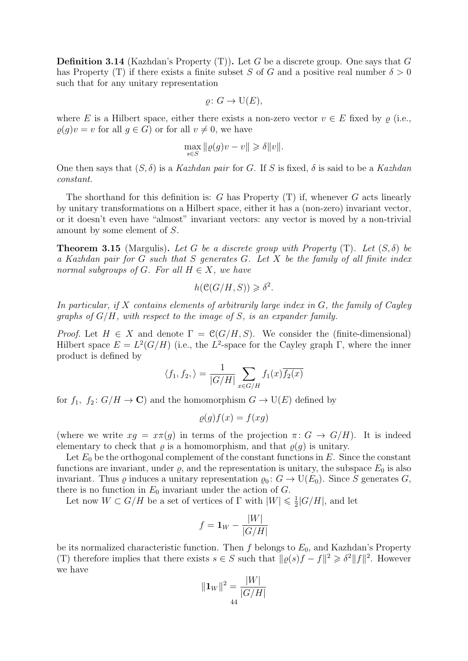**Definition 3.14** (Kazhdan's Property  $(T)$ ). Let G be a discrete group. One says that G has Property (T) if there exists a finite subset S of G and a positive real number  $\delta > 0$ such that for any unitary representation

$$
\varrho\colon G\to\mathrm{U}(E),
$$

where E is a Hilbert space, either there exists a non-zero vector  $v \in E$  fixed by  $\rho$  (i.e.,  $\rho(g)v = v$  for all  $g \in G$ ) or for all  $v \neq 0$ , we have

$$
\max_{s \in S} \|\varrho(g)v - v\| \geqslant \delta \|v\|.
$$

One then says that  $(S, \delta)$  is a Kazhdan pair for G. If S is fixed,  $\delta$  is said to be a Kazhdan constant.

The shorthand for this definition is:  $G$  has Property  $(T)$  if, whenever  $G$  acts linearly by unitary transformations on a Hilbert space, either it has a (non-zero) invariant vector, or it doesn't even have "almost" invariant vectors: any vector is moved by a non-trivial amount by some element of S.

**Theorem 3.15** (Margulis). Let G be a discrete group with Property  $(T)$ . Let  $(S, \delta)$  be a Kazhdan pair for G such that S generates G. Let X be the family of all finite index normal subgroups of G. For all  $H \in X$ , we have

$$
h(\mathcal{C}(G/H, S)) \geq \delta^2.
$$

In particular, if X contains elements of arbitrarily large index in  $G$ , the family of Cayley graphs of  $G/H$ , with respect to the image of S, is an expander family.

*Proof.* Let  $H \in X$  and denote  $\Gamma = \mathcal{C}(G/H, S)$ . We consider the (finite-dimensional) Hilbert space  $E = L^2(G/H)$  (i.e., the L<sup>2</sup>-space for the Cayley graph  $\Gamma$ , where the inner product is defined by

$$
\langle f_1, f_2, \rangle = \frac{1}{|G/H|} \sum_{x \in G/H} f_1(x) \overline{f_2(x)}
$$

for  $f_1$ ,  $f_2: G/H \to \mathbb{C}$  and the homomorphism  $G \to U(E)$  defined by

$$
\varrho(g)f(x) = f(xg)
$$

(where we write  $xg = x\pi(g)$  in terms of the projection  $\pi: G \to G/H$ ). It is indeed elementary to check that  $\varrho$  is a homomorphism, and that  $\varrho(g)$  is unitary.

Let  $E_0$  be the orthogonal complement of the constant functions in E. Since the constant functions are invariant, under  $\rho$ , and the representation is unitary, the subspace  $E_0$  is also invariant. Thus  $\varrho$  induces a unitary representation  $\varrho_0: G \to U(E_0)$ . Since S generates G, there is no function in  $E_0$  invariant under the action of G.

Let now  $W \subset G/H$  be a set of vertices of  $\Gamma$  with  $|W| \leq \frac{1}{2}$  $\frac{1}{2}|G/H|$ , and let

$$
f = \mathbf{1}_W - \frac{|W|}{|G/H|}
$$

be its normalized characteristic function. Then f belongs to  $E_0$ , and Kazhdan's Property (T) therefore implies that there exists  $s \in S$  such that  $\|\varrho(s)f - f\|^2 \geq \delta^2 \|f\|^2$ . However we have

$$
\|\mathbf{1}_W\|^2 = \frac{|W|}{|G/H|}
$$
44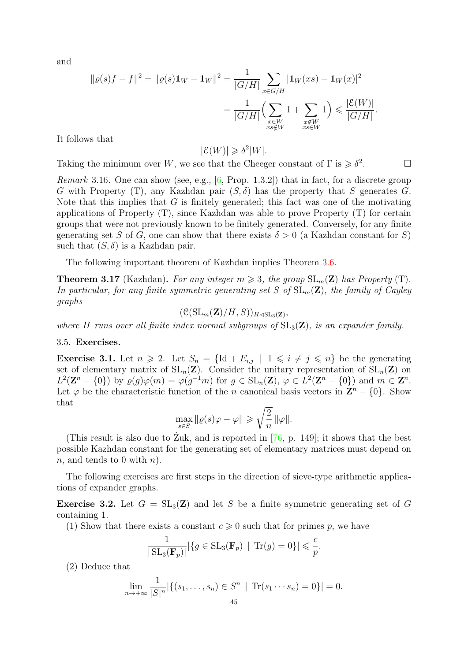<span id="page-45-1"></span>and

$$
\|\varrho(s)f - f\|^2 = \|\varrho(s)\mathbf{1}_W - \mathbf{1}_W\|^2 = \frac{1}{|G/H|} \sum_{x \in G/H} |\mathbf{1}_W(xs) - \mathbf{1}_W(x)|^2
$$
  
= 
$$
\frac{1}{|G/H|} \Big( \sum_{\substack{x \in W \\ xs \notin W}} 1 + \sum_{\substack{x \notin W \\ xs \in W}} 1 \Big) \leq \frac{|\mathcal{E}(W)|}{|G/H|}.
$$

It follows that

 $|\mathcal{E}(W)| \geq \delta^2 |W|.$ 

Taking the minimum over W, we see that the Cheeger constant of  $\Gamma$  is  $\geq \delta^2$ . — П

*Remark* 3.16. One can show (see, e.g.,  $[6, Prop. 1.3.2]$ ) that in fact, for a discrete group G with Property (T), any Kazhdan pair  $(S, \delta)$  has the property that S generates G. Note that this implies that  $G$  is finitely generated; this fact was one of the motivating applications of Property (T), since Kazhdan was able to prove Property (T) for certain groups that were not previously known to be finitely generated. Conversely, for any finite generating set S of G, one can show that there exists  $\delta > 0$  (a Kazhdan constant for S) such that  $(S, \delta)$  is a Kazhdan pair.

The following important theorem of Kazhdan implies Theorem [3.6.](#page-41-1)

**Theorem 3.17** (Kazhdan). For any integer  $m \geq 3$ , the group  $SL_m(\mathbf{Z})$  has Property (T). In particular, for any finite symmetric generating set S of  $SL_m(\mathbf{Z})$ , the family of Cayley graphs

 $(\mathfrak{C}(\mathrm{SL}_m(\mathbf{Z})/H, S))_{H \triangleleft \mathrm{SL}_3(\mathbf{Z})},$ 

where H runs over all finite index normal subgroups of  $SL_3(\mathbf{Z})$ , is an expander family.

### <span id="page-45-0"></span>3.5. Exercises.

**Exercise 3.1.** Let  $n \geq 2$ . Let  $S_n = \{ \text{Id} + E_{i,j} \mid 1 \leq i \neq j \leq n \}$  be the generating set of elementary matrix of  $SL_n(\mathbf{Z})$ . Consider the unitary representation of  $SL_n(\mathbf{Z})$  on  $L^2(\mathbf{Z}^n - \{0\})$  by  $\varrho(g)\varphi(m) = \varphi(g^{-1}m)$  for  $g \in SL_n(\mathbf{Z}), \varphi \in L^2(\mathbf{Z}^n - \{0\})$  and  $m \in \mathbf{Z}^n$ . Let  $\varphi$  be the characteristic function of the *n* canonical basis vectors in  $\mathbb{Z}^n - \{0\}$ . Show that

$$
\max_{s \in S} \|\varrho(s)\varphi - \varphi\| \geqslant \sqrt{\frac{2}{n}} \|\varphi\|.
$$

(This result is also due to Zuk, and is reported in  $[76, p. 149]$  $[76, p. 149]$  $[76, p. 149]$ ; it shows that the best possible Kazhdan constant for the generating set of elementary matrices must depend on n, and tends to 0 with  $n$ ).

The following exercises are first steps in the direction of sieve-type arithmetic applications of expander graphs.

**Exercise 3.2.** Let  $G = SL_3(\mathbb{Z})$  and let S be a finite symmetric generating set of G containing 1.

(1) Show that there exists a constant  $c \geq 0$  such that for primes p, we have

$$
\frac{1}{|\operatorname{SL}_3(\mathbf{F}_p)|} |\{ g \in \operatorname{SL}_3(\mathbf{F}_p) \mid \operatorname{Tr}(g) = 0 \}| \leqslant \frac{c}{p}
$$

.

(2) Deduce that

$$
\lim_{n \to +\infty} \frac{1}{|S|^n} |\{(s_1, \ldots, s_n) \in S^n \mid \text{Tr}(s_1 \cdots s_n) = 0\}| = 0.
$$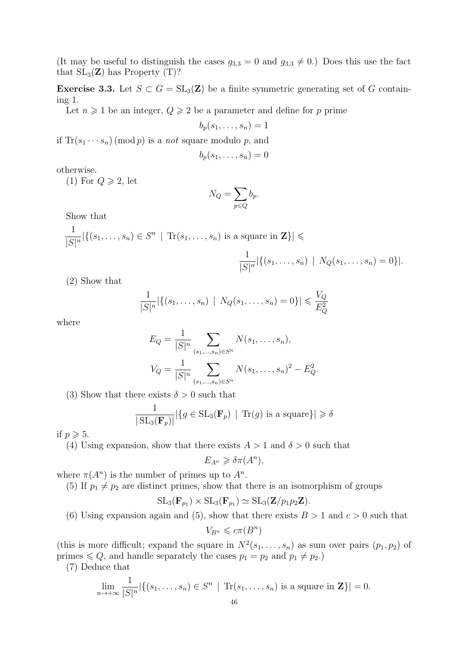(It may be useful to distinguish the cases  $g_{3,3} = 0$  and  $g_{3,3} \neq 0$ .) Does this use the fact that  $SL_3(\mathbb{Z})$  has Property (T)?

**Exercise 3.3.** Let  $S \subset G = SL_3(\mathbb{Z})$  be a finite symmetric generating set of G containing 1.

Let  $n \geq 1$  be an integer,  $Q \geq 2$  be a parameter and define for p prime

$$
b_p(s_1,\ldots,s_n)=1
$$

if  $\text{Tr}(s_1 \cdots s_n) \pmod{p}$  is a *not* square modulo p, and

$$
b_p(s_1,\ldots,s_n)=0
$$

otherwise.

(1) For  $Q \geqslant 2$ , let

$$
N_Q = \sum_{p \leq Q} b_p.
$$

Show that

$$
\frac{1}{|S|^n} |\{(s_1, \ldots, s_n) \in S^n \mid \text{Tr}(s_1, \ldots, s_n) \text{ is a square in } \mathbf{Z}\}| \leqslant
$$

$$
\frac{1}{|S|^n} |\{(s_1,\ldots,s_n) \mid N_Q(s_1,\ldots,s_n)=0\}|.
$$

(2) Show that

$$
\frac{1}{|S|^n} |\{(s_1, \ldots, s_n) \mid N_Q(s_1, \ldots, s_n) = 0\}| \leqslant \frac{V_Q}{E_Q^2}
$$

where

$$
E_Q = \frac{1}{|S|^n} \sum_{(s_1,\ldots,s_n)\in S^n} N(s_1,\ldots,s_n),
$$
  

$$
V_Q = \frac{1}{|S|^n} \sum_{(s_1,\ldots,s_n)\in S^n} N(s_1,\ldots,s_n)^2 - E_Q^2.
$$

(3) Show that there exists  $\delta > 0$  such that

$$
\frac{1}{|\operatorname{SL}_3(\mathbf{F}_p)|} |\{ g \in \operatorname{SL}_3(\mathbf{F}_p) \mid \operatorname{Tr}(g) \text{ is a square} \}| \geq \delta
$$

if  $p \geqslant 5$ .

(4) Using expansion, show that there exists  $A > 1$  and  $\delta > 0$  such that

$$
E_{A^n} \geq \delta \pi(A^n),
$$

where  $\pi(A^n)$  is the number of primes up to  $A^n$ .

(5) If  $p_1 \neq p_2$  are distinct primes, show that there is an isomorphism of groups

$$
\operatorname{SL}_3(\mathbf{F}_{p_1}) \times \operatorname{SL}_3(\mathbf{F}_{p_1}) \simeq \operatorname{SL}_3(\mathbf{Z}/p_1p_2\mathbf{Z}).
$$

(6) Using expansion again and (5), show that there exists  $B > 1$  and  $c > 0$  such that

$$
V_{B^n} \leqslant c\pi(B^n)
$$

(this is more difficult; expand the square in  $N^2(s_1,\ldots,s_n)$  as sum over pairs  $(p_1,p_2)$  of primes  $\leq Q$ , and handle separately the cases  $p_1 = p_2$  and  $p_1 \neq p_2$ .)

(7) Deduce that

$$
\lim_{n \to +\infty} \frac{1}{|S|^n} |\{(s_1, \ldots, s_n) \in S^n \mid \text{Tr}(s_1, \ldots, s_n) \text{ is a square in } \mathbf{Z}\}| = 0.
$$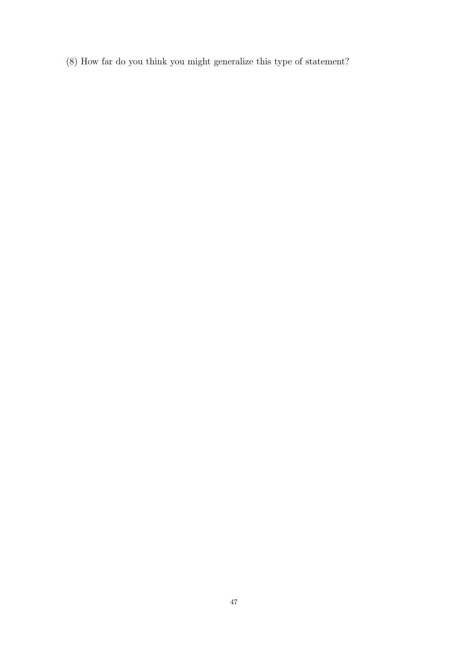(8) How far do you think you might generalize this type of statement?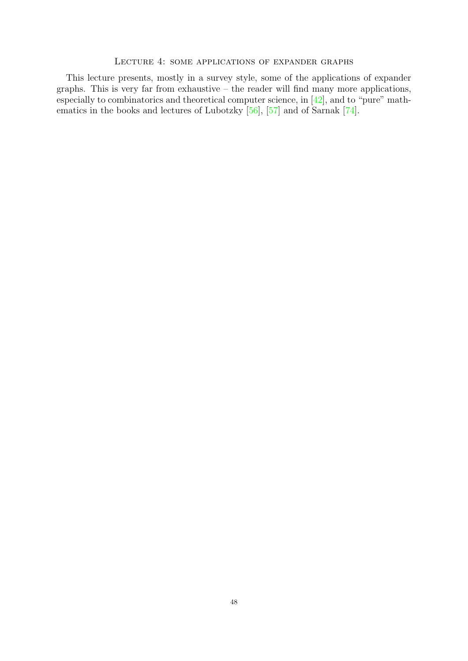# <span id="page-48-0"></span>Lecture 4: some applications of expander graphs

<span id="page-48-1"></span>This lecture presents, mostly in a survey style, some of the applications of expander graphs. This is very far from exhaustive – the reader will find many more applications, especially to combinatorics and theoretical computer science, in [\[42\]](#page-50-3), and to "pure" mathematics in the books and lectures of Lubotzky [\[56\]](#page-50-8), [\[57\]](#page-50-12) and of Sarnak [\[74\]](#page-51-4).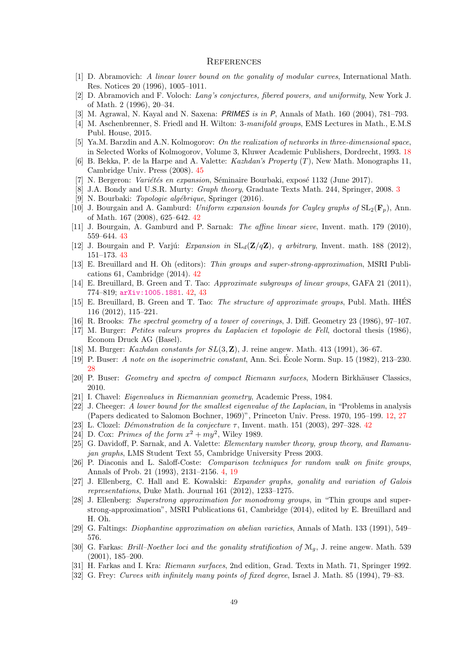#### <span id="page-49-0"></span>**REFERENCES**

- [1] D. Abramovich: A linear lower bound on the gonality of modular curves, International Math. Res. Notices 20 (1996), 1005–1011.
- [2] D. Abramovich and F. Voloch: Lang's conjectures, fibered powers, and uniformity, New York J. of Math. 2 (1996), 20–34.
- [3] M. Agrawal, N. Kayal and N. Saxena: PRIMES is in P, Annals of Math. 160 (2004), 781–793.
- [4] M. Aschenbrenner, S. Friedl and H. Wilton: 3-manifold groups, EMS Lectures in Math., E.M.S Publ. House, 2015.
- <span id="page-49-4"></span>[5] Ya.M. Barzdin and A.N. Kolmogorov: On the realization of networks in three-dimensional space, in Selected Works of Kolmogorov, Volume 3, Kluwer Academic Publishers, Dordrecht, 1993. [18](#page-18-2)
- <span id="page-49-12"></span>[6] B. Bekka, P. de la Harpe and A. Valette: Kazhdan's Property (T), New Math. Monographs 11, Cambridge Univ. Press (2008). [45](#page-45-1)
- N. Bergeron: Variétés en expansion, Séminaire Bourbaki, exposé 1132 (June 2017).
- <span id="page-49-1"></span>[8] J.A. Bondy and U.S.R. Murty: *Graph theory*, Graduate Texts Math. 244, Springer, 2008. [3](#page-3-1) [9] N. Bourbaki: *Topologie algébrique*, Springer (2016).
- <span id="page-49-6"></span>[10] J. Bourgain and A. Gamburd: Uniform expansion bounds for Cayley graphs of  $SL_2(\mathbf{F}_n)$ , Ann. of Math. 167 (2008), 625–642. [42](#page-42-2)
- <span id="page-49-11"></span>[11] J. Bourgain, A. Gamburd and P. Sarnak: The affine linear sieve, Invent. math. 179 (2010), 559–644. [43](#page-43-1)
- <span id="page-49-10"></span>[12] J. Bourgain and P. Varjú: Expansion in  $SL_d(\mathbf{Z}/q\mathbf{Z})$ , q arbitrary, Invent. math. 188 (2012), 151–173. [43](#page-43-1)
- <span id="page-49-8"></span>[13] E. Breuillard and H. Oh (editors): Thin groups and super-strong-approximation, MSRI Publications 61, Cambridge (2014). [42](#page-42-2)
- <span id="page-49-9"></span>[14] E. Breuillard, B. Green and T. Tao: Approximate subgroups of linear groups, GAFA 21 (2011), 774–819; <arXiv:1005.1881>. [42,](#page-42-2) [43](#page-43-1)
- [15] E. Breuillard, B. Green and T. Tao: The structure of approximate groups, Publ. Math. IHES 116 (2012), 115–221.
- [16] R. Brooks: The spectral geometry of a tower of coverings, J. Diff. Geometry 23 (1986), 97–107.
- [17] M. Burger: Petites valeurs propres du Laplacien et topologie de Fell, doctoral thesis (1986), Econom Druck AG (Basel).
- [18] M. Burger: Kazhdan constants for  $SL(3, \mathbb{Z})$ , J. reine angew. Math. 413 (1991), 36–67.
- <span id="page-49-5"></span>[19] P. Buser: A note on the isoperimetric constant, Ann. Sci. Ecole Norm. Sup. 15 (1982), 213–230. ´ [28](#page-28-2)
- [20] P. Buser: Geometry and spectra of compact Riemann surfaces, Modern Birkhäuser Classics, 2010.
- [21] I. Chavel: Eigenvalues in Riemannian geometry, Academic Press, 1984.
- <span id="page-49-3"></span>[22] J. Cheeger: A lower bound for the smallest eigenvalue of the Laplacian, in "Problems in analysis (Papers dedicated to Salomon Bochner, 1969)", Princeton Univ. Press. 1970, 195–199. [12,](#page-12-2) [27](#page-27-1)
- <span id="page-49-7"></span>[23] L. Clozel: *Démonstration de la conjecture*  $\tau$ , Invent. math. 151 (2003), 297–328. [42](#page-42-2)
- [24] D. Cox: Primes of the form  $x^2 + my^2$ , Wiley 1989.
- [25] G. Davidoff, P. Sarnak, and A. Valette: Elementary number theory, group theory, and Ramanujan graphs, LMS Student Text 55, Cambridge University Press 2003.
- <span id="page-49-2"></span>[26] P. Diaconis and L. Saloff-Coste: *Comparison techniques for random walk on finite groups*, Annals of Prob. 21 (1993), 2131–2156. [4,](#page-4-0) [19](#page-19-4)
- [27] J. Ellenberg, C. Hall and E. Kowalski: Expander graphs, gonality and variation of Galois representations, Duke Math. Journal 161 (2012), 1233–1275.
- [28] J. Ellenberg: Superstrong approximation for monodromy groups, in "Thin groups and superstrong-approximation", MSRI Publications 61, Cambridge (2014), edited by E. Breuillard and H. Oh.
- [29] G. Faltings: Diophantine approximation on abelian varieties, Annals of Math. 133 (1991), 549– 576.
- [30] G. Farkas: *Brill–Noether loci and the gonality stratification of*  $\mathcal{M}_q$ , J. reine angew. Math. 539 (2001), 185–200.
- [31] H. Farkas and I. Kra: *Riemann surfaces*, 2nd edition, Grad. Texts in Math. 71, Springer 1992.
- [32] G. Frey: Curves with infinitely many points of fixed degree, Israel J. Math. 85 (1994), 79–83.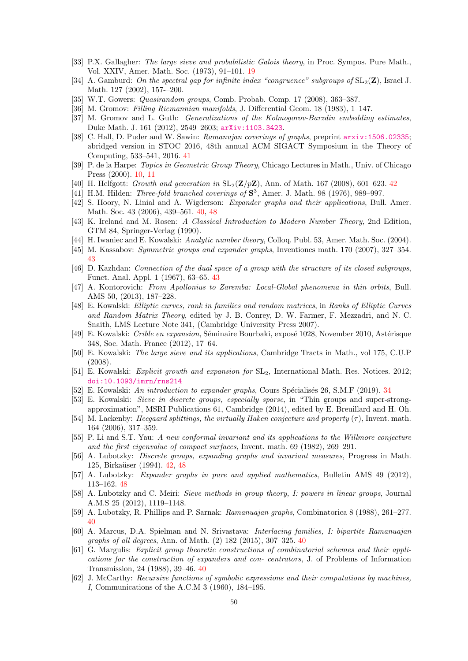- <span id="page-50-1"></span>[33] P.X. Gallagher: The large sieve and probabilistic Galois theory, in Proc. Sympos. Pure Math., Vol. XXIV, Amer. Math. Soc. (1973), 91–101. [19](#page-19-4)
- [34] A. Gamburd: On the spectral gap for infinite index "congruence" subgroups of  $SL_2(\mathbf{Z})$ , Israel J. Math. 127 (2002), 157-–200.
- [35] W.T. Gowers: Quasirandom groups, Comb. Probab. Comp. 17 (2008), 363–387.
- [36] M. Gromov: Filling Riemannian manifolds, J. Differential Geom. 18 (1983), 1–147.
- [37] M. Gromov and L. Guth: *Generalizations of the Kolmogorov-Barzdin embedding estimates*, Duke Math. J. 161 (2012), 2549–2603; <arXiv:1103.3423>.
- <span id="page-50-7"></span>[38] C. Hall, D. Puder and W. Sawin: Ramanujan coverings of graphs, preprint  $arxiv:1506.02335$ ; abridged version in STOC 2016, 48th annual ACM SIGACT Symposium in the Theory of Computing, 533–541, 2016. [41](#page-41-2)
- <span id="page-50-0"></span>[39] P. de la Harpe: Topics in Geometric Group Theory, Chicago Lectures in Math., Univ. of Chicago Press (2000). [10,](#page-10-2) [11](#page-11-2)
- <span id="page-50-9"></span>[40] H. Helfgott: Growth and generation in  $SL_2(\mathbf{Z}/p\mathbf{Z})$ , Ann. of Math. 167 (2008), 601–623. [42](#page-42-2)
- [41] H.M. Hilden: *Three-fold branched coverings of*  $S^3$ , Amer. J. Math. 98 (1976), 989-997.
- <span id="page-50-3"></span>[42] S. Hoory, N. Linial and A. Wigderson: Expander graphs and their applications, Bull. Amer. Math. Soc. 43 (2006), 439–561. [40,](#page-40-1) [48](#page-48-1)
- [43] K. Ireland and M. Rosen: A Classical Introduction to Modern Number Theory, 2nd Edition, GTM 84, Springer-Verlag (1990).
- [44] H. Iwaniec and E. Kowalski: Analytic number theory, Colloq. Publ. 53, Amer. Math. Soc. (2004).
- <span id="page-50-10"></span>[45] M. Kassabov: Symmetric groups and expander graphs, Inventiones math. 170 (2007), 327–354. [43](#page-43-1)
- <span id="page-50-11"></span>[46] D. Kazhdan: Connection of the dual space of a group with the structure of its closed subgroups, Funct. Anal. Appl. 1 (1967), 63–65. [43](#page-43-1)
- [47] A. Kontorovich: From Apollonius to Zaremba: Local-Global phenomena in thin orbits, Bull. AMS 50, (2013), 187–228.
- [48] E. Kowalski: Elliptic curves, rank in families and random matrices, in Ranks of Elliptic Curves and Random Matrix Theory, edited by J. B. Conrey, D. W. Farmer, F. Mezzadri, and N. C. Snaith, LMS Lecture Note 341, (Cambridge University Press 2007).
- [49] E. Kowalski: Crible en expansion, Séminaire Bourbaki, exposé 1028, November 2010, Astérisque 348, Soc. Math. France (2012), 17–64.
- [50] E. Kowalski: The large sieve and its applications, Cambridge Tracts in Math., vol 175, C.U.P (2008).
- [51] E. Kowalski: Explicit growth and expansion for SL2, International Math. Res. Notices. 2012; [doi:10.1093/imrn/rns214](doi: 10.1093/imrn/rns214)
- <span id="page-50-2"></span>[52] E. Kowalski: An introduction to expander graphs, Cours Spécialisés 26, S.M.F (2019). [34](#page-34-2)
- [53] E. Kowalski: Sieve in discrete groups, especially sparse, in "Thin groups and super-strongapproximation", MSRI Publications 61, Cambridge (2014), edited by E. Breuillard and H. Oh.
- [54] M. Lackenby: Heegaard splittings, the virtually Haken conjecture and property  $(\tau)$ . Invent. math. 164 (2006), 317–359.
- [55] P. Li and S.T. Yau: A new conformal invariant and its applications to the Willmore conjecture and the first eigenvalue of compact surfaces, Invent. math. 69 (1982), 269–291.
- <span id="page-50-8"></span>[56] A. Lubotzky: Discrete groups, expanding graphs and invariant measures, Progress in Math. 125, Birkaüser (1994). [42,](#page-42-2) [48](#page-48-1)
- <span id="page-50-12"></span>[57] A. Lubotzky: Expander graphs in pure and applied mathematics, Bulletin AMS 49 (2012), 113–162. [48](#page-48-1)
- [58] A. Lubotzky and C. Meiri: Sieve methods in group theory, I: powers in linear groups, Journal A.M.S 25 (2012), 1119–1148.
- <span id="page-50-4"></span>[59] A. Lubotzky, R. Phillips and P. Sarnak: Ramanuajan graphs, Combinatorica 8 (1988), 261–277. [40](#page-40-1)
- <span id="page-50-6"></span>[60] A. Marcus, D.A. Spielman and N. Srivastava: Interlacing families, I: bipartite Ramanuajan graphs of all degrees, Ann. of Math. (2) 182 (2015), 307–325. [40](#page-40-1)
- <span id="page-50-5"></span>[61] G. Margulis: Explicit group theoretic constructions of combinatorial schemes and their applications for the construction of expanders and con- centrators, J. of Problems of Information Transmission, 24 (1988), 39–46. [40](#page-40-1)
- [62] J. McCarthy: Recursive functions of symbolic expressions and their computations by machines, I, Communications of the A.C.M 3 (1960), 184–195.